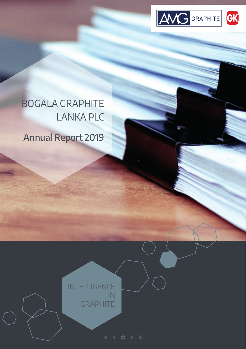

# BOGALA GRAPHITE LANKA PLC

Annual Report 2019

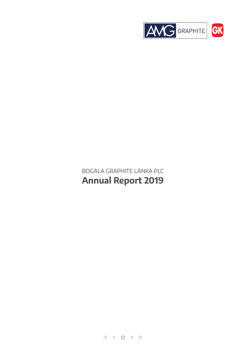

# Bogala Graphite Lanka PLC **Annual Report 2019**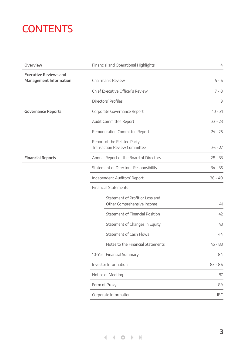# **CONTENTS**

| Overview                                                      | Financial and Operational Highlights                               | 4          |
|---------------------------------------------------------------|--------------------------------------------------------------------|------------|
| <b>Executive Reviews and</b><br><b>Management Information</b> | Chairman's Review                                                  | $5 - 6$    |
|                                                               | Chief Executive Officer's Review                                   | $7 - 8$    |
|                                                               | Directors' Profiles                                                | 9          |
| <b>Governance Reports</b>                                     | Corporate Governance Report                                        | $10 - 21$  |
|                                                               | Audit Committee Report                                             | $22 - 23$  |
|                                                               | Remuneration Committee Report                                      | $24 - 25$  |
|                                                               | Report of the Related Party<br><b>Transaction Review Committee</b> | $26 - 27$  |
| <b>Financial Reports</b>                                      | Annual Report of the Board of Directors                            | $28 - 33$  |
|                                                               | Statement of Directors' Responsibility                             | $34 - 35$  |
|                                                               | Independent Auditors' Report                                       | $36 - 40$  |
|                                                               | <b>Financial Statements</b>                                        |            |
|                                                               | Statement of Profit or Loss and<br>Other Comprehensive Income      | 41         |
|                                                               | <b>Statement of Financial Position</b>                             | 42         |
|                                                               | Statement of Changes in Equity                                     | 43         |
|                                                               | <b>Statement of Cash Flows</b>                                     | 44         |
|                                                               | Notes to the Financial Statements                                  | $45 - 83$  |
|                                                               | 10-Year Financial Summary                                          | 84         |
|                                                               | Investor Information                                               | $85 - 86$  |
|                                                               | Notice of Meeting                                                  | 87         |
|                                                               | Form of Proxy                                                      | 89         |
|                                                               | Corporate Information                                              | <b>IBC</b> |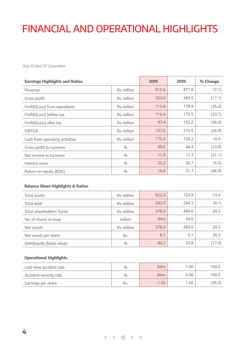# Financial and Operational Highlights

Year Ended 31st December

| <b>Earnings Highlights and Ratios</b> | 2019        | 2018  | % Change |        |
|---------------------------------------|-------------|-------|----------|--------|
| Revenue                               | Rs. million | 815.6 | 877.8    | (7.1)  |
| Gross profit                          | Rs. million | 323.0 | 389.5    | (17.1) |
| Profit/(Loss) from operations         | Rs. million | 115.6 | 178.4    | (35.2) |
| Profit/(Loss) before tax              | Rs. million | 116.4 | 175.5    | (33.7) |
| Profit/(Loss) after tax               | Rs. million | 97.4  | 152.2    | (36.0) |
| <b>EBITDA</b>                         | Rs. million | 157.6 | 215.5    | (26.9) |
| Cash from operating activities        | Rs. million | 175.4 | 158.2    | 10.9   |
| Gross profit to turnover              | $\%$        | 39.6  | 44.4     | (10.8) |
| Net income to turnover                | $\%$        | 11.9  | 17.3     | (31.1) |
| Interest cover                        | $\%$        | 25.2  | 26.7     | (5.5)  |
| Return on equity (ROE)                | $\%$        | 16.8  | 31.7     | (46.8) |

# **Balance Sheet Highlights & Ratios**

| Total assets              | Rs. million | 822.3 | 724.9 | 13.4   |
|---------------------------|-------------|-------|-------|--------|
| Total debt                | Rs. million | 243.9 | 244.2 | (0.1)  |
| Total shareholders' funds | Rs. million | 578.4 | 480.6 | 20.3   |
| No. of shares in issue    | million     | 94.6  | 94.6  |        |
| Net assets                | Rs. million | 578.4 | 480.6 | 20.3   |
| Net assets per share      | Rs.         | 6.1   | 5.1   | 20.3   |
| Debt/equity (book value)  | $\%$        | 42.2  | 50.8  | (17.0) |

# **Operational Highlights**

| Lost-time accident rate | $\%$ | Zero | 1.00 | 100.0  |
|-------------------------|------|------|------|--------|
| Accident severity rate  | %    | Zero | 0.06 | 100.0  |
| Earnings per share      | Rs.  | 1.03 | 1.60 | (36.0) |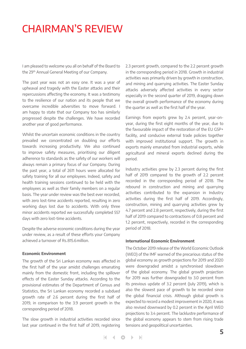# Chairman's Review

I am pleased to welcome you all on behalf of the Board to the 29<sup>th</sup> Annual General Meeting of our Company.

The past year was not an easy one. It was a year of upheaval and tragedy with the Easter attacks and their repercussions affecting the economy. It was a testimony to the resilience of our nation and its people that we overcame incredible adversities to move forward. I am happy to state that our Company too has similarly progressed despite the challenges. We have recorded another year of good performance.

Whilst the uncertain economic conditions in the country prevailed we concentrated on doubling our efforts towards increasing productivity. We also continued to improve safety measures, prioritising our diligent adherence to standards as the safety of our workers will always remain a primary focus of our Company. During the past year, a total of 2611 hours were allocated for safety training for all our employees. Indeed, safety and health training sessions continued to be held with the employees as well as their family members on a regular basis. The year under review was the best ever recorded, with zero lost-time accidents reported, resulting in zero working days lost due to accidents. With only three minor accidents reported we successfully completed 557 days with zero lost-time accidents.

Despite the adverse economic conditions during the year under review, as a result of these efforts your Company achieved a turnover of Rs. 815.6 million.

# **Economic Environment**

The growth of the Sri Lankan economy was affected in the first half of the year amidst challenges emanating mainly from the domestic front, including the spillover effects of the Easter Sunday attacks. According to the provisional estimates of the Department of Census and Statistics, the Sri Lankan economy recorded a subdued growth rate of 2.6 percent during the first half of 2019, in comparison to the 3.9 percent growth in the corresponding period of 2018.

The slow growth in industrial activities recorded since last year continued in the first half of 2019, registering 2.3 percent growth, compared to the 2.2 percent growth in the corresponding period in 2018. Growth in industrial activities was primarily driven by growth in construction, and mining and quarrying activities. The Easter Sunday attacks adversely affected activities in every sector especially in the second quarter of 2019, dragging down the overall growth performance of the economy during the quarter as well as the first half of the year.

Earnings from exports grew by 2.4 percent, year-onyear, during the first eight months of the year, due to the favourable impact of the restoration of the EU GSP+ facility, and conducive external trade policies together with improved institutional support. The growth in exports mainly emanated from industrial exports, while agricultural and mineral exports declined during the period.

Industry activities grew by 2.3 percent during the first half of 2019 compared to the growth of 2.2 percent recorded in the corresponding period of 2018. The rebound in construction and mining and quarrying activities contributed to the expansion in Industry activities during the first half of 2019. Accordingly, construction, mining and quarrying activities grew by 4.7 percent and 2.8 percent, respectively, during the first half of 2019 compared to contractions of 0.8 percent and 1.2 percent, respectively, recorded in the corresponding period of 2018.

# **International Economic Environment**

The October 2019 release of the World Economic Outlook (WEO) of the IMF warned of the precarious status of the global economy as growth projections for 2019 and 2020 were downgraded amidst a synchronised slowdown of the global economy. The global growth projection for 2019 was further downgraded to 3.0 percent from its previous update of 3.2 percent (July 2019), which is also the slowest pace of growth to be recorded since the global financial crisis. Although global growth is expected to record a modest improvement in 2020, it was also revised downward by 0.2 percent in the April WEO projections to 3.4 percent. The lacklustre performance of the global economy appears to stem from rising trade tensions and geopolitical uncertainties.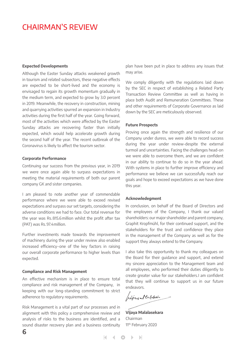# Chairman's Review

### **Expected Developments**

Although the Easter Sunday attacks weakened growth in tourism and related subsectors, these negative effects are expected to be short-lived and the economy is envisaged to regain its growth momentum gradually in the medium term, and expected to grow by 3.0 percent in 2019. Meanwhile, the recovery in construction, mining and quarrying activities spurred an expansion in Industry activities during the first half of the year. Going forward, most of the activities which were affected by the Easter Sunday attacks are recovering faster than initially expected, which would help accelerate growth during the second half of the year. The recent outbreak of the Coronavirus is likely to affect the tourism sector.

# **Corporate Performance**

Continuing our success from the previous year, in 2019 we were once again able to surpass expectations in meeting the material requirements of both our parent company GK and sister companies.

I am pleased to note another year of commendable performance where we were able to exceed revised expectations and surpass our set targets, considering the adverse conditions we had to face. Our total revenue for the year was Rs. 815.6 million whilst the profit after tax (PAT) was Rs. 97.4 million.

Further investments made towards the improvement of machinery during the year under review also enabled increased efficiency-one of the key factors in raising our overall corporate performance to higher levels than expected.

### **Compliance and Risk Management**

An effective mechanism is in place to ensure total compliance and risk management of the Company, in keeping with our long-standing commitment to strict adherence to regulatory requirements.

Risk Management is a vital part of our processes and in alignment with this policy a comprehensive review and analysis of risks to the business are identified, and a sound disaster recovery plan and a business continuity plan have been put in place to address any issues that may arise.

We comply diligently with the regulations laid down by the SEC in respect of establishing a Related Party Transaction Review Committee as well as having in place both Audit and Remuneration Committees. These and other requirements of Corporate Governance as laid down by the SEC are meticulously observed.

### **Future Prospects**

Proving once again the strength and resilience of our Company under duress, we were able to record success during the year under review-despite the external turmoil and uncertainties. Facing the challenges head-on we were able to overcome them, and we are confident in our ability to continue to do so in the year ahead. With systems in place to further improve efficiency and performance we believe we can successfully reach our goals and hope to exceed expectations as we have done this year.

#### **Acknowledegment**

In conclusion, on behalf of the Board of Directors and the employees of the Company, I thank our valued shareholders: our major shareholder and parent company, Graphit Kropfmühl, for their continued support, and the stakeholders for the trust and confidence they place in the management of the Company as well as for the support they always extend to the Company.

I also take this opportunity to thank my colleagues on the Board for their guidance and support, and extend my sincere appreciation to the Management team and all employees, who performed their duties diligently to create greater value for our stakeholders. I am confident that they will continue to support us in our future endeavors. 

Lijny at Lablache

**Vijaya Malalasekara** Chairman 11th February 2020

**KK**  $\mathbb{N}$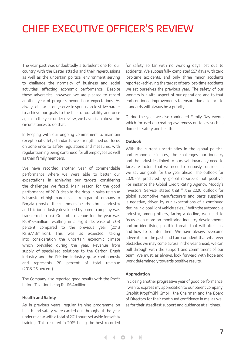# Chief Executive Officer's Review

The year past was undoubtedly a turbulent one for our country with the Easter attacks and their repercussions as well as the uncertain political environment serving to challenge the normalcy of business and social activities, affecting economic performance. Despite these adversities, however, we are pleased to record another year of progress beyond our expectations. As always obstacles only serve to spur us on to strive harder to achieve our goals to the best of our ability-and once again, in the year under review, we have risen above the circumstances to do that.

In keeping with our ongoing commitment to maintain exceptional safety standards, we strengthened our focus on adherence to safety regulations and measures, with regular training being continued for all employees as well as their family members. 

We have recorded another year of commendable performance where we were able to better our expectations in achieving our targets considering the challenges we faced. Main reason for the good performance of 2019 despite the drop in sales revenue is transfer of high margin sales from parent company to Bogala. (most of the customers in carbon brush industry and friction industry developed by parent company was transferred to us). Our total revenue for the year was Rs. 815.6 million resulting in a slight decrease of 7.08 percent compared to the previous year (2018 Rs. 877.8 million). This was as expected, taking into consideration the uncertain economic climate which prevailed during the year. Revenue from supply of specialised solutions to the Carbon Brush Industry and the Friction Industry grew continuously and represents 28 percent of total revenue (2018-26 percent).

The Company also reported good results with the Profit before Taxation being Rs. 116.4 million.

# **Health and Safety**

As in previous years, regular training programme on health and safety were carried out throughout the year under review with a total of 2611 hours set aside for safety training. This resulted in 2019 being the best recorded for safety so far with no working days lost due to accidents. We successfully completed 557 days with zero lost-time accidents, and only three minor accidents reported–achieving the target of zero lost-time accidents we set ourselves the previous year. The safety of our workers is a vital aspect of our operations and to that end continued improvements to ensure due diligence to standards will always be a priority.

During the year we also conducted Family Day events which focused on creating awareness on topics such as domestic safety and health.

## **Outlook**

With the current uncertainties in the global political and economic climates, the challenges our industry and the industries linked to ours will invariably need to face are factors that we need to seriously consider as we set our goals for the year ahead. The outlook for 2020-as predicted by global reports-is not positive. For instance the Global Credit Rating Agency, Moody's Investors' Service, stated that "…the 2020 outlook for global automotive manufacturers and parts suppliers is negative, driven by our expectations of a continued decline in global light vehicle sales…" With the automobile industry, among others, facing a decline, we need to focus even more on monitoring industry developments and on identifying possible threats that will affect us, and how to counter them. We have always overcome adversities in the past, and I am confident that whatever obstacles we may come across in the year ahead, we can pull through with the support and commitment of our team. We must, as always, look forward with hope and work determinedly towards positive results.

## **Appreciation**

In closing another progressive year of good performance, I wish to express my appreciation to our parent company, Graphit Kropfmühl GmbH, the Chairman and the Board of Directors for their continued confidence in me, as well as for their steadfast support and guidance at all times.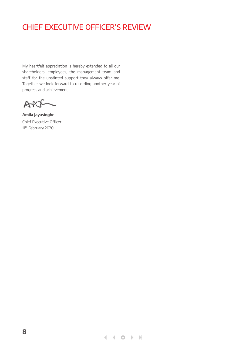# Chief Executive Officer's Review

My heartfelt appreciation is hereby extended to all our shareholders, employees, the management team and staff for the unstinted support they always offer me. Together we look forward to recording another year of progress and achievement.

Egg

**Amila Jayasinghe** Chief Executive Officer 11th February 2020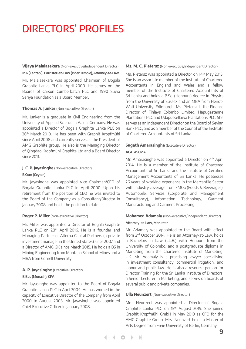# Directors' Profiles

**Vijaya Malalasekera** (Non-executive/Independent Director) **MA (Cantab.), Barrister-at-Law (Inner Temple), Attorney-at-Law**

Mr. Malalasekara was appointed Chairman of Bogala Graphite Lanka PLC in April 2000. He serves on the Boards of Carson Cumberbatch PLC and 1990 Suwa Seriya Foundation as a Board Member.

### **Thomas A. Junker** (Non-executive Director)

Mr. Junker is a graduate in Civil Engineering from the University of Applied Science in Aalen, Germany. He was appointed a Director of Bogala Graphite Lanka PLC on 26<sup>th</sup> March 2010. He has been with Graphit Kropfmühl since April 2008 and currently serves as the President of AMG Graphite group. He also is the Managing Director of Qingdao Kropfmühl Graphite Ltd and a Board Director since 2011.

#### **J. C. P. Jayasinghe** (Non-executive Director)

### **B.Com (Ceylon)**

Mr. Jayasinghe was appointed Vice Chairman/CEO of Bogala Graphite Lanka PLC in April 2000. Upon his retirement from the position of CEO he was invited to the Board of the Company as a Consultant/Director in January 2008 and holds the position to date.

#### **Roger P. Miller** (Non-executive Director)

Mr. Miller was appointed a Director of Bogala Graphite Lanka PLC on 28<sup>th</sup> April 2016. He is a founder and Managing Partner of Alterna Capital Partners (a private investment manager in the United States) since 2007 and a Director of AMG GK since March 2015. He holds a BS in Mining Engineering from Montana School of Mines and a MBA from Cornell University.

### **A. P. Jayasinghe** (Executive Director)

### **B.Bus (Monash), CPA**

Mr. Jayasinghe was appointed to the Board of Bogala Graphite Lanka PLC in April 2004. He has worked in the capacity of Executive Director of the Company from April 2000 to August 2005. Mr. Jayasinghe was appointed Chief Executive Officer in January 2008.

### **Ms. M. C. Pietersz** (Non-executive/Independent Director)

Ms. Pietersz was appointed a Director on 14<sup>th</sup> May 2013. She is an associate member of the Institute of Chartered Accountants in England and Wales and a fellow member of the Institute of Chartered Accountants of Sri Lanka and holds a B.Sc. (Honours) degree in Physics from the University of Sussex and an MBA from Heriot-Watt University, Edinburgh. Ms. Pietersz is the Finance Director of Finlays Colombo Limited, Hapugastenne Plantations PLC and Udapussellawa Plantations PLC. She serves as an Independent Director on the Board of Seylan Bank PLC, and as a member of the Council of the Institute of Chartered Accountants of Sri Lanka.

# **Sugath Amarasinghe** (Executive Director)

# **ACA, ASCMA**

Mr. Amarasinghe was appointed a Director on 4th April 2014. He is a member of the Institute of Chartered Accountants of Sri Lanka and the Institute of Certified Management Accountants of Sri Lanka. He possesses 26 years of working experience in the Mercantile Sector with industry coverage from FMCG (Foods & Beverages), Automobile, Services (Corporate and Management Consultancy), Information Technology, Garment Manufacturing and Garment Processing.

## **Mohamed Adamaly** (Non-executive/Independent Director)

#### **Attorney-at-Law, Marketer**

Mr. Adamaly was appointed to the Board with effect from 2nd October 2014. He is an Attorney-at-Law, holds a Bachelors in Law (LL.B.) with Honours from the University of Colombo, and a postgraduate diploma in Marketing from the Chartered Institute of Marketing, UK. Mr. Adamaly is a practising lawyer specialising in investment consultancy, commercial litigation, and labour and public law. He is also a resource person for Director Training for the Sri Lanka Institute of Directors, a Senior Lecturer in Marketing, and serves on boards of several public and private companies.

#### **Ulla Neunzert** (Non-executive Director)

Mrs.  Neunzert was appointed a Director of Bogala Graphite Lanka PLC on 15<sup>th</sup> August 2019. She joined Graphit Kropfmühl GmbH in May 2019 as CFO for the AMG Graphite Group. Mrs.  Neunzert holds a Master of Arts Degree from Freie University of Berlin, Germany.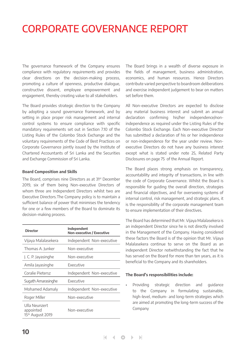The governance framework of the Company ensures compliance with regulatory requirements and provides clear directions on the decision-making process, promoting a culture of openness, productive dialogue, constructive dissent, employee empowerment and engagement, thereby creating value to all stakeholders. 

The Board provides strategic direction to the Company by adopting a sound governance framework, and by setting in place proper risk management and internal control systems to ensure compliance with specific mandatory requirements set out in Section 7.10 of the Listing Rules of the Colombo Stock Exchange and the voluntary requirements of the Code of Best Practices on Corporate Governance jointly issued by the Institute of Chartered Accountants of Sri Lanka and the Securities and Exchange Commission of Sri Lanka.

## **Board Composition and Skills**

The Board, comprises nine Directors as at 31st December 2019, six of them being Non-executive Directors of whom three are Independent Directors whilst two are Executive Directors. The Company policy is to maintain a sufficient balance of power that minimises the tendency for one or a few members of the Board to dominate its decision-making process.

| <b>Director</b>                                            | <b>Independent</b><br>Non-executive / Executive |
|------------------------------------------------------------|-------------------------------------------------|
| Vijaya Malalasekera                                        | Independent Non-executive                       |
| Thomas A. Junker                                           | Non-executive                                   |
| J. C. P. Jayasinghe                                        | Non-executive                                   |
| Amila Jayasinghe                                           | Executive                                       |
| Coralie Pietersz                                           | Independent Non-executive                       |
| Sugath Amarasinghe                                         | Executive                                       |
| Mohamed Adamaly                                            | Independent Non-executive                       |
| Roger Miller                                               | Non-executive                                   |
| Ulla Neunzert<br>appointed<br>15 <sup>th</sup> August 2019 | Non-executive                                   |

The Board brings in a wealth of diverse exposure in the fields of management, business administration, economics, and human resources. Hence Directors contribute varied perspective to boardroom deliberations and exercise independent judgement to bear on matters set before them.

All Non-executive Directors are expected to disclose any material business interest and submit an annual declaration confirming his/her independence/nonindependence as required under the Listing Rules of the Colombo Stock Exchange. Each Non-executive Director has submitted a declaration of his or her independence or non-independence for the year under review. Nonexecutive Directors do not have any business interest except what is stated under note 25, Related Party Disclosures on page 75 of the Annual Report.

The Board places strong emphasis on transparency, accountability and integrity of transactions, in line with the code of Corporate Governance. Whilst the Board is responsible for guiding the overall direction, strategies and financial objectives, and for overseeing systems of internal control, risk management, and strategic plans, it is the responsibility of the corporate management team to ensure implementation of their directives.

The Board has determined that Mr. Vijaya Malalasekera is an independent Director since he is not directly involved in the Management of the Company. Having considered these factors the Board is of the opinion that Mr. Vijaya Malalasekera continue to serve on the Board as an independent Director notwithstanding the fact that he has served on the Board for more than ten years, as it is beneficial to the Company and its shareholders. 

## **The Board's responsibilities include:**

• Providing strategic direction and guidance to the Company in formulating sustainable, high-level, medium- and long-term strategies which are aimed at promoting the long-term success of the Company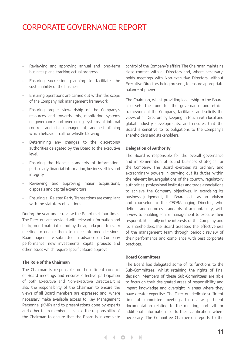- Reviewing and approving annual and long-term business plans, tracking actual progress
- Ensuring succession planning to facilitate the sustainability of the business
- Ensuring operations are carried out within the scope of the Company risk management framework
- Ensuring proper stewardship of the Company's resources and towards this, monitoring systems of governance and overseeing systems of internal control, and risk management, and establishing which behaviour call for whistle blowing
- Determining any changes to the discretions/ authorities delegated by the Board to the executive level.
- Ensuring the highest standards of informationparticularly financial information, business ethics and integrity
- Reviewing and approving major acquisitions, disposals and capital expenditure
- Ensuring all Related Party Transactions are compliant with the statutory obligations

During the year under review the Board met four times. The Directors are provided with relevant information and background material set out by the agenda prior to every meeting to enable them to make informed decisions. Board papers are submitted in advance on Company performance, new investments, capital projects and other issues which require specific Board approval.

# **The Role of the Chairman**

The Chairman is responsible for the efficient conduct of Board meetings and ensures effective participation of both Executive and Non-executive Directors. It is also the responsibility of the Chairman to ensure the views of all Board members are expressed and, where necessary make available access to Key Management Personnel (KMP) and to presentations done by experts and other team members. It is also the responsibility of the Chairman to ensure that the Board is in complete control of the Company's affairs. The Chairman maintains close contact with all Directors and, where necessary, holds meetings with Non-executive Directors without Executive Directors being present, to ensure appropriate balance of power.

The Chairman, whilst providing leadership to the Board, also sets the tone for the governance and ethical framework of the Company, facilitates and solicits the views of all Directors by keeping in touch with local and global industry developments, and ensures that the Board is sensitive to its obligations to the Company's shareholders and stakeholders. 

## **Delegation of Authority**

The Board is responsible for the overall governance and implementation of sound business strategies for the Company. The Board exercises its ordinary and extraordinary powers in carrying out its duties within the relevant laws/regulations of the country, regulatory authorities, professional institutes and trade associations to achieve the Company objectives. In exercising its business judgement, the Board acts as an advisor and counselor to the CEO/Managing Director, who defines and enforces standards of accountability, with a view to enabling senior management to execute their responsibilities fully in the interests of the Company and its shareholders. The Board assesses the effectiveness of the management team through periodic review of their performance and compliance with best corporate practices.

## **Board Committees**

The Board has delegated some of its functions to the Sub-Committees, whilst retaining the rights of final decision. Members of these Sub-Committees are able to focus on their designated areas of responsibility and impart knowledge and oversight in areas where they have greater expertise. The Directors dedicate sufficient time at committee meetings to review pertinent documentation relating to the meeting, and call for additional information or further clarification where necessary. The Committee Chairperson reports to the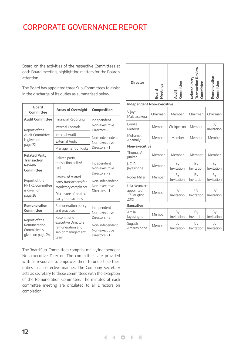Board on the activities of the respective Committees at each Board meeting, highlighting matters for the Board's attention.

The Board has appointed three Sub-Committees to assist in the discharge of its duties as summarised below.

| <b>Board</b><br>Committee                                                | <b>Areas of Oversight</b>                                                         | Composition                                                        |
|--------------------------------------------------------------------------|-----------------------------------------------------------------------------------|--------------------------------------------------------------------|
| <b>Audit Committee</b>                                                   | Financial Reporting                                                               | Independent                                                        |
| Report of the                                                            | Internal Controls                                                                 | Non-executive<br>Directors - 3                                     |
| Audit Committee                                                          | Internal Audit                                                                    | Non-independent                                                    |
| is given on                                                              | External Audit                                                                    | Non-executive                                                      |
| page 22                                                                  | Management of Risks                                                               | Directors - 1                                                      |
| <b>Related Party</b><br><b>Transaction</b><br><b>Review</b><br>Committee | Related party<br>transaction policy/<br>code                                      | Independent<br>Non-executive<br>Directors - 2                      |
| Report of the<br><b>RPTRC Committee</b>                                  | Review of related<br>party transactions for<br>regulatory compliance              | Non-independent<br>Non-executive                                   |
| is given on<br>page 26                                                   | Disclosure of related<br>party transactions                                       | Directors - 1                                                      |
| Remuneration<br>Committee                                                | Remuneration policy<br>and practices                                              | Independent<br>Non-executive                                       |
| Report of the<br>Remuneration<br>Committee is<br>given on page 24        | Recommend<br>executive Directors<br>remuneration and<br>senior management<br>team | Directors - 2<br>Non-independent<br>Non-executive<br>Directors - 1 |

The Board Sub-Committees comprise mainly independent Non-executive Directors. The committees are provided with all resources to empower them to undertake their duties in an effective manner. The Company Secretary acts as secretary to these committees with the exception of the Remuneration Committee. The minutes of each committee meeting are circulated to all Directors on completion.

| <b>Director</b>                                   | Board<br>Meetings | <b>Committee</b><br>Audit | Transaction Review<br>Committee<br>Related Party | Remuneration<br><b>Committee</b> |  |  |
|---------------------------------------------------|-------------------|---------------------------|--------------------------------------------------|----------------------------------|--|--|
| <b>Independent Non-executive</b>                  |                   |                           |                                                  |                                  |  |  |
| Vijaya<br>Malalasekera                            | Chairman          | Member                    | Chairman                                         | Chairman                         |  |  |
| Coralie<br>Pietersz                               | Member            | Chairperson               | Member                                           | By<br>Invitation                 |  |  |
| Mohamed<br>Adamaly                                | Member            | Member                    | Member                                           | Member                           |  |  |
| Non-executive                                     |                   |                           |                                                  |                                  |  |  |
| Thomas A.<br>lunker                               | Member            | Member                    | Member                                           | Member                           |  |  |
| I. C. P.<br>Jayasinghe                            | Member            | By<br>Invitation          | By<br>Invitation                                 | By<br>Invitation                 |  |  |
| Roger Miller                                      | Member            | By<br>Invitation          | By<br>Invitation                                 | By<br>Invitation                 |  |  |
| Ulla Neunzert<br>appointed<br>15th August<br>2019 | Member            | By<br>Invitation          | By<br>Invitation                                 | By<br>Invitation                 |  |  |
| <b>Executive</b>                                  |                   |                           |                                                  |                                  |  |  |
| Amila<br>Jayasinghe                               | Member            | By<br>Invitation          | By<br>Invitation                                 | By<br>Invitation                 |  |  |
| Sugath<br>Amarasinghe                             | Member            | Bv<br>Invitation          | By<br>Invitation                                 | By<br>Invitation                 |  |  |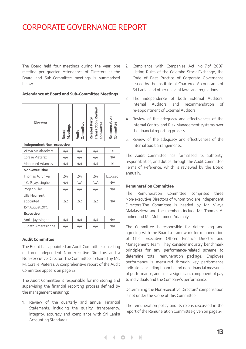The Board held four meetings during the year, one meeting per quarter. Attendance of Directors at the Board and Sub-Committee meetings is summarised below.

| <b>Director</b>                  | Meetings<br><b>Board</b> | Committee<br>Audit | Related Party<br>Transaction Review<br>Committee | Remuneration<br>Committee |  |  |
|----------------------------------|--------------------------|--------------------|--------------------------------------------------|---------------------------|--|--|
| <b>Independent Non-executive</b> |                          |                    |                                                  |                           |  |  |
| Vijaya Malalasekera              | 4/4                      | 4/4                | 4/4                                              | 1/1                       |  |  |
| Coralie Pietersz                 | 4/4                      | 4/4                | 4/4                                              | N/A                       |  |  |
| Mohamed Adamaly                  | 4/4                      | 4/4                | 4/4                                              | 1/1                       |  |  |
| Non-executive                    |                          |                    |                                                  |                           |  |  |
| Thomas A. Junker                 | 2/4                      | 2/4                | 2/4                                              | Excused                   |  |  |
| J. C. P. Jayasinghe              | 4/4                      | N/A                | N/A                                              | N/A                       |  |  |
| Roger Miller                     | 4/4                      | 4/4                | 4/4                                              | N/A                       |  |  |
| Ulla Neunzert<br>appointed       | 2/2                      | 2/2                | 2/2                                              | N/A                       |  |  |
| 15th August 2019                 |                          |                    |                                                  |                           |  |  |
| <b>Executive</b>                 |                          |                    |                                                  |                           |  |  |
| Amila Jayasinghe                 | 4/4                      | 4/4                | 4/4                                              | N/A                       |  |  |
| Sugath Amarasinghe               | 4/4                      | 4/4                | 4/4                                              | N/A                       |  |  |

# **Attendance at Board and Sub-Committee Meetings**

# **Audit Committee**

The Board has appointed an Audit Committee consisting of three Independent Non-executive Directors and a Non-executive Director. The Committee is chaired by Ms. M. Coralie Pietersz. A comprehensive report of the Audit Committee appears on page 22.

The Audit Committee is responsible for monitoring and supervising the financial reporting process defined by the management ensuring:

1. Review of the quarterly and annual Financial Statements, including the quality, transparency, integrity, accuracy and compliance with Sri Lanka Accounting Standards

- 2. Compliance with Companies Act No. 7 of 2007, Listing Rules of the Colombo Stock Exchange, the Code of Best Practice of Corporate Governance issued by the Institute of Chartered Accountants of Sri Lanka and other relevant laws and regulations.
- 3. The independence of both External Auditors, Internal Auditors and recommendation of re-appointment of External Auditors.
- 4. Review of the adequacy and effectiveness of the Internal Control and Risk Management systems over the financial reporting process.
- 5. Review of the adequacy and effectiveness of the internal audit arrangements.

The Audit Committee has formalised its authority, responsibilities, and duties through the Audit Committee Terms of Reference, which is reviewed by the Board annually.

# **Remuneration Committee**

The Remuneration Committee comprises three Non-executive Directors of whom two are Independent Directors. The Committee is headed by Mr. Vijaya Malalasekera and the members include Mr. Thomas A. Junker and Mr. Mohammed Adamaly.

The Committee is responsible for determining and agreeing with the Board a framework for remuneration of Chief Executive Officer, Finance Director and Management Team. They consider industry benchmark principles for any performance-related scheme to determine total remuneration package. Employee performance is measured through key performance indicators including financial and non-financial measures of performance, and links a significant component of pay to individuals and the Company's performance.

Determining the Non-executive Directors' compensation is not under the scope of this Committee.

The remuneration policy and its role is discussed in the report of the Remuneration Committee given on page 24.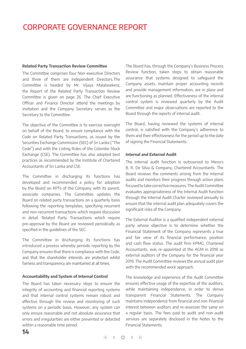### **Related Party Transaction Review Committee**

The Committee comprises four Non-executive Directors and three of them are Independent Directors. The Committee is headed by Mr. Vijaya Malalasekera; the Report of the Related Party Transaction Review Committee is given on page 26. The Chief Executive Officer and Finance Director attend the meetings by invitation and the Company Secretary serves as the Secretary to the Committee.

The objective of the Committee is to exercise oversight on behalf of the Board, to ensure compliance with the Code on Related Party Transactions, as issued by the Securities Exchange Commission (SEC) of Sri Lanka ("The Code") and with the Listing Rules of the Colombo Stock Exchange (CSE). The Committee has also adopted best practices as recommended by the Institute of Chartered Accountants of Sri Lanka and CSE.

The Committee in discharging its functions has developed and recommended a policy for adoption by the Board on RPTs of the Company with its parent, associate companies. The Committee updates the Board on related party transactions on a quarterly basis following the reporting templates, specifying recurrent and non-recurrent transactions which require discussion in detail. Related Party Transactions which require pre-approval by the Board are reviewed periodically as specified in the guidelines of the SEC.

The Committee in discharging its functions has introduced a process whereby periodic reporting by the Company ensures that there is compliance with the Code, and that the shareholder interests are protected whilst fairness and transparency are maintained at all times.

# **Accountability and System of Internal Control**

The Board has taken necessary steps to ensure the integrity of accounting and financial reporting systems and that internal control systems remain robust and effective through the review and monitoring of such systems on a periodic basis. However, any system can only ensure reasonable and not absolute assurance that errors and irregularities are either prevented or detected within a reasonable time period.

The Board has, through the Company's Business Process Review function, taken steps to obtain reasonable assurance that systems designed to safeguard the Company assets, maintain proper accounting records and provide management information, are in place and are functioning as planned. Effectiveness of the internal control system is reviewed quarterly by the Audit Committee and major observations are reported to the Board through the reports of internal audit.

The Board, having reviewed the systems of internal control, is satisfied with the Company's adherence to them and their effectiveness for the period up to the date of signing the Financial Statements.

# **Internal and External Audit**

The internal audit function is outsourced to Messrs B. R. De Silva & Company, Chartered Accountants. The Board reviews the comments arising from the internal audits and monitors their progress through action plans focused to take corrective measures. The Audit Committee evaluates appropriateness of the Internal Audit function through the Internal Audit Charter reviewed annually to ensure that the internal audit plan adequately covers the significant risks of the Company.

The External Auditor is a qualified independent external party whose objective is to determine whether the Financial Statement of the Company represents a true and fair view of its financial performance, position and cash flow status. The audit firm KPMG, Chartered Accountants, was re-appointed at the AGM in 2018 as external auditors of the Company for the financial year 2019. The Audit Committee reviews the annual audit plan with the recommended work approach.

The knowledge and experience of the Audit Committee ensures effective usage of the expertise of the auditors, while maintaining independence, in order to derive transparent Financial Statements. The Company maintains independence from financial and non-financial interest between auditors and re-assesses the same on a regular basis. The fees paid to audit and non-audit services are separately disclosed in the Notes to the Financial Statements.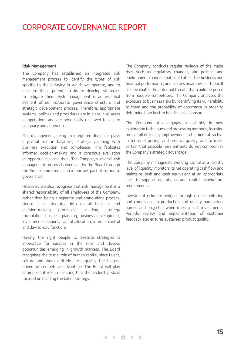#### **Risk Management**

The Company has established an integrated risk management process to identify the types of risk specific to the industry in which we operate, and to measure those potential risks to develop strategies to mitigate them. Risk management is an essential element of our corporate governance structure and strategic development process. Therefore, appropriate systems, policies and procedures are in place in all areas of operations and are periodically reviewed to ensure adequacy and adherence.

Risk management, being an integrated discipline, plays a pivotal role in balancing strategic planning with business execution and compliance. This facilitates informed decision-making and a conscious evaluation of opportunities and risks. The Company's overall risk management process is overseen by the Board through the Audit Committee as an important part of corporate governance.

However, we also recognise that risk management is a shared responsibility of all employees of the Company, rather than being a separate and stand-alone process. Hence it is integrated into overall business and decision-making processes including strategy formulation, business planning, business development, investment decisions, capital allocation, internal control and day-to-day functions.

Having the right people to execute strategies is imperative for success in the new and diverse opportunities emerging in growth markets. The Board recognises the crucial role of human capital, since talent, culture and work attitude are arguably the biggest drivers of competitive advantage. The Board will play an important role in ensuring that the leadership stays focused on building the talent strategy.

The Company conducts regular reviews of the major risks such as regulatory changes, and political and environment changes that could affect the business and financial performance, and creates awareness of them. It also evaluates the potential threats that could be posed from possible competitors.  The Company analyses the exposure to business risks by identifying its vulnerability to them and the probability of occurrence in order to determine how best to handle such exposure.

The Company also engages consistently in new exploration techniques and processing methods, focusing on overall efficiency improvement to be more attractive in terms of pricing, and product quality, and to make certain that possible new entrants do not compromise the Company's strategic advantage.

The Company manages its working capital at a healthy level of liquidity, monitors its net operating cash flow and maintains cash and cash equivalent at an appropriate level to support operational and capital expenditure requirements.

Investment risks are hedged through close monitoring and compliance to production and quality parameters agreed and projected when making such investments. Periodic review and implementation of customer feedback also ensures sustained product quality.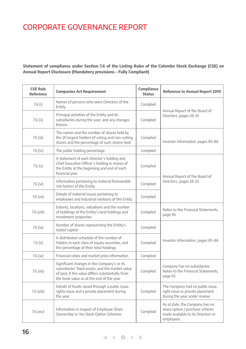# **Statement of compliance under Section 7.6 of the Listing Rules of the Colombo Stock Exchange (CSE) on Annual Report Disclosure (Mandatory provisions – Fully Compliant)**

| <b>CSE Rule</b><br><b>Reference</b> | <b>Companies Act Requirement</b>                                                                                                                                                                | Compliance<br><b>Status</b> | <b>Reference to Annual Report 2019</b>                                                                               |  |
|-------------------------------------|-------------------------------------------------------------------------------------------------------------------------------------------------------------------------------------------------|-----------------------------|----------------------------------------------------------------------------------------------------------------------|--|
| 7.6 (i)                             | Names of persons who were Directors of the<br>Entity                                                                                                                                            | Complied                    |                                                                                                                      |  |
| $7.6$ (ii)                          | Principal activities of the Entity and its<br>subsidiaries during the year, and any changes<br>therein                                                                                          | Complied                    | Annual Report of the Board of<br>Directors, pages 28-33                                                              |  |
| 7.6 (iii)                           | The names and the number of shares held by<br>the 20 largest holders of voting and non-voting<br>shares and the percentage of such shares held                                                  | Complied                    | Investor Information, pages 85-86                                                                                    |  |
| $7.6$ (iv)                          | The public holding percentage                                                                                                                                                                   | Complied                    |                                                                                                                      |  |
| 7.6(v)                              | A statement of each Director's holding and<br>Chief Executive Officer's holding in shares of<br>the Entity at the beginning and end of each<br>financial year                                   | Complied                    | Annual Report of the Board of                                                                                        |  |
| 7.6 (vi)                            | Information pertaining to material foreseeable<br>risk factors of the Entity                                                                                                                    | Complied                    | Directors, pages 28-33                                                                                               |  |
| 7.6 (vii)                           | Details of material issues pertaining to<br>employees and industrial relations of the Entity                                                                                                    | Complied                    |                                                                                                                      |  |
| 7.6 (viii)                          | Extents, locations, valuations and the number<br>of buildings of the Entity's land holdings and<br>investment properties                                                                        | Complied                    | Notes to the Financial Statements,<br>page 66                                                                        |  |
| 7.6 (ix)                            | Number of shares representing the Entity's<br>stated capital                                                                                                                                    | Complied                    |                                                                                                                      |  |
| 7.6(x)                              | A distribution schedule of the number of<br>holders in each class of equity securities, and<br>the percentage of their total holdings                                                           | Complied                    | Investor Information, pages 85-86                                                                                    |  |
| 7.6 (xi)                            | Financial ratios and market price information                                                                                                                                                   | Complied                    |                                                                                                                      |  |
| 7.6 (xii)                           | Significant changes in the Company's or its<br>subsidiaries' fixed assets, and the market value<br>of land, if the value differs substantially from<br>the book value as at the end of the year | Complied                    | Company has no subsidiaries.<br>Notes to the Financial Statements,<br>page 65                                        |  |
| 7.6 (xiii)                          | Details of funds raised through a public issue,<br>rights issue and a private placement during<br>the year                                                                                      | Complied                    | The Company had no public issue,<br>right issue or private placement<br>during the year under review.                |  |
| 7.6 (xiv)                           | Information in respect of Employee Share<br>Ownership or Yes Stock Option Schemes                                                                                                               | Complied                    | As at date, the Company has no<br>share option / purchase scheme<br>made available to its Directors or<br>employees. |  |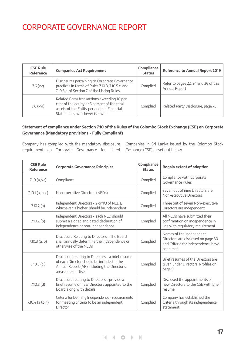| <b>CSE Rule</b><br><b>Reference</b> | <b>Companies Act Requirement</b>                                                                                                                                            | <b>Compliance</b><br><b>Status</b> | <b>Reference to Annual Report 2019</b>                |
|-------------------------------------|-----------------------------------------------------------------------------------------------------------------------------------------------------------------------------|------------------------------------|-------------------------------------------------------|
| $7.6$ (xv)                          | Disclosures pertaining to Corporate Governance<br>practices in terms of Rules 7.10.3, 7.10.5 c. and<br>7.10.6 c. of Section 7 of the Listing Rules                          | Complied                           | Refer to pages 22, 24 and 26 of this<br>Annual Report |
| $7.6$ (xvi)                         | Related Party transactions exceeding 10 per<br>cent of the equity or 5 percent of the total<br>assets of the Entity per audited Financial<br>Statements, whichever is lower | Complied                           | Related Party Disclosure, page 75                     |

# **Statement of compliance under Section 7.10 of the Rules of the Colombo Stock Exchange (CSE) on Corporate Governance (Mandatory provisions - Fully Compliant)**

Company has complied with the mandatory disclosure Companies in Sri Lanka issued by the Colombo Stock requirement on Corporate Governance for Listed Exchange (CSE) as set out below.

| <b>CSE Rule</b><br><b>Reference</b> | <b>Corporate Governance Principles</b>                                                                                                                               | <b>Compliance</b><br><b>Status</b> | <b>Bogala extent of adoption</b>                                                                                 |
|-------------------------------------|----------------------------------------------------------------------------------------------------------------------------------------------------------------------|------------------------------------|------------------------------------------------------------------------------------------------------------------|
| 7.10 $(a,b,c)$                      | Compliance                                                                                                                                                           | Complied                           | Compliance with Corporate<br>Governance Rules                                                                    |
| 7.10.1 (a, b, c)                    | Non-executive Directors (NEDs)                                                                                                                                       | Complied                           | Seven out of nine Directors are<br>Non-executive Directors                                                       |
| 7.10.2(a)                           | Independent Directors - 2 or 1/3 of NEDs,<br>whichever is higher, should be independent                                                                              | Complied                           | Three out of seven Non-executive<br>Directors are independent                                                    |
| $7.10.2$ (b)                        | Independent Directors - each NED should<br>submit a signed and dated declaration of<br>independence or non-independence                                              | Complied                           | All NFDs have submitted their<br>confirmation on independence in<br>line with regulatory requirement             |
| $7.10.3$ (a, b)                     | Disclosure Relating to Directors - The Board<br>shall annually determine the independence or<br>otherwise of the NEDs                                                | Complied                           | Names of the Independent<br>Directors are disclosed on page 30<br>and Criteria for independence have<br>been met |
| 7.10.3(c)                           | Disclosure relating to Directors - a brief resume<br>of each Director should be included in the<br>Annual Report (AR) including the Director's<br>areas of expertise | Complied                           | Brief resumes of the Directors are<br>given under Directors' Profiles on<br>page 9                               |
| $7.10.3$ (d)                        | Disclosure relating to Directors - provide a<br>brief resume of new Directors appointed to the<br>Board along with details                                           | Complied                           | Disclosed the appointments of<br>new Directors to the CSE with brief<br>resume                                   |
| $7.10.4$ (a to h)                   | Criteria for Defining Independence - requirements<br>for meeting criteria to be an independent<br>Director                                                           | Complied                           | Company has established the<br>Criteria through its independence<br>statement                                    |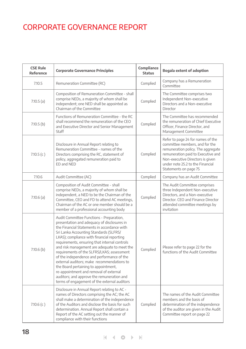| <b>CSE Rule</b><br><b>Reference</b> | <b>Corporate Governance Principles</b>                                                                                                                                                                                                                                                                                                                                                                                                                                                                                                                                                                                                                    | <b>Compliance</b><br><b>Status</b> | <b>Bogala extent of adoption</b>                                                                                                                                                                                                                 |
|-------------------------------------|-----------------------------------------------------------------------------------------------------------------------------------------------------------------------------------------------------------------------------------------------------------------------------------------------------------------------------------------------------------------------------------------------------------------------------------------------------------------------------------------------------------------------------------------------------------------------------------------------------------------------------------------------------------|------------------------------------|--------------------------------------------------------------------------------------------------------------------------------------------------------------------------------------------------------------------------------------------------|
| 7.10.5                              | Remuneration Committee (RC)                                                                                                                                                                                                                                                                                                                                                                                                                                                                                                                                                                                                                               | Complied                           | Company has a Remuneration<br>Committee                                                                                                                                                                                                          |
| $7.10.5$ (a)                        | Composition of Remuneration Committee - shall<br>comprise NEDs, a majority of whom shall be<br>independent; one NED shall be appointed as<br>Chairman of the Committee                                                                                                                                                                                                                                                                                                                                                                                                                                                                                    | Complied                           | The Committee comprises two<br>Independent Non-executive<br>Directors and a Non-executive<br>Director                                                                                                                                            |
| $7.10.5$ (b)                        | Functions of Remuneration Committee - the RC<br>shall recommend the remuneration of the CEO<br>and Executive Director and Senior Management<br>Staff                                                                                                                                                                                                                                                                                                                                                                                                                                                                                                      | Complied                           | The Committee has recommended<br>the remuneration of Chief Executive<br>Officer, Finance Director, and<br>Management Committee                                                                                                                   |
| 7.10.5(c)                           | Disclosure in Annual Report relating to<br>Remuneration Committee - names of the<br>Directors comprising the RC, statement of<br>policy, aggregated remuneration paid to<br>ED and NED                                                                                                                                                                                                                                                                                                                                                                                                                                                                    | Complied                           | Refer to page 24 for names of the<br>committee members, and for the<br>remuneration policy. The aggregate<br>remuneration paid to Executive and<br>Non-executive Directors is given<br>under note 25.2 to the Financial<br>Statements on page 75 |
| 7.10.6                              | Audit Committee (AC)                                                                                                                                                                                                                                                                                                                                                                                                                                                                                                                                                                                                                                      | Complied                           | Company has an Audit Committee                                                                                                                                                                                                                   |
| 7.10.6(a)                           | Composition of Audit Committee - shall<br>comprise NEDs, a majority of whom shall be<br>independent, a NED to be the Chairman of the<br>Committee, CEO and FD to attend AC meetings,<br>Chairman of the AC or one member should be a<br>member of a professional accounting body                                                                                                                                                                                                                                                                                                                                                                          | Complied                           | The Audit Committee comprises<br>three Independent Non-executive<br>Directors, and a Non-executive<br>Director. CEO and Finance Director<br>attended committee meetings by<br>invitation                                                         |
| 7.10.6(b)                           | Audit Committee Functions - Preparation,<br>presentation and adequacy of disclosures in<br>the Financial Statements in accordance with<br>Sri Lanka Accounting Standards (SLFRS/<br>LKAS); compliance with financial reporting<br>requirements, ensuring that internal controls<br>and risk management are adequate to meet the<br>requirements of the SLFRS/LKAS; assessment<br>of the independence and performance of the<br>external auditors; make recommendations to<br>the Board pertaining to appointment,<br>re-appointment and removal of external<br>auditors; and approve the remuneration and<br>terms of engagement of the external auditors | Complied                           | Please refer to page 22 for the<br>functions of the Audit Committee                                                                                                                                                                              |
| 7.10.6(c)                           | Disclosure in Annual Report relating to AC -<br>names of Directors comprising the AC; the AC<br>shall make a determination of the independence<br>of the Auditors and disclose the basis for such<br>determination. Annual Report shall contain a<br>Report of the AC setting out the manner of<br>compliance with their functions                                                                                                                                                                                                                                                                                                                        | Complied                           | The names of the Audit Committee<br>members and the basis of<br>determination of the independence<br>of the auditor are given in the Audit<br>Committee report on page 22                                                                        |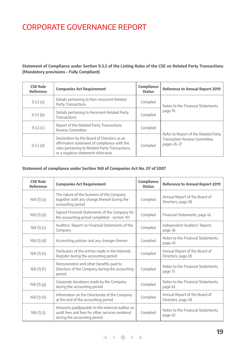# **Statement of Compliance under Section 9.3.2 of the Listing Rules of the CSE on Related Party Transactions (Mandatory provisions – Fully Compliant)**

| <b>CSE Rule</b><br>Reference | <b>Companies Act Requirement</b>                                                                                                                                                    | <b>Compliance</b><br><b>Status</b> | <b>Reference to Annual Report 2019</b>                                               |  |
|------------------------------|-------------------------------------------------------------------------------------------------------------------------------------------------------------------------------------|------------------------------------|--------------------------------------------------------------------------------------|--|
| 9.3.2(a)                     | Details pertaining to Non-recurrent Related<br>Party Transactions                                                                                                                   | Complied                           | Notes to the Financial Statements.                                                   |  |
| 9.3.2(b)                     | Details pertaining to Recurrent Related Party<br>Transactions                                                                                                                       | Complied                           | page 76                                                                              |  |
| 9.3.2(c)                     | Report of the Related Party Transactions<br>Review Committee                                                                                                                        | Complied                           |                                                                                      |  |
| $9.3.2$ (d)                  | Declaration by the Board of Directors as an<br>affirmative statement of compliance with the<br>rules pertaining to Related Party Transactions,<br>or a negative statement otherwise | Complied                           | Refer to Report of the Related Party<br>Transaction Review Committee,<br>pages 26-27 |  |

# **Statement of compliance under Section 168 of Companies Act No. 07 of 2007**

| <b>CSE Rule</b><br><b>Reference</b>                                                                                                                | <b>Companies Act Requirement</b>                                                                | <b>Compliance</b><br><b>Status</b> | <b>Reference to Annual Report 2019</b>              |  |
|----------------------------------------------------------------------------------------------------------------------------------------------------|-------------------------------------------------------------------------------------------------|------------------------------------|-----------------------------------------------------|--|
| The nature of the business of the Company<br>together with any change thereof during the<br>168(1)(a)<br>accounting period                         |                                                                                                 | Complied                           | Annual Report of the Board of<br>Directors, page 28 |  |
| 168(1)(b)                                                                                                                                          | Signed Financial Statements of the Company for<br>the accounting period completed - section 151 | Complied                           | Financial Statements, page 42                       |  |
| Auditors' Report on Financial Statements of the<br>168 $(1)(c)$<br>Company                                                                         |                                                                                                 | Complied                           | Independent Auditors' Report,<br>page 36            |  |
| 168(1)(d)<br>Accounting policies and any changes therein                                                                                           |                                                                                                 | Complied                           | Notes to the Financial Statements.<br>page 45       |  |
| 168(1)(e)                                                                                                                                          | Particulars of the entries made in the Interests<br>Register during the accounting period       |                                    | Annual Report of the Board of<br>Directors, page 28 |  |
| Remuneration and other benefits paid to<br>Directors of the Company during the accounting<br>168(1)(f)<br>period                                   |                                                                                                 | Complied                           | Notes to the Financial Statements,<br>page 75       |  |
| Corporate donations made by the Company<br>168(1)(q)<br>during the accounting period                                                               |                                                                                                 | Complied                           | Notes to the Financial Statements,<br>page 62       |  |
| 168(1)(h)                                                                                                                                          | Information on the Directorate of the Company<br>at the end of the accounting period            |                                    | Annual Report of the Board of<br>Directors, page 28 |  |
| Amounts paid/payable to the external auditor as<br>audit fees and fees for other services rendered<br>168 $(1)(i)$<br>during the accounting period |                                                                                                 | Complied                           | Notes to the Financial Statements.<br>page 62       |  |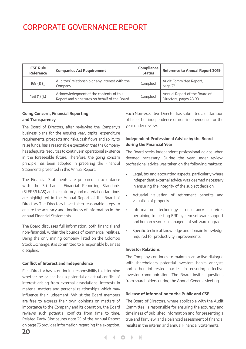| <b>CSE Rule</b><br><b>Reference</b> | Compliance<br><b>Companies Act Requirement</b>                                          |          | Reference to Annual Report 2019                         |  |
|-------------------------------------|-----------------------------------------------------------------------------------------|----------|---------------------------------------------------------|--|
| 168(1)(i)                           | Auditors' relationship or any interest with the<br>Company                              |          | Audit Committee Report,<br>Complied<br>page 22          |  |
| 168(1)(k)                           | Acknowledegment of the contents of this<br>Report and signatures on behalf of the Board | Complied | Annual Report of the Board of<br>Directors, pages 28-33 |  |

# **Going Concern, Financial Reporting and Transparency**

The Board of Directors, after reviewing the Company's business plans for the ensuing year, capital expenditure requirements, prospects and risks, cash flows and ability to raise funds, has a reasonable expectation that the Company has adequate resources to continue in operational existence in the foreseeable future. Therefore, the going concern principle has been adopted in preparing the Financial Statements presented in this Annual Report.

The Financial Statements are prepared in accordance with the Sri Lanka Financial Reporting Standards (SLFRS/LKAS) and all statutory and material declarations are highlighted in the Annual Report of the Board of Directors. The Directors have taken reasonable steps to ensure the accuracy and timeliness of information in the annual Financial Statements.

The Board discusses full information, both financial and non-financial, within the bounds of commercial realities. Being the only mining company listed on the Colombo Stock Exchange, it is committed to a responsible business discipline.

# **Conflict of Interest and Independence**

Each Director has a continuing responsibility to determine whether he or she has a potential or actual conflict of interest arising from external associations, interests in material matters and personal relationships which may influence their judgement. Whilst the Board members are free to express their own opinions on matters of importance to the Company and its operation, the Board reviews such potential conflicts from time to time. Related Party Disclosures note 25 of the Annual Report on page 75 provides information regarding the exception.

Each Non-executive Director has submitted a declaration of his or her independence or non-independence for the year under review.

# **Independent Professional Advice by the Board during the Financial Year**

The Board seeks independent professional advice when deemed necessary. During the year under review, professional advice was taken on the following matters:

- Legal, tax and accounting aspects, particularly where independent external advice was deemed necessary in ensuring the integrity of the subject decision.
- Actuarial valuation of retirement benefits and valuation of property.
- Information technology consultancy services pertaining to existing ERP system software support and human resource management software upgrade.
- Specific technical knowledge and domain knowledge required for productivity improvements.

# **Investor Relations**

The Company continues to maintain an active dialogue with shareholders, potential investors, banks, analysts and other interested parties in ensuring effective investor communication. The Board invites questions from shareholders during the Annual General Meeting.

# **Release of Information to the Public and CSE**

The Board of Directors, where applicable with the Audit Committee, is responsible for ensuring the accuracy and timeliness of published information and for presenting a true and fair view, and a balanced assessment of financial results in the interim and annual Financial Statements.

 $\blacksquare$  $\mathbb{N}$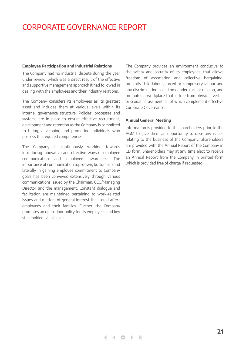### **Employee Participation and Industrial Relations**

The Company had no industrial dispute during the year under review, which was a direct result of the effective and supportive management approach it had followed in dealing with the employees and their industry relations.

The Company considers its employees as its greatest asset and includes them at various levels within its internal governance structure. Policies, processes and systems are in place to ensure effective recruitment, development and retention as the Company is committed to hiring, developing and promoting individuals who possess the required competencies.

The Company is continuously working towards introducing innovative and effective ways of employee communication and employee awareness. The importance of communication top-down, bottom-up and laterally in gaining employee commitment to Company goals has been conveyed extensively through various communications issued by the Chairman, CEO/Managing Director and the management. Constant dialogue and facilitation are maintained pertaining to work-related issues and matters of general interest that could affect employees and their families. Further, the Company promotes an open-door policy for its employees and key stakeholders, at all levels.

The Company provides an environment conducive to the safety and security of its employees, that allows freedom of association and collective bargaining, prohibits child labour, forced or compulsory labour and any discrimination based on gender, race or religion, and promotes a workplace that is free from physical, verbal or sexual harassment, all of which complement effective Corporate Governance.

# **Annual General Meeting**

Information is provided to the shareholders prior to the AGM to give them an opportunity to raise any issues relating to the business of the Company. Shareholders are provided with the Annual Report of the Company in CD form. Shareholders may at any time elect to receive an Annual Report from the Company in printed form which is provided free of charge if requested.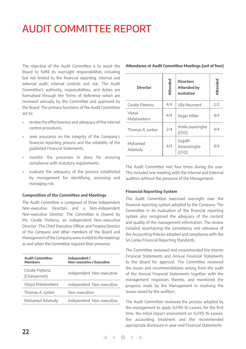# Audit Committee Report

The objective of the Audit Committee is to assist the Board to fulfill its oversight responsibilities including but not limited to the financial reporting, internal and external audit, internal controls and risk. The Audit Committee's authority, responsibilities, and duties are formalised through the Terms of Reference which are reviewed annually by the Committee and approved by the Board. The primary functions of the Audit Committee are to:

- review the effectiveness and adequacy of the internal control procedures,
- seek assurance on the integrity of the Company's financial reporting process and the reliability of the published Financial Statements,
- monitor the processes in place for ensuring compliance with statutory requirements,
- evaluate the adequacy of the process established by management for identifying, assessing and managing risk.

## **Composition of the Committee and Meetings**

The Audit Committee is composed of three Independent Non-executive Directors and a Non-independent Non-executive Director. The Committee is chaired by Ms. Coralie Pietersz, an independent Non-executive Director. The Chief Executive Officer and Finance Director of the Company and other members of the Board and Management of the Company were invited to the meetings as and when the Committee required their presence.

| <b>Audit Committee</b><br><b>Members</b> | Independent /<br>Non-executive / Executive |
|------------------------------------------|--------------------------------------------|
| Coralie Pietersz<br>(Chairperson)        | Independent Non-executive                  |
| Vijaya Malalasekera                      | Independent Non-executive                  |
| Thomas A. Junker                         | Non-executive                              |
| Mohamed Adamaly                          | Independent Non-executive                  |

| <b>Director</b>        | Attended | <b>Directors</b><br><b>Attended by</b><br><b>Invitation</b> | Attended |
|------------------------|----------|-------------------------------------------------------------|----------|
| Coralie Pietersz       | 4/4      | Ulla Neunzert                                               | 2/2      |
| Vijaya<br>Malalasekera | 4/4      | Roger Miller                                                | 4/4      |
| Thomas A. Junker       | 2/4      | Amila Jayasinghe<br>(CEO)                                   | 4/4      |
| Mohamed<br>Adamaly     | 4/4      | Sugath<br>Amarasinghe<br>(CFO)                              | 4/4      |

## **Attendance at Audit Committee Meetings (out of four)**

The Audit Committee met four times during the year. This included one meeting with the Internal and External auditors without the presence of the Management.

# **Financial Reporting System**

The Audit Committee exercised oversight over the financial reporting system adopted by the Company. The Committee in its evaluation of the financial reporting system also recognised the adequacy of the content and quality of the management information. The review included ascertaining the consistency and relevance of the Accounting Policies adopted and compliance with the Sri Lanka Financial Reporting Standards.

The Committee reviewed and recommended the Interim Financial Statements and Annual Financial Statements to the Board for approval. The Committee reviewed the issues and recommendations arising from the audit of the Annual Financial Statements together with the management responses thereto, and monitored the progress made by the Management in resolving the issues raised by the auditors. 

The Audit Committee reviewed the process adopted by the management to apply SLFRS 16-Leases, for the first time, the initial impact assessment on SLFRS 16-Leases, the accounting treatment and the recommended appropriate disclosure in year-end Financial Statements.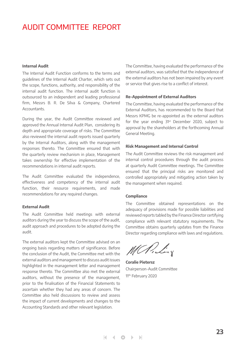# Audit Committee Report

### **Internal Audit**

The Internal Audit Function conforms to the terms and guidelines of the Internal Audit Charter, which sets out the scope, functions, authority, and responsibility of the internal audit function. The internal audit function is outsourced to an independent and leading professional firm, Messrs B. R. De Silva & Company, Chartered Accountants.

During the year, the Audit Committee reviewed and approved the Annual Internal Audit Plan, considering its depth and appropriate coverage of risks. The Committee also reviewed the internal audit reports issued quarterly by the Internal Auditors, along with the management responses thereto. The Committee ensured that with the quarterly review mechanism in place, Management takes ownership for effective implementation of the recommendations in internal audit reports.

The Audit Committee evaluated the independence, effectiveness and competency of the internal audit function, their resource requirements, and made recommendations for any required changes.

## **External Audit**

The Audit Committee held meetings with external auditors during the year to discuss the scope of the audit, audit approach and procedures to be adopted during the audit.

The external auditors kept the Committee advised on an ongoing basis regarding matters of significance. Before the conclusion of the Audit, the Committee met with the external auditors and management to discuss audit issues highlighted in the management letter and management response thereto. The Committee also met the external auditors, without the presence of the management, prior to the finalisation of the Financial Statements to ascertain whether they had any areas of concern. The Committee also held discussions to review and assess the impact of current developments and changes to the Accounting Standards and other relevant legislation.

The Committee, having evaluated the performance of the external auditors, was satisfied that the independence of the external auditors has not been impaired by any event or service that gives rise to a conflict of interest.

## **Re-Appointment of External Auditors**

The Committee, having evaluated the performance of the External Auditors, has recommended to the Board that Messrs KPMG be re-appointed as the external auditors for the year ending  $31^{st}$  December 2020, subject to approval by the shareholders at the forthcoming Annual General Meeting.

## **Risk Management and Internal Control**

The Audit Committee reviews the risk management and internal control procedures through the audit process at quarterly Audit Committee meetings. The Committee ensured that the principal risks are monitored and controlled appropriately and mitigating action taken by the management when required.

### **Compliance**

The Committee obtained representations on the adequacy of provisions made for possible liabilities and reviewed reports tabled by the Finance Director certifying compliance with relevant statutory requirements. The Committee obtains quarterly updates from the Finance Director regarding compliance with laws and regulations.

MCP. Liv

**Coralie Pietersz**  Chairperson-Audit Committee 11th February 2020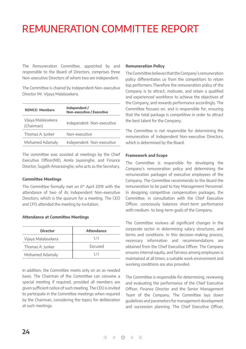# Remuneration Committee Report

The Remuneration Committee, appointed by and responsible to the Board of Directors, comprises three Non-executive Directors of whom two are independent.

The Committee is chaired by Independent Non-executive Director Mr. Vijaya Malalasekera.

| <b>REMCO Members</b>              | Independent /<br>Non-executive / Executive |
|-----------------------------------|--------------------------------------------|
| Vijaya Malalasekera<br>(Chairman) | Independent Non-executive                  |
| Thomas A. Junker                  | Non-executive                              |
| Mohamed Adamaly                   | Independent Non-executive                  |

The committee was assisted at meetings by the Chief Executive Officer/MD, Amila Jayasinghe, and Finance Director, Sugath Amarasinghe, who acts as the Secretary.

### **Committee Meetings**

The Committee formally met on 6<sup>th</sup> April 2019 with the attendance of two of its Independent Non-executive Directors, which is the quorum for a meeting. The CEO and CFO attended the meeting by invitation.

# **Attendance at Committee Meetings**

| <b>Director</b>     | <b>Attendance</b> |  |
|---------------------|-------------------|--|
| Vijaya Malalasekera | 1/1               |  |
| Thomas A. Junker    | <b>Excused</b>    |  |
| Mohamed Adamaly     | 1/1               |  |

In addition, the Committee meets only on an as-needed basis. The Chairman of the Committee can convene a special meeting if required, provided all members are given sufficient notice of such meeting. The CEO is invited to participate in the Committee meetings when required by the Chairman, considering the topics for deliberation at such meetings.

## **Remuneration Policy**

The Committee believes that the Company's remuneration policy differentiates us from the competitors to retain top performers. Therefore the remuneration policy of the Company is to attract, motivate, and retain a qualified and experienced workforce to achieve the objectives of the Company, and rewards performance accordingly. The Committee focuses on, and is responsible for, ensuring that the total package is competitive in order to attract the best talent for the Company.

The Committee is not responsible for determining the remuneration of Independent Non-executive Directors, which is determined by the Board.

# **Framework and Scope**

The Committee is responsible for developing the Company's remuneration policy and determining the remuneration packages of executive employees of the Company. The Committee recommends to the Board the remuneration to be paid to Key Management Personnel. In designing competitive compensation packages, the Committee, in consultation with the Chief Executive Officer, consciously balances short-term performance with medium- to long-term goals of the Company.

The Committee reviews all significant changes in the corporate sector in determining salary structures, and terms and conditions. In this decision-making process, necessary information and recommendations are obtained from the Chief Executive Officer. The Company ensures internal equity, and fairness among employees is maintained at all times; a suitable work environment and working conditions are also provided.

The Committee is responsible for determining, reviewing and evaluating the performance of the Chief Executive Officer, Finance Director and the Senior Management Team of the Company. The Committee lays down guidelines and parameters for management development and succession planning. The Chief Executive Officer,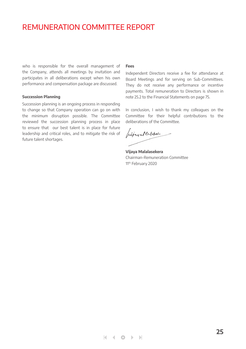# Remuneration Committee Report

who is responsible for the overall management of the Company, attends all meetings by invitation and participates in all deliberations except when his own performance and compensation package are discussed.

# **Succession Planning**

Succession planning is an ongoing process in responding to change so that Company operation can go on with the minimum disruption possible. The Committee reviewed the succession planning process in place to ensure that our best talent is in place for future leadership and critical roles, and to mitigate the risk of future talent shortages.

### **Fees**

Independent Directors receive a fee for attendance at Board Meetings and for serving on Sub-Committees. They do not receive any performance or incentive payments. Total remuneration to Directors is shown in note 25.2 to the Financial Statements on page 75.

In conclusion, I wish to thank my colleagues on the Committee for their helpful contributions to the deliberations of the Committee.

Lijny at Labeteste

**Vijaya Malalasekera** Chairman-Remuneration Committee 11th February 2020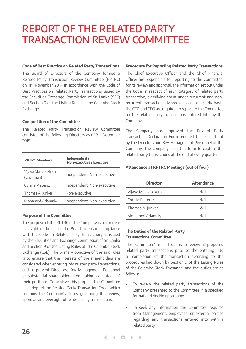# Report of the Related Party Transaction Review Committee

# **Code of Best Practice on Related Party Transactions**

The Board of Directors of the Company formed a Related Party Transaction Review Committee (RPTRC) on 11th November 2014 in accordance with the Code of Best Practices on Related Party Transactions issued by the Securities Exchange Commission of Sri Lanka (SEC) and Section 9 of the Listing Rules of the Colombo Stock Exchange.

# **Composition of the Committee**

The Related Party Transaction Review Committee consisted of the following Directors as of 31<sup>st</sup> December 2019.

| <b>RPTRC Members</b>              | Independent /<br>Non-executive / Executive |
|-----------------------------------|--------------------------------------------|
| Vijaya Malalasekera<br>(Chairman) | Independent Non-executive                  |
| Coralie Pietersz                  | Independent Non-executive                  |
| Thomas A. Junker                  | Non-executive                              |
| Mohamed Adamaly                   | Independent Non-executive                  |

# **Purpose of the Committee**

The purpose of the RPTRC of the Company is to exercise oversight on behalf of the Board to ensure compliance with the Code on Related Party Transaction, as issued by the Securities and Exchange Commission of Sri Lanka and Section 9 of the Listing Rules of the Colombo Stock Exchange (CSE). The primary objective of the said rules is to ensure that the interests of the shareholders are considered when entering into related party transactions, and to prevent Directors, Key Management Personnel or substantial shareholders from taking advantage of their positions. To achieve this purpose the Committee has adopted the Related Party Transaction Code, which contains the Company's Policy governing the review, approval and oversight of related party transactions.

# **Procedure for Reporting Related Party Transactions**

The Chief Executive Officer and the Chief Financial Officer are responsible for reporting to the Committee, for its review and approval, the information set out under the Code, in respect of each category of related party transaction, classifying them under recurrent and nonrecurrent transactions. Moreover, on a quarterly basis, the CEO and CFO are required to report to the Committee on the related party transactions entered into by the Company.

The Company has approved the Related Party Transaction Declaration Form required to be filled out by the Directors and Key Management Personnel of the Company. The Company uses this form to capture the related party transactions at the end of every quarter.

# **Attendance at RPTRC Meetings (out of four)**

| <b>Director</b>     | <b>Attendance</b> |  |
|---------------------|-------------------|--|
| Vijaya Malalasekera | 4/4               |  |
| Coralie Pietersz    | 4/4               |  |
| Thomas A. Junker    | 7/4               |  |
| Mohamed Adamaly     | 4/4               |  |

# **The Duties of the Related Party Transactions Committee**

The Committee's main focus is to review all proposed related party transactions prior to the entering into or completion of the transaction according to the procedures laid down by Section 9 of the Listing Rules of the Colombo Stock Exchange, and the duties are as follows:

- To review the related party transactions of the Company presented to the Committee in a specified format and decide upon same.
- To seek any information the Committee requires from Management, employees, or external parties regarding any transactions entered into with a related party.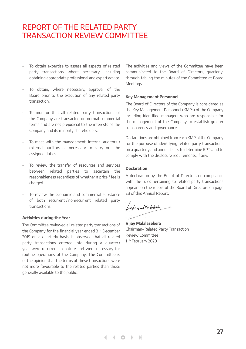# Report of the Related Party Transaction Review Committee

- To obtain expertise to assess all aspects of related party transactions where necessary, including obtaining appropriate professional and expert advice.
- To obtain, where necessary, approval of the Board prior to the execution of any related party transaction.
- To monitor that all related party transactions of the Company are transacted on normal commercial terms and are not prejudicial to the interests of the Company and its minority shareholders.
- To meet with the management, internal auditors / external auditors as necessary to carry out the assigned duties.
- To review the transfer of resources and services between related parties to ascertain the reasonableness regardless of whether a price / fee is charged.
- To review the economic and commercial substance of both recurrent / nonrecurrent related party transactions

## **Activities during the Year**

The Committee reviewed all related party transactions of the Company for the financial year ended 31st December 2019 on a quarterly basis. It observed that all related party transactions entered into during a quarter/ year were recurrent in nature and were necessary for routine operations of the Company. The Committee is of the opinion that the terms of these transactions were not more favourable to the related parties than those generally available to the public.

The activities and views of the Committee have been communicated to the Board of Directors, quarterly, through tabling the minutes of the Committee at Board Meetings.

# **Key Management Personnel**

The Board of Directors of the Company is considered as the Key Management Personnel (KMPs) of the Company including identified managers who are responsible for the management of the Company to establish greater transparency and governance.

Declarations are obtained from each KMP of the Company for the purpose of identifying related party transactions on a quarterly and annual basis to determine RPTs and to comply with the disclosure requirements, if any.

# **Declaration**

A declaration by the Board of Directors on compliance with the rules pertaining to related party transactions appears on the report of the Board of Directors on page 28 of this Annual Report.

Lijny at Estateste

**Vijay Malalasekera** Chairman‒Related Party Transaction Review Committee 11th February 2020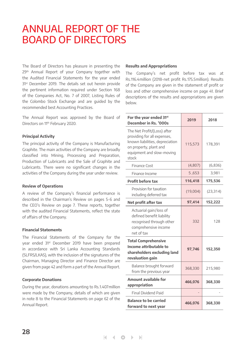The Board of Directors has pleasure in presenting the 29<sup>th</sup> Annual Report of your Company together with the Audited Financial Statements for the year ended 31<sup>st</sup> December 2019. The details set out herein provide the pertinent information required under Section 168 of the Companies Act, No. 7 of 2007, Listing Rules of the Colombo Stock Exchange and are guided by the recommended best Accounting Practices.

The Annual Report was approved by the Board of Directors on 11<sup>th</sup> February 2020.

# **Principal Activity**

The principal activity of the Company is Manufacturing Graphite. The main activities of the Company are broadly classified into Mining, Processing and Preparation, Production of Lubricants and the Sale of Graphite and Lubricants. There were no significant changes in the activities of the Company during the year under review.

# **Review of Operations**

A review of the Company's financial performance is described in the Chairman's Review on pages 5-6 and the CEO's Review on page 7. These reports, together with the audited Financial Statements, reflect the state of affairs of the Company.

# **Financial Statements**

The Financial Statements of the Company for the year ended 31st December 2019 have been prepared in accordance with Sri Lanka Accounting Standards (SLFRS/LKAS), with the inclusion of the signatures of the Chairman, Managing Director and Finance Director are given from page 42 and form a part of the Annual Report.

# **Corporate Donations**

During the year, donations amounting to Rs. 1.407 million were made by the Company, details of which are given in note 8 to the Financial Statements on page 62 of the Annual Report.

# **Results and Appropriations**

The Company's net profit before tax was at Rs. 116.4 million (2018-net profit Rs. 175.5 million). Results of the Company are given in the statement of profit or loss and other comprehensive income on page 41. Brief descriptions of the results and appropriations are given below.

| For the year ended 31st<br>December in Rs. '000s                                                                                                              | 2019     | 2018      |
|---------------------------------------------------------------------------------------------------------------------------------------------------------------|----------|-----------|
| The Net Profit/(Loss) after<br>providing for all expenses,<br>known liabilities, depreciation<br>on property, plant and<br>equipment and slow-moving<br>stock | 115,573  | 178,391   |
| Finance Cost                                                                                                                                                  | (4,807)  | (6,836)   |
| Finance Income                                                                                                                                                | 5,653    | 3,981     |
| <b>Profit before tax</b>                                                                                                                                      | 116,418  | 175,536   |
| Provision for taxation<br>including deferred tax                                                                                                              | (19,004) | (23, 314) |
| Net profit after tax                                                                                                                                          | 97,414   | 152,222   |
| Actuarial gain/loss of<br>defined benefit liability<br>recognised through other<br>comprehensive income<br>net of tax                                         | 332      | 128       |
| <b>Total Comprehensive</b><br>Income attributable to<br>shareholders excluding land<br>revaluation gain                                                       | 97,746   | 152,350   |
| Balance brought forward<br>from the previous year                                                                                                             | 368,330  | 215,980   |
| <b>Amount available for</b><br>appropriation                                                                                                                  | 466,076  | 368,330   |
| Final Dividend Paid                                                                                                                                           |          |           |
| <b>Balance to be carried</b><br>forward to next year                                                                                                          | 466,076  | 368,330   |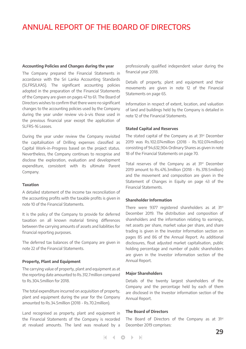### **Accounting Policies and Changes during the year**

The Company prepared the Financial Statements in accordance with the Sri Lanka Accounting Standards (SLFRS/LKAS). The significant accounting policies adopted in the preparation of the Financial Statements of the Company are given on pages 47 to 61. The Board of Directors wishes to confirm that there were no significant changes to the accounting policies used by the Company during the year under review vis-à-vis those used in the previous financial year except the application of SLFRS-16 Leases.

During the year under review the Company revisited the capitalisation of Drilling expenses classified as Capital Work-in-Progress based on the project status. Nevertheless, the Company continues to recognise and disclose the exploration, evaluation and development expenditure, consistent with its ultimate Parent Company.

# **Taxation**

A detailed statement of the income tax reconciliation of the accounting profits with the taxable profits is given in note 10 of the Financial Statements.

It is the policy of the Company to provide for deferred taxation on all known material timing differences between the carrying amounts of assets and liabilities for financial reporting purposes.

The deferred tax balances of the Company are given in note 22 of the Financial Statements.

### **Property, Plant and Equipment**

The carrying value of property, plant and equipment as at the reporting date amounted to Rs. 312.7 million compared to Rs. 304.5 million for 2018.

The total expenditure incurred on acquisition of property, plant and equipment during the year for the Company amounted to Rs. 34.5 million (2018 - Rs. 70.2 million).

Land recognised as property, plant and equipment in the Financial Statements of the Company is recorded at revalued amounts. The land was revalued by a professionally qualified independent valuer during the financial year 2018.

Details of property, plant and equipment and their movements are given in note 12 of the Financial Statements on page 65.

Information in respect of extent, location, and valuation of land and buildings held by the Company is detailed in note 12 of the Financial Statements.

# **Stated Capital and Reserves**

The stated capital of the Company as at 31<sup>st</sup> December 2019 was Rs. 102.074 million (2018 - Rs. 102.074 million) consisting of 94,632,904 Ordinary Shares as given in note 18 of the Financial Statements on page 70.

Total reserves of the Company as at 31<sup>st</sup> December 2019 amount to Rs. 476.3 million (2018 - Rs. 378.5 million) and the movement and composition are given in the Statement of Changes in Equity on page 43 of the Financial Statements.

# **Shareholder Information**

There were 9377 registered shareholders as at 31st December 2019. The distribution and composition of shareholders and the information relating to earnings, net assets per share, market value per share, and share trading is given in the Investor Information section on pages 85 and 86 of the Annual Report. As additional disclosures, float adjusted market capitalisation, public holding percentage and number of public shareholders are given in the Investor information section of the Annual Report.

# **Major Shareholders**

Details of the twenty largest shareholders of the Company and the percentage held by each of them are disclosed in the Investor information section of the Annual Report.

## **The Board of Directors**

The Board of Directors of the Company as at 31st December 2019 comprises: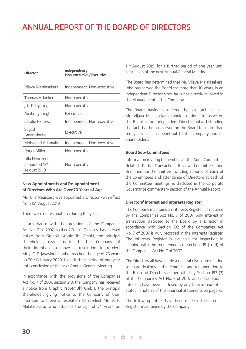| <b>Director</b>                                            | Independent /<br>Non-executive / Executive |
|------------------------------------------------------------|--------------------------------------------|
| Vijaya Malalasekera                                        | Independent Non-executive                  |
| Thomas A. Junker                                           | Non-executive                              |
| J. C. P. Jayasinghe                                        | Non-executive                              |
| Amila Jayasinghe                                           | Executive                                  |
| Coralie Pietersz                                           | Independent Non-executive                  |
| Sugath<br>Amarasinghe                                      | <b>Fxecutive</b>                           |
| Mohamed Adamaly                                            | Independent Non-executive                  |
| Roger Miller                                               | Non-executive                              |
| Ulla Neunzert<br>appointed 15 <sup>th</sup><br>August 2019 | Non-executive                              |

# **New Appointments and Re-appointment of Directors Who Are Over 70 Years of Age**

Ms. Ulla Neunzert was appointed a Director with effect from 15th August 2019.

There were no resignations during the year.

In accordance with the provisions of the Companies Act No. 7 of 2007, section 210, the Company has received notice from Graphit KropfmÜhl GmbH, the principal shareholder, giving notice to the Company of their intention to move a resolution to re-elect Mr. J. C. P. Jayasinghe, who reached the age of 76 years on 20th February 2020, for a further period of one year until conclusion of the next Annual General Meeting.

In accordance with the provisions of the Companies Act No. 7 of 2007, section 210, the Company has received a notice from Graphit KropfmÜhl GmbH, the principal shareholder, giving notice to the Company of their intention to move a resolution to re-elect Mr. V. P. Malalasekera, who attained the age of 74 years on

11<sup>th</sup> August 2019, for a further period of one year until conclusion of the next Annual General Meeting.

The Board has determined that Mr. Vijaya Malalasekera, who has served the Board for more than 10 years, is an Independent Director since he is not directly involved in the Management of the Company.

The Board, having considered the said fact, believes Mr. Vijaya Malalasekera should continue to serve on the Board as an Independent Director notwithstanding the fact that he has served on the Board for more than ten years, as it is beneficial to the Company and its Shareholders. 

# **Board Sub-Committees**

Information relating to members of the Audit Committee, Related Party Transaction Review Committee, and Remuneration Committee including reports of each of the committees and attendance of Directors at each of the Committee meetings, is disclosed in the Corporate Governance commentary section of the Annual Report.

# **Directors' interest and Interests Register**

The Company maintains an Interests Register, as required by the Companies Act No. 7 of 2007. Any interest in transaction disclosed to the Board by a Director in accordance with Section 192 of the Companies Act No. 7 of 2007 is duly recorded in the Interests Register. The Interests Register is available for inspection in keeping with the requirements of section 119 (1) (d) of the Companies Act No. 7 of 2007.

The Directors all have made a general disclosure relating to share dealings and indemnities and remuneration to the Board of Directors as permitted by Section 192 (2) of the Companies Act No. 7 of 2007 and no additional interests have been disclosed by any Director except as stated in note 25 of the Financial Statements on page 75.

The following entries have been made in the Interests Register maintained by the Company: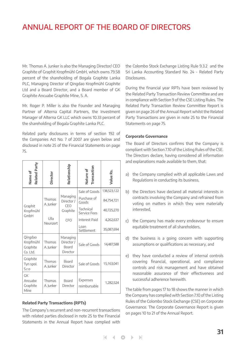Mr. Thomas A. Junker is also the Managing Director/ CEO Graphite of Graphit Kropfmühl GmbH, which owns 79.58 percent of the shareholding of Bogala Graphite Lanka PLC, Managing Director of Qingdao Kropfmühl Graphite Ltd and a Board Director, and a Board member of GK Graphite Ancuabe Graphite Mine, S. A.

Mr. Roger P. Miller is also the Founder and Managing Partner of Alterna Capital Partners, the Investment Manager of Alterna GK LLC which owns 10.33 percent of the shareholding of Bogala Graphite Lanka PLC.

Related party disclosures in terms of section 192 of the Companies Act No. 7 of 2007 are given below and disclosed in note 25 of the Financial Statements on page 75.

| Related Party<br>Name of                     | <b>Director</b>     | Relationship                                | Transaction<br>Nature of  | Jalue Rs.   |
|----------------------------------------------|---------------------|---------------------------------------------|---------------------------|-------------|
|                                              |                     |                                             | Sale of Goods             | 138,523,122 |
|                                              | Thomas<br>A. Junker | Managing<br>Director /                      | Purchase of<br>Goods      | 84,754,721  |
| Graphit<br>Kropfmühl<br>GmbH                 |                     | <b>CEO</b><br>Graphite                      | Technical<br>Service Fees | 40,725,270  |
|                                              | Ulla<br>Neunzert    | CFO                                         | Interest Paid             | 4,262,637   |
|                                              |                     |                                             | Loan<br>Settlement        | 35,087,694  |
| Qingdao<br>Kropfmühl<br>Graphite<br>Co. Ltd. | Thomas<br>A. Junker | Managing<br>Director /<br>Board<br>Director | Sale of Goods             | 14,487,588  |
| Graphite<br>Tyn spol.<br>S.r.o               | Thomas<br>A. Junker | Board<br>Director                           | Sale of Goods             | 15,163,041  |
| GК<br>Ancuabe<br>Graphite<br>Mine            | Thomas<br>A. Junker | Board<br>Director                           | Expenses<br>reimbursable  | 1,282,524   |

## **Related Party Transactions (RPTs)**

The Company's recurrent and non-recurrent transactions with related parties disclosed in note 25 to the Financial Statements in the Annual Report have complied with

the Colombo Stock Exchange Listing Rule 9.3.2 and the Sri Lanka Accounting Standard No. 24 - Related Party Disclosures.

During the financial year RPTs have been reviewed by the Related Party Transaction Review Committee and are in compliance with Section 9 of the CSE Listing Rules. The Related Party Transaction Review Committee Report is given on page 26 of the Annual Report whilst the Related Party Transactions are given in note 25 to the Financial Statements on page 75.

# **Corporate Governance**

The Board of Directors confirms that the Company is compliant with Section 7.10 of the Listing Rules of the CSE. The Directors declare, having considered all information and explanations made available to them, that:

- a) the Company complied with all applicable Laws and Regulations in conducting its business,
- b) the Directors have declared all material interests in contracts involving the Company and refrained from voting on matters in which they were materially interested,
- c) the Company has made every endeavour to ensure equitable treatment of all shareholders,
- d) the business is a going concern with supporting assumptions or qualifications as necessary, and
- e) they have conducted a review of internal controls covering financial, operational, and compliance controls and risk management and have obtained reasonable assurance of their effectiveness and successful adherence herewith.

The table from pages 17 to 18 shows the manner in which the Company has complied with Section 7.10 of the Listing Rules of the Colombo Stock Exchange (CSE) on Corporate Governance. The Corporate Governance Report is given on pages 10 to 21 of the Annual Report.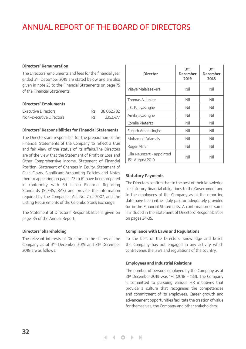# **Directors' Remuneration**

The Directors' emoluments and fees for the financial year ended 31st December 2019 are stated below and are also given in note 25 to the Financial Statements on page 75 of the Financial Statements.

# **Directors' Emoluments**

| Executive Directors     |     | Rs. 38,062,782 |
|-------------------------|-----|----------------|
| Non-executive Directors | Rs. | 3.152.477      |

#### **Directors' Responsibilities for Financial Statements**

The Directors are responsible for the preparation of the Financial Statements of the Company to reflect a true and fair view of the status of its affairs. The Directors are of the view that the Statement of Profit or Loss and Other Comprehensive Income, Statement of Financial Position, Statement of Changes in Equity, Statement of Cash Flows, Significant Accounting Policies and Notes thereto appearing on pages 47 to 61 have been prepared in conformity with Sri Lanka Financial Reporting Standards (SLFRS/LKAS) and provide the information required by the Companies Act No. 7 of 2007, and the Listing Requirements of the Colombo Stock Exchange.

The Statement of Directors' Responsibilities is given on page 34 of the Annual Report.

### **Directors' Shareholding**

The relevant interests of Directors in the shares of the Company as at 31st December 2019 and 31st December 2018 are as follows:

| <b>Director</b>                               | 31st<br><b>December</b><br>2019 | 31 <sup>st</sup><br><b>December</b><br>2018 |
|-----------------------------------------------|---------------------------------|---------------------------------------------|
| Vijaya Malalasekera                           | Nil                             | Nil                                         |
| Thomas A. Junker                              | Nil                             | Nil                                         |
| J. C. P. Jayasinghe                           | Nil                             | Nil                                         |
| Amila Jayasinghe                              | Nil                             | Nil                                         |
| Coralie Pietersz                              | Nil                             | Nil                                         |
| Sugath Amarasinghe                            | Nil                             | Nil                                         |
| Mohamed Adamaly                               | Nil                             | Nil                                         |
| Roger Miller                                  | Nil                             | Nil                                         |
| Ulla Neunzert - appointed<br>15th August 2019 | Nil                             | Nil                                         |

# **Statutory Payments**

The Directors confirm that to the best of their knowledge all statutory financial obligations to the Government and to the employees of the Company as at the reporting date have been either duly paid or adequately provided for in the Financial Statements. A confirmation of same is included in the Statement of Directors' Responsibilities on pages 34-35.

# **Compliance with Laws and Regulations**

To the best of the Directors' knowledge and belief, the Company has not engaged in any activity which contravenes the laws and regulations of the country.

# **Employees and Industrial Relations**

The number of persons employed by the Company as at  $31<sup>st</sup>$  December 2019 was 174 (2018 – 183). The Company is committed to pursuing various HR initiatives that provide a culture that recognises the competencies and commitment of its employees. Career growth and advancement opportunities facilitate the creation of value for themselves, the Company and other stakeholders.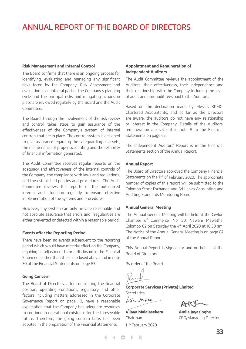### **Risk Management and Internal Control**

The Board confirms that there is an ongoing process for identifying, evaluating and managing any significant risks faced by the Company. Risk Assessment and evaluation is an integral part of the Company's planning cycle and the principal risks and mitigating actions in place are reviewed regularly by the Board and the Audit Committee.

The Board, through the involvement of the risk review and control, takes steps to gain assurance of the effectiveness of the Company's system of internal controls that are in place. The control system is designed to give assurance regarding the safeguarding of assets, the maintenance of proper accounting and the reliability of financial information generated.

The Audit Committee receives regular reports on the adequacy and effectiveness of the internal controls of the Company, the compliance with laws and regulations, and the established policies and procedures. The Audit Committee reviews the reports of the outsourced internal audit function regularly to ensure effective implementation of the systems and procedures.

However, any system can only provide reasonable and not absolute assurance that errors and irregularities are either prevented or detected within a reasonable period.

#### **Events after the Reporting Period**

There have been no events subsequent to the reporting period which would have material effect on the Company, requiring an adjustment to or a disclosure in the Financial Statements other than those disclosed above and in note 30 of the Financial Statements on page 83.

## **Going Concern**

The Board of Directors, after considering the financial position, operating conditions, regulatory and other factors including matters addressed in the Corporate Governance Report on page 10, have a reasonable expectation that the Company has adequate resources to continue in operational existence for the foreseeable future. Therefore, the going concern basis has been adopted in the preparation of the Financial Statements.

# **Appointment and Remuneration of Independent Auditors**

The Audit Committee reviews the appointment of the Auditors, their effectiveness, their independence and their relationship with the Company including the level of audit and non-audit fees paid to the Auditors. 

Based on the declaration made by Messrs KPMG, Chartered Accountants, and as far as the Directors are aware, the auditors do not have any relationship or interest in the Company. Details of the Auditors' remuneration are set out in note 8 to the Financial Statements on page 62.

The Independent Auditors' Report is in the Financial Statements section of the Annual Report.

## **Annual Report**

The Board of Directors approved the Company Financial Statements on the 11th of February 2020. The appropriate number of copies of this report will be submitted to the Colombo Stock Exchange and Sri Lanka Accounting and Auditing Standards Monitoring Board.

# **Annual General Meeting**

The Annual General Meeting will be held at the Ceylon Chamber of Commerce, No. 50, Nawam Mawatha, Colombo 02 on Saturday the 4th April 2020 at 10.30 am. The Notice of the Annual General Meeting is on page 87 of the Annual Report.

This Annual Report is signed for and on behalf of the Board of Directors. 

By order of the Board

**Corporate Services (Private) Limited** Secretaries

Ligney af Labelske

**Vijaya Malalasekera Amila Jayasinghe** 11th February 2020

 $APX$ 

Chairman CEO/Managing Director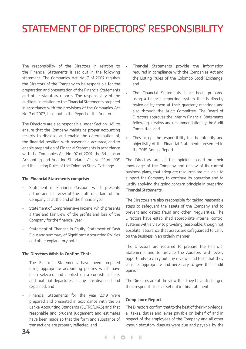# Statement of Directors' Responsibility

The responsibility of the Directors in relation to the Financial Statements is set out in the following statement. The Companies Act No. 7 of 2007 requires the Directors of the Company to be responsible for the preparation and presentation of the Financial Statements and other statutory reports. The responsibility of the auditors, in relation to the Financial Statements prepared in accordance with the provisions of the Companies Act No. 7 of 2007, is set out in the Report of the Auditors. 

The Directors are also responsible under Section 148, to ensure that the Company maintains proper accounting records to disclose, and enable the determination of, the financial position with reasonable accuracy, and to enable preparation of Financial Statements in accordance with the Companies Act No. 07 of 2007, the Sri Lankan Accounting and Auditing Standards Act No. 15 of 1995 and the Listing Rules of the Colombo Stock Exchange.

# **The Financial Statements comprise:**

- Statement of Financial Position, which presents a true and fair view of the state of affairs of the Company as at the end of the financial year
- Statement of Comprehensive Income, which presents a true and fair view of the profits and loss of the Company for the financial year
- Statement of Changes in Equity, Statement of Cash Flow and summary of Significant Accounting Policies and other explanatory notes.

# **The Directors Wish to Confirm That:**

- The Financial Statements have been prepared using appropriate accounting policies which have been selected and applied on a consistent basis and material departures, if any, are disclosed and explained, and
- Financial Statements for the year 2019 were prepared and presented in accordance with the Sri Lanka Accounting Standards (SLFRS/LKAS) and that reasonable and prudent judgement and estimates have been made so that the form and substance of transactions are properly reflected, and
- Financial Statements provide the information required in compliance with the Companies Act and the Listing Rules of the Colombo Stock Exchange, and
- The Financial Statements have been prepared using a financial reporting system that is directly reviewed by them at their quarterly meetings and also through the Audit Committee. The Board of Directors approves the interim Financial Statements following a review and recommendation by the Audit Committee, and
- They accept the responsibility for the integrity and objectivity of the Financial Statements presented in the 2019 Annual Report.

The Directors are of the opinion, based on their knowledge of the Company and review of its current business plans, that adequate resources are available to support the Company to continue its operation and to justify applying the going concern principle in preparing Financial Statements.

The Directors are also responsible for taking reasonable steps to safeguard the assets of the Company and to prevent and detect fraud and other irregularities. The Directors have established appropriate internal control systems with a view to providing reasonable, though not absolute, assurance that assets are safeguarded to carry on the business in an orderly manner.

The Directors are required to prepare the Financial Statements and to provide the Auditors with every opportunity to carry out any reviews and tests that they consider appropriate and necessary to give their audit opinion.

The Directors are of the view that they have discharged their responsibilities as set out in this statement.

# **Compliance Report**

The Directors confirm that to the best of their knowledge, all taxes, duties and levies payable on behalf of and in respect of the employees of the Company and all other known statutory dues as were due and payable by the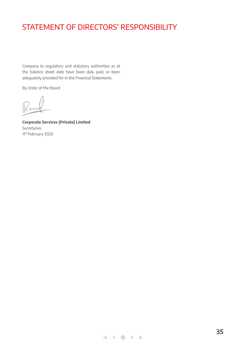# STATEMENT OF DIRECTORS' RESPONSIBILITY

Company to regulatory and statutory authorities as at the balance sheet date have been duly paid, or been adequately provided for in the Financial Statements.

By Order of the Board

**Corporate Services (Private) Limited** Secretaries 11th February 2020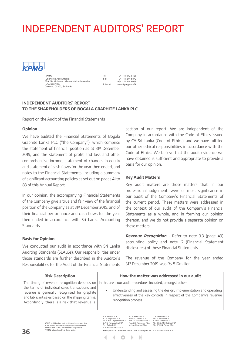# Independent Auditors' Report



KPMG (Chartered Accountants) 32A, Sir Mohamed Macan Markar Mawatha, P. O. Box 186, Colombo 00300, Sri Lanka.

Tel : +94 - 11 542 6426<br>Fax : +94 - 11 244 5872 Fax : +94 - 11 244 5872 +94 - 11 244 6058 Internet : www.kpmg.com/lk

# **INDEPENDENT AUDITORS' REPORT TO THE SHAREHOLDERS OF BOGALA GRAPHITE LANKA PLC**

Report on the Audit of the Financial Statements

#### **Opinion**

We have audited the Financial Statements of Bogala Graphite Lanka PLC ("the Company"), which comprise the statement of financial position as at 31st December 2019, and the statement of profit and loss and other comprehensive income, statement of changes in equity and statement of cash flows for the year then ended, and notes to the Financial Statements, including a summary of significant accounting policies as set out on pages 41 to 83 of this Annual Report.

In our opinion, the accompanying Financial Statements of the Company give a true and fair view of the financial position of the Company as at 31st December 2019, and of their financial performance and cash flows for the year then ended in accordance with Sri Lanka Accounting Standards.

#### **Basis for Opinion**

We conducted our audit in accordance with Sri Lanka Auditing Standards (SLAuSs). Our responsibilities under those standards are further described in the Auditor's Responsibilities for the Audit of the Financial Statements section of our report. We are independent of the Company in accordance with the Code of Ethics issued by CA Sri Lanka (Code of Ethics), and we have fulfilled our other ethical responsibilities in accordance with the Code of Ethics. We believe that the audit evidence we have obtained is sufficient and appropriate to provide a basis for our opinion.

# **Key Audit Matters**

Key audit matters are those matters that, in our professional judgement, were of most significance in our audit of the Company's Financial Statements of the current period. These matters were addressed in the context of our audit of the Company's Financial Statements as a whole, and in forming our opinion thereon, and we do not provide a separate opinion on these matters. 

**Revenue Recognition** - Refer to note 3.3 (page 49) accounting policy and note 6 (Financial Statement disclosures) of these Financial Statements.

The revenue of the Company for the year ended 31st December 2019 was Rs. 816 million.

| <b>Risk Description</b>                                                                                                                                                                                          | How the matter was addressed in our audit                                                                                                                                                                                                                                                     |  |
|------------------------------------------------------------------------------------------------------------------------------------------------------------------------------------------------------------------|-----------------------------------------------------------------------------------------------------------------------------------------------------------------------------------------------------------------------------------------------------------------------------------------------|--|
| $\mid$ the terms of individual sales transactions and $\mid$<br>revenue is generally recognised for graphite<br>and lubricant sales based on the shipping terms.<br>Accordingly, there is a risk that revenue is | The timing of revenue recognition depends on $\vert$ In this area, our audit procedures included, amongst others<br>Understanding and assessing the design, implementation and operating<br>۰<br>effectiveness of the key controls in respect of the Company's revenue<br>recognition process |  |
|                                                                                                                                                                                                                  | M.R. Mihular FCA<br>P.Y.S. Perera FCA<br>C.P. Javatilake FCA<br>Ms. S. Joseph FCA<br>T.J.S. Rajakarier FCA<br>W.W.J.C. Perera FCA<br>C.T.D.I. Desain FOA<br>Ma C.M.D. Jacques Louis ACA<br>$M N \cap C$ Alexandre $C \cap A$                                                                  |  |

KPMG, a Sri Lankan partnership and a memner firm of the KPMG network of independent member firms affiliated with KPMG International Cooperative ("KPMG International"), a Swiss entity.

Ms. S.M.B. Jayasekara ACA G.A.U. Karunaratne FCA R.H. Rajan FCA A.M.R.P. Alahakoon ACA W.K.D.C Abeyrathne FCA R.M.D.B. Rajapakse FCA M.N.M. Shameel ACA **Principals** - S.R.I. Perera FCMA(UK), LLB, Attorney-at-Law, H.S. Goonewardene ACA S.T.D.L. Perera FCA Ms. B.K.D.T.N. Rodrigo FCA Ms. C.T.K.N. Perera ACA

 $\mathbb{R}^2$  $\left\langle \right\rangle$   $\Omega$  $\rightarrow$   $\rightarrow$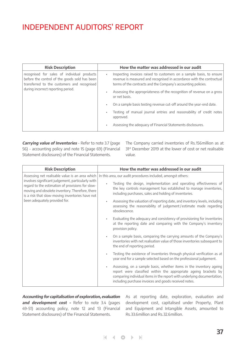| <b>Risk Description</b>                                                                                                                                                           | How the matter was addressed in our audit                                                                                                                                                                                                                                                                                                                                                                                                                                                                                                                     |
|-----------------------------------------------------------------------------------------------------------------------------------------------------------------------------------|---------------------------------------------------------------------------------------------------------------------------------------------------------------------------------------------------------------------------------------------------------------------------------------------------------------------------------------------------------------------------------------------------------------------------------------------------------------------------------------------------------------------------------------------------------------|
| recognised for sales of individual products<br>before the control of the goods sold has been<br>transferred to the customers and recognised<br>during incorrect reporting period. | Inspecting invoices raised to customers on a sample basis, to ensure<br>$\bullet$<br>revenue is measured and recognised in accordance with the contractual<br>terms of the contracts and the Company's accounting policies.<br>Assessing the appropriateness of the recognition of revenue on a gross<br>$\bullet$<br>or net basis.<br>On a sample basis testing revenue cut-off around the year-end date.<br>Testing of manual journal entries and reasonability of credit notes<br>approved.<br>Assessing the adequacy of Financial Statements disclosures. |

**Carrying value of Inventories** - Refer to note 3.7 (page 56) - accounting policy and note 15 (page 69) (Financial Statement disclosures) of the Financial Statements.

The Company carried inventories of Rs. 156 million as at 31<sup>st</sup> December 2019 at the lower of cost or net realisable value.

| <b>Risk Description</b>                                                                                                                                                                                                                                        | How the matter was addressed in our audit                                                                                                                                                                                                                                                |  |
|----------------------------------------------------------------------------------------------------------------------------------------------------------------------------------------------------------------------------------------------------------------|------------------------------------------------------------------------------------------------------------------------------------------------------------------------------------------------------------------------------------------------------------------------------------------|--|
| Assessing net realisable value is an area which<br>involves significant judgement, particularly with<br>regard to the estimation of provisions for slow-<br>moving and obsolete inventory. Therefore, there<br>is a risk that slow-moving inventories have not | In this area, our audit procedures included, amongst others:                                                                                                                                                                                                                             |  |
|                                                                                                                                                                                                                                                                | Testing the design, implementation and operating effectiveness of<br>the key controls management has established to manage inventories,<br>including purchases, sales and holding of inventories.                                                                                        |  |
| been adequately provided for.                                                                                                                                                                                                                                  | Assessing the valuation of reporting date, and inventory levels, including<br>$\bullet$<br>assessing the reasonability of judgement/estimate made regarding<br>obsolescence.                                                                                                             |  |
|                                                                                                                                                                                                                                                                | Evaluating the adequacy and consistency of provisioning for inventories<br>$\bullet$<br>at the reporting date and comparing with the Company's inventory<br>provision policy.                                                                                                            |  |
|                                                                                                                                                                                                                                                                | On a sample basis, comparing the carrying amounts of the Company's<br>inventories with net realisation value of those inventories subsequent to<br>the end of reporting period.                                                                                                          |  |
|                                                                                                                                                                                                                                                                | Testing the existence of inventories through physical verification as at<br>$\bullet$<br>year end for a sample selected based on the professional judgement.                                                                                                                             |  |
|                                                                                                                                                                                                                                                                | Assessing, on a sample basis, whether items in the inventory ageing<br>$\bullet$<br>report were classified within the appropriate ageing brackets by<br>comparing individual items in the report with underlying documentation,<br>including purchase invoices and goods received notes. |  |

**Accounting for capitalisation of exploration, evaluation and development cost -** Refer to note 3.4 (pages 49-51) accounting policy, note 12 and 13 (Financial Statement disclosures) of the Financial Statements.

As at reporting date, exploration, evaluation and development cost, capitalised under Property, Plant and Equipment and Intangible Assets, amounted to Rs. 33.6 million and Rs. 32.6 million.

**K 4 0 1 N**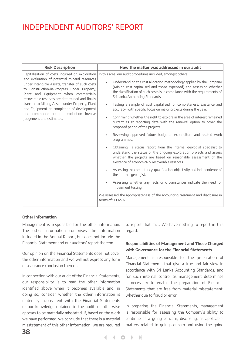| <b>Risk Description</b>                                                                                                                                                                                                                     | How the matter was addressed in our audit                                                                                                                                                                                                                                     |
|---------------------------------------------------------------------------------------------------------------------------------------------------------------------------------------------------------------------------------------------|-------------------------------------------------------------------------------------------------------------------------------------------------------------------------------------------------------------------------------------------------------------------------------|
| Capitalisation of costs incurred on exploration                                                                                                                                                                                             | In this area, our audit procedures included, amongst others:                                                                                                                                                                                                                  |
| and evaluation of potential mineral resources<br>under Intangible Assets, transfer of such costs<br>to Construction-in-Progress under Property,<br>Plant and Equipment when commercially<br>recoverable reserves are determined and finally | Understanding the cost allocation methodology applied by the Company<br>$\bullet$<br>(Mining cost capitalised and those expensed) and assessing whether<br>the classification of such costs is in compliance with the requirements of<br>Sri Lanka Accounting Standards.      |
| transfer to Mining Assets under Property, Plant<br>and Equipment on completion of development                                                                                                                                               | Testing a sample of cost capitalised for completeness, existence and<br>accuracy, with specific focus on major projects during the year.                                                                                                                                      |
| and commencement of production involve<br>judgement and estimates.                                                                                                                                                                          | Confirming whether the right to explore in the area of interest remained<br>$\bullet$<br>current as at reporting date with the renewal option to cover the<br>proposed period of the projects.                                                                                |
|                                                                                                                                                                                                                                             | Reviewing approved future budgeted expenditure and related work<br>programmes,                                                                                                                                                                                                |
|                                                                                                                                                                                                                                             | Obtaining a status report from the internal geologist specialist to<br>$\bullet$<br>understand the status of the ongoing exploration projects and assess<br>whether the projects are based on reasonable assessment of the<br>existence of economically recoverable reserves. |
|                                                                                                                                                                                                                                             | Assessing the competency, qualification, objectivity and independence of<br>۰<br>the internal geologist.                                                                                                                                                                      |
|                                                                                                                                                                                                                                             | Assessing whether any facts or circumstances indicate the need for<br>۰<br>impairment testing.                                                                                                                                                                                |
|                                                                                                                                                                                                                                             | We assessed the appropriateness of the accounting treatment and disclosure in<br>terms of SLFRS 6.                                                                                                                                                                            |

### **Other Information**

Management is responsible for the other information. The other information comprises the information included in the Annual Report, but does not include the Financial Statement and our auditors' report thereon.

Our opinion on the Financial Statements does not cover the other information and we will not express any form of assurance conclusion thereon.

In connection with our audit of the Financial Statements, our responsibility is to read the other information identified above when it becomes available and, in doing so, consider whether the other information is materially inconsistent with the Financial Statements or our knowledge obtained in the audit, or otherwise appears to be materially misstated. If, based on the work we have performed, we conclude that there is a material misstatement of this other information, we are required

to report that fact. We have nothing to report in this regard.

### **Responsibilities of Management and Those Charged with Governance for the Financial Statements**

Management is responsible for the preparation of Financial Statements that give a true and fair view in accordance with Sri Lanka Accounting Standards, and for such internal control as management determines is necessary to enable the preparation of Financial Statements that are free from material misstatement, whether due to fraud or error.

In preparing the Financial Statements, management is responsible for assessing the Company's ability to continue as a going concern, disclosing, as applicable, matters related to going concern and using the going

K.  $\langle$  $\bullet$  $\rightarrow$  $\mathbb{N}$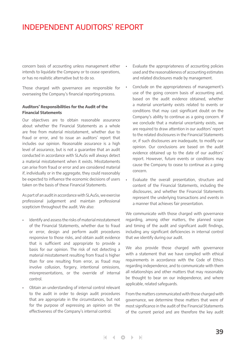concern basis of accounting unless management either intends to liquidate the Company or to cease operations, or has no realistic alternative but to do so.

Those charged with governance are responsible for overseeing the Company's financial reporting process.

### **Auditors' Responsibilities for the Audit of the Financial Statements**

Our objectives are to obtain reasonable assurance about whether the Financial Statements as a whole are free from material misstatement, whether due to fraud or error, and to issue an auditors' report that includes our opinion. Reasonable assurance is a high level of assurance, but is not a guarantee that an audit conducted in accordance with SLAuSs will always detect a material misstatement when it exists. Misstatements can arise from fraud or error and are considered material if, individually or in the aggregate, they could reasonably be expected to influence the economic decisions of users taken on the basis of these Financial Statements.

As part of an audit in accordance with SLAuSs, we exercise professional judgement and maintain professional scepticism throughout the audit. We also:

- Identify and assess the risks of material misstatement of the Financial Statements, whether due to fraud or error, design and perform audit procedures responsive to those risks, and obtain audit evidence that is sufficient and appropriate to provide a basis for our opinion. The risk of not detecting a material misstatement resulting from fraud is higher than for one resulting from error, as fraud may involve collusion, forgery, intentional omissions, misrepresentations, or the override of internal control.
- Obtain an understanding of internal control relevant to the audit in order to design audit procedures that are appropriate in the circumstances, but not for the purpose of expressing an opinion on the effectiveness of the Company's internal control.
- Evaluate the appropriateness of accounting policies used and the reasonableness of accounting estimates and related disclosures made by management.
- Conclude on the appropriateness of management's use of the going concern basis of accounting and, based on the audit evidence obtained, whether a material uncertainty exists related to events or conditions that may cast significant doubt on the Company's ability to continue as a going concern. If we conclude that a material uncertainty exists, we are required to draw attention in our auditors' report to the related disclosures in the Financial Statements or, if such disclosures are inadequate, to modify our opinion. Our conclusions are based on the audit evidence obtained up to the date of our auditors' report. However, future events or conditions may cause the Company to cease to continue as a going concern.
- Evaluate the overall presentation, structure and content of the Financial Statements, including the disclosures, and whether the Financial Statements represent the underlying transactions and events in a manner that achieves fair presentation.

We communicate with those charged with governance regarding, among other matters, the planned scope and timing of the audit and significant audit findings, including any significant deficiencies in internal control that we identify during our audit.

We also provide those charged with governance with a statement that we have complied with ethical requirements in accordance with the Code of Ethics regarding independence, and to communicate with them all relationships and other matters that may reasonably be thought to bear on our independence, and where applicable, related safeguards.

From the matters communicated with those charged with governance, we determine those matters that were of most significance in the audit of the Financial Statements of the current period and are therefore the key audit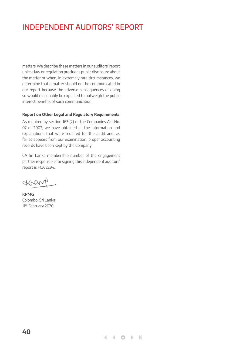matters. We describe these matters in our auditors' report unless law or regulation precludes public disclosure about the matter or when, in extremely rare circumstances, we determine that a matter should not be communicated in our report because the adverse consequences of doing so would reasonably be expected to outweigh the public interest benefits of such communication.

### **Report on Other Legal and Regulatory Requirements**

As required by section 163 (2) of the Companies Act No. 07 of 2007, we have obtained all the information and explanations that were required for the audit and, as far as appears from our examination, proper accounting records have been kept by the Company.

CA Sri Lanka membership number of the engagement partner responsible for signing this independent auditors' report is FCA 2294.

XNON

**KPMG** Colombo, Sri Lanka 11th February 2020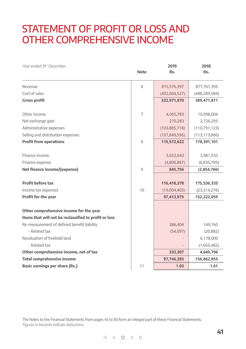# STATEMENT OF PROFIT OR LOSS AND Other Comprehensive Income

| Year ended 31st December                              |             | 2019            | 2018            |
|-------------------------------------------------------|-------------|-----------------|-----------------|
|                                                       | <b>Note</b> | Rs.             | Rs.             |
| Revenue                                               | 6           | 815,576,397     | 877,761,395     |
| Cost of sales                                         |             | (492, 604, 527) | (488, 289, 584) |
| <b>Gross profit</b>                                   |             | 322,971,870     | 389,471,811     |
| Other income                                          | 7           | 4,065,783       | 10,098,004      |
| Net exchange gain                                     |             | 270,283         | 2,726,295       |
| Administrative expenses                               |             | (103,885,718)   | (110,791,123)   |
| Selling and distribution expenses                     |             | (107, 849, 596) | (113, 113, 886) |
| <b>Profit from operations</b>                         | 8           | 115,572,622     | 178,391,101     |
| Finance income                                        |             | 5,652,643       | 3,981,033       |
| Finance expense                                       |             | (4,806,887)     | (6,835,799)     |
| Net finance income/(expense)                          | 9           | 845,756         | (2,854,766)     |
| <b>Profit before tax</b>                              |             | 116,418,378     | 175,536,335     |
| Income tax expenses                                   | 10          | (19,004,403)    | (23, 314, 276)  |
| Profit for the year                                   |             | 97,413,975      | 152,222,059     |
| Other comprehensive income for the year               |             |                 |                 |
| Items that will not be reclassified to profit or loss |             |                 |                 |
| Re-measurement of defined benefit liability           |             | 386,404         | 149,160         |
| - Related tax                                         |             | (54,097)        | (20, 882)       |
| Revaluation of freehold land                          |             |                 | 6,178,000       |
| - Related tax                                         |             |                 | (1,665,482)     |
| Other comprehensive income, net of tax                |             | 332,307         | 4,640,796       |
| <b>Total comprehensive income</b>                     |             | 97,746,283      | 156,862,855     |
| <b>Basic earnings per share (Rs.)</b>                 | 11          | 1.03            | 1.61            |

The Notes to the Financial Statements from pages 45 to 83 form an integral part of these Financial Statements. Figures in brackets indicate deductions.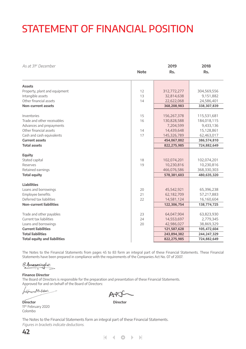# STATEMENT OF FINANCIAL POSITION

As at 31st December **2019 2018**

|                                                    | <b>Note</b> | Rs.                        | Rs.                       |
|----------------------------------------------------|-------------|----------------------------|---------------------------|
| <b>Assets</b>                                      |             |                            |                           |
| Property, plant and equipment                      | 12          | 312,772,277                | 304,569,556               |
| Intangible assets                                  | 13          | 32,814,638                 | 9,151,882                 |
| Other financial assets                             | 14          | 22,622,068                 | 24,586,401                |
| Non-current assets                                 |             | 368,208,983                | 338,307,839               |
|                                                    |             |                            |                           |
| Inventories<br>Trade and other receivables         | 15          | 156,267,378                | 115,531,681               |
|                                                    | 16          | 130,828,588                | 184,018,115               |
| Advances and prepayments<br>Other financial assets |             | 7,204,599                  | 9,433,136                 |
|                                                    | 14<br>17    | 14,439,648                 | 15,128,861                |
| Cash and cash equivalents<br><b>Current assets</b> |             | 145,326,789<br>454,067,002 | 62,463,017<br>386,574,810 |
| <b>Total assets</b>                                |             |                            |                           |
|                                                    |             | 822,275,985                | 724,882,649               |
| <b>Equity</b>                                      |             |                            |                           |
| Stated capital                                     | 18          | 102,074,201                | 102,074,201               |
| Reserves                                           | 19          | 10,230,816                 | 10,230,816                |
| Retained earnings                                  |             | 466,076,586                | 368,330,303               |
| <b>Total equity</b>                                |             | 578,381,603                | 480,635,320               |
| <b>Liabilities</b>                                 |             |                            |                           |
| Loans and borrowings                               | 20          | 45,542,921                 | 65,396,238                |
| Employee benefits                                  | 21          | 62,182,709                 | 57,217,883                |
| Deferred tax liabilities                           | 22          | 14,581,124                 | 16,160,604                |
| <b>Non-current liabilities</b>                     |             | 122,306,754                | 138,774,725               |
|                                                    |             |                            |                           |
| Trade and other payables                           | 23          | 64,047,904                 | 63,823,930                |
| Current tax liabilities                            | 24          | 14,553,697                 | 2,779,345                 |
| Loans and borrowings                               | 20          | 42,986,027                 | 38,869,329                |
| <b>Current liabilities</b>                         |             | 121,587,628                | 105,472,604               |
| <b>Total liabilities</b>                           |             | 243,894,382                | 244,247,329               |
| <b>Total equity and liabilities</b>                |             | 822,275,985                | 724,882,649               |

The Notes to the Financial Statements from pages 45 to 83 form an integral part of these Financial Statements. These Financial Statements have been prepared in compliance with the requirements of the Companies Act No. 07 of 2007.

S. Amarasinghe  $\overline{\cdot}$  .  $\Rightarrow$ 

#### **Finance Director**

The Board of Directors is responsible for the preparation and presentation of these Financial Statements. Approved for and on behalf of the Board of Directors:

Lijny at Lablache

**Director Director** 11th February 2020 Colombo

APJC

The Notes to the Financial Statements form an integral part of these Financial Statements. Figures in brackets indicate deductions.

**K 4 0 1 N**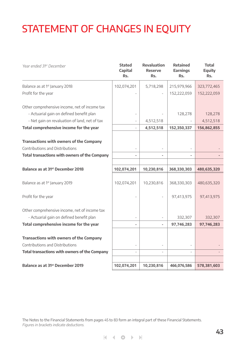# STATEMENT OF CHANGES IN EQUITY

| Year ended 31st December                                                          | <b>Stated</b><br><b>Capital</b><br>Rs. | <b>Revaluation</b><br><b>Reserve</b><br>Rs. | <b>Retained</b><br><b>Earnings</b><br>Rs. | <b>Total</b><br>Equity<br>Rs. |
|-----------------------------------------------------------------------------------|----------------------------------------|---------------------------------------------|-------------------------------------------|-------------------------------|
| Balance as at 1st January 2018                                                    | 102,074,201                            | 5,718,298                                   | 215,979,966                               | 323,772,465                   |
| Profit for the year                                                               |                                        |                                             | 152,222,059                               | 152,222,059                   |
| Other comprehensive income, net of income tax                                     |                                        |                                             |                                           |                               |
| - Actuarial gain on defined benefit plan                                          |                                        |                                             | 128,278                                   | 128,278                       |
| - Net gain on revaluation of land, net of tax                                     |                                        | 4,512,518                                   |                                           | 4,512,518                     |
| Total comprehensive income for the year                                           | L,                                     | 4,512,518                                   | 152,350,337                               | 156,862,855                   |
|                                                                                   |                                        |                                             |                                           |                               |
| <b>Transactions with owners of the Company</b>                                    |                                        |                                             |                                           |                               |
| Contributions and Distributions                                                   | ä,                                     |                                             |                                           |                               |
| Total transactions with owners of the Company                                     | $\overline{a}$                         |                                             |                                           |                               |
|                                                                                   |                                        |                                             |                                           |                               |
| <b>Balance as at 31st December 2018</b>                                           | 102,074,201                            | 10,230,816                                  | 368,330,303                               | 480,635,320                   |
|                                                                                   |                                        |                                             |                                           |                               |
| Balance as at 1st January 2019                                                    | 102,074,201                            | 10,230,816                                  | 368,330,303                               | 480,635,320                   |
| Profit for the year                                                               |                                        |                                             | 97,413,975                                | 97,413,975                    |
| Other comprehensive income, net of income tax                                     |                                        |                                             |                                           |                               |
| - Actuarial gain on defined benefit plan                                          | ä,                                     |                                             | 332,307                                   | 332,307                       |
| Total comprehensive income for the year                                           | ä,                                     |                                             | 97,746,283                                | 97,746,283                    |
| <b>Transactions with owners of the Company</b><br>Contributions and Distributions | ÷,                                     |                                             |                                           |                               |
| Total transactions with owners of the Company                                     |                                        |                                             |                                           |                               |
|                                                                                   |                                        |                                             |                                           |                               |

The Notes to the Financial Statements from pages 45 to 83 form an integral part of these Financial Statements. Figures in brackets indicate deductions.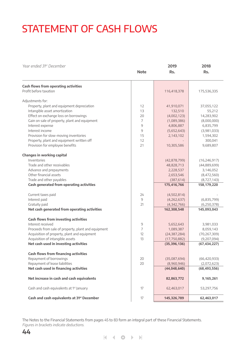# STATEMENT OF CASH FLOWS

Year ended 31st December **2019 2018**

|                                                     | Note           | Rs.            | Rs.            |
|-----------------------------------------------------|----------------|----------------|----------------|
| Cash flows from operating activities                |                |                |                |
| Profit before taxation                              |                | 116,418,378    | 175,536,335    |
| Adjustments for:                                    |                |                |                |
| Property, plant and equipment depreciation          | 12             | 41,910,071     | 37,055,122     |
| Intangible asset amortization                       | 13             | 132,510        | 55,212         |
| Effect on exchange loss on borrowings               | 20             | (4,002,123)    | 14,283,902     |
| Gain on sale of property, plant and equipment       | $\overline{7}$ | (1,089,386)    | (8,000,000)    |
| Interest expense                                    | Q              | 4,806,887      | 6,835,799      |
| Interest income                                     | 9              | (5,652,643)    | (3,981,033)    |
| Provision for slow-moving inventories               | 15             | 2,143,102      | 1,594,302      |
| Property, plant and equipment written off           | 12             |                | 300,041        |
| Provision for employee benefits                     | 21             | 10,305,586     | 9,689,807      |
| <b>Changes in working capital</b>                   |                |                |                |
| Inventories                                         |                | (42,878,799)   | (16, 246, 917) |
| Trade and other receivables                         |                | 48,828,713     | (44,889,699)   |
| Advance and prepayments                             |                | 2,228,537      | 3,146,052      |
| Other financial assets                              |                | 2,653,546      | (8,472,560)    |
| Trade and other payables                            |                | (387, 614)     | (8,727,143)    |
| Cash generated from operating activities            |                | 175,416,766    | 158, 179, 220  |
| Current taxes paid                                  | 24             | (4,502,814)    |                |
| Interest paid                                       | 9              | (4, 262, 637)  | (6,835,799)    |
| Gratuity paid                                       | 21             | (4,342,766)    | (6, 250, 378)  |
| Net cash generated from operating activities        |                | 162,308,548    | 145,093,043    |
| <b>Cash flows from investing activities</b>         |                |                |                |
| Interest received                                   | 9              | 5,652,643      | 3,981,033      |
| Proceeds from sale of property, plant and equipment | $\overline{7}$ | 1,089,387      | 8,059,143      |
| Acquisition of property, plant and equipment        | 12             | (24, 387, 284) | (70, 267, 309) |
| Acquisition of intangible assets                    | 13             | (17, 750, 882) | (9,207,094)    |
| Net cash used in investing activities               |                | (35, 396, 136) | (67, 434, 227) |
| <b>Cash flows from financing activities</b>         |                |                |                |
| Repayment of borrowings                             | 20             | (35,087,694)   | (66, 420, 933) |
| Repayment of lease liabilities                      | 20             | (8,960,946)    | (2,072,623)    |
| Net cash used in financing activities               |                | (44, 048, 640) | (68, 493, 556) |
| Net increase in cash and cash equivalents           |                | 82,863,772     | 9,165,261      |
| Cash and cash equivalents at 1st January            | 17             | 62,463,017     | 53,297,756     |
| Cash and cash equivalents at 31st December          | 17             | 145,326,789    | 62,463,017     |

The Notes to the Financial Statements from pages 45 to 83 form an integral part of these Financial Statements. Figures in brackets indicate deductions.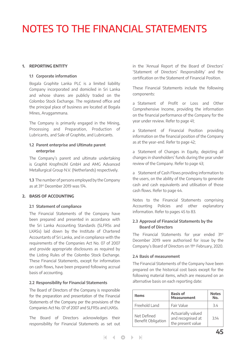### **1. REPORTING ENTITY**

### **1.1 Corporate information**

Bogala Graphite Lanka PLC is a limited liability Company incorporated and domiciled in Sri Lanka and whose shares are publicly traded on the Colombo Stock Exchange. The registered office and the principal place of business are located at Bogala Mines, Aruggammana.

The Company is primarily engaged in the Mining, Processing and Preparation, Production of Lubricants, and Sale of Graphite, and Lubricants.

### **1.2 Parent enterprise and Ultimate parent enterprise**

The Company's parent and ultimate undertaking is Graphit KropfmÜhl GmbH and AMG Advanced Metallurgical Group N.V. (Netherlands) respectively.

**1.3** The number of persons employed by the Company as at 31st December 2019 was 174.

#### **2. Basis of accounting**

### **2.1 Statement of compliance**

The Financial Statements of the Company have been prepared and presented in accordance with the Sri Lanka Accounting Standards (SLFRSs and LKASs) laid down by the Institute of Chartered Accountants of Sri Lanka, and in compliance with the requirements of the Companies Act No. 07 of 2007 and provide appropriate disclosures as required by the Listing Rules of the Colombo Stock Exchange. These Financial Statements, except for information on cash flows, have been prepared following accrual basis of accounting.

#### **2.2 Responsibility for Financial Statements**

The Board of Directors of the Company is responsible for the preparation and presentation of the Financial Statements of the Company per the provisions of the Companies Act No. 07 of 2007 and SLFRSs and LKASs.

The Board of Directors acknowledges their responsibility for Financial Statements as set out in the 'Annual Report of the Board of Directors' 'Statement of Directors' Responsibility' and the certification on the Statement of Financial Position.

These Financial Statements include the following components:

a Statement of Profit or Loss and Other Comprehensive Income, providing the information on the financial performance of the Company for the year under review. Refer to page 41;

a Statement of Financial Position providing information on the financial position of the Company as at the year-end. Refer to page 42;

a Statement of Changes in Equity, depicting all changes in shareholders' funds during the year under review of the Company. Refer to page 43;

a Statement of Cash Flows providing information to the users, on the ability of the Company to generate cash and cash equivalents and utilisation of those cash flows. Refer to page 44.

Notes to the Financial Statements comprising Accounting Policies and other explanatory information. Refer to pages 45 to 83.

## **2.3 Approval of Financial Statements by the Board of Directors**

The Financial Statements for year ended 31st December 2019 were authorised for issue by the Company's Board of Directors on 11<sup>th</sup> February, 2020.

### **2.4 Basis of measurement**

The Financial Statements of the Company have been prepared on the historical cost basis except for the following material items, which are measured on an alternative basis on each reporting date:

| ltems                                    | <b>Basis of</b><br><b>Measurement</b>                        | <b>Notes</b><br>No. |
|------------------------------------------|--------------------------------------------------------------|---------------------|
| Freehold Land                            | Fair Value                                                   | 34                  |
| Net Defined<br><b>Benefit Obligation</b> | Actuarially valued<br>and recognised at<br>the present value | 3.14                |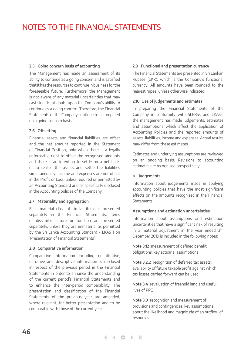#### **2.5 Going concern basis of accounting**

The Management has made an assessment of its ability to continue as a going concern and is satisfied that it has the resources to continue in business for the foreseeable future. Furthermore, the Management is not aware of any material uncertainties that may cast significant doubt upon the Company's ability to continue as a going concern. Therefore, the Financial Statements of the Company continue to be prepared on a going concern basis.

### **2.6 Offsetting**

Financial assets and financial liabilities are offset and the net amount reported in the Statement of Financial Position, only when there is a legally enforceable right to offset the recognised amounts and there is an intention to settle on a net basis or to realise the assets and settle the liabilities simultaneously. Income and expenses are not offset in the Profit or Loss, unless required or permitted by an Accounting Standard and as specifically disclosed in the Accounting policies of the Company.

#### **2.7 Materiality and aggregation**

Each material class of similar items is presented separately in the Financial Statements. Items of dissimilar nature or function are presented separately, unless they are immaterial as permitted by the Sri Lanka Accounting Standard - LKAS 1 on 'Presentation of Financial Statements'.

### **2.8 Comparative information**

Comparative information including quantitative, narrative and descriptive information is disclosed in respect of the previous period in the Financial Statements in order to enhance the understanding of the current period's Financial Statements and to enhance the inter-period comparability. The presentation and classification of the Financial Statements of the previous year are amended, where relevant, for better presentation and to be comparable with those of the current year.

#### **2.9 Functional and presentation currency**

The Financial Statements are presented in Sri Lankan Rupees (LKR), which is the Company's functional currency. All amounts have been rounded to the nearest rupee, unless otherwise indicated.

#### **2.10 Use of judgements and estimates**

In preparing the Financial Statements of the Company in conformity with SLFRSs and LKASs, the management has made judgements, estimates and assumptions which affect the application of Accounting Policies and the reported amounts of assets, liabilities, income and expenses. Actual results may differ from these estimates.

Estimates and underlying assumptions are reviewed on an ongoing basis. Revisions to accounting estimates are recognised prospectively.

#### **a. Judgements**

Information about judgements made in applying accounting policies that have the most significant effects on the amounts recognised in the Financial Statements:

#### **Assumptions and estimation uncertainties**

Information about assumptions and estimation uncertainties that have a significant risk of resulting in a material adjustment in the year ended  $31st$ December 2019 is included in the following notes:

**Note 3.12** measurement of defined benefit obligations: key actuarial assumptions

**Note 3.2.2** recognition of deferred tax assets: availability of future taxable profit against which tax losses carried forward can be used

**Note 3.4** revaluation of freehold land and useful lives of PPE

**Note 3.9** recognition and measurement of provisions and contingencies: key assumptions about the likelihood and magnitude of an outflow of resources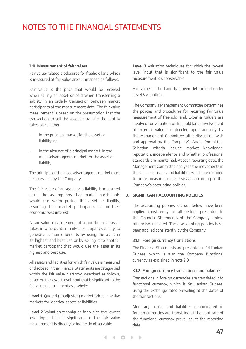#### **2.11 Measurement of fair values**

Fair value-related disclosures for freehold land which is measured at fair value are summarised as follows.

Fair value is the price that would be received when selling an asset or paid when transferring a liability in an orderly transaction between market participants at the measurement date. The fair value measurement is based on the presumption that the transaction to sell the asset or transfer the liability takes place either:

- in the principal market for the asset or liability; or
- in the absence of a principal market, in the most advantageous market for the asset or liability

The principal or the most advantageous market must be accessible by the Company.

The fair value of an asset or a liability is measured using the assumptions that market participants would use when pricing the asset or liability, assuming that market participants act in their economic best interest.

A fair value measurement of a non-financial asset takes into account a market participant's ability to generate economic benefits by using the asset in its highest and best use or by selling it to another market participant that would use the asset in its highest and best use.

All assets and liabilities for which fair value is measured or disclosed in the Financial Statements are categorised within the fair value hierarchy, described as follows, based on the lowest level input that is significant to the fair value measurement as a whole:

**Level 1** Quoted (unadjusted) market prices in active markets for identical assets or liabilities

**Level 2** Valuation techniques for which the lowest level input that is significant to the fair value measurement is directly or indirectly observable

**Level 3** Valuation techniques for which the lowest level input that is significant to the fair value measurement is unobservable

Fair value of the Land has been determined under Level 3 valuation.

The Company's Management Committee determines the policies and procedures for recurring fair value measurement of freehold land. External valuers are involved for valuation of freehold land. Involvement of external valuers is decided upon annually by the Management Committee after discussion with and approval by the Company's Audit Committee. Selection criteria include market knowledge, reputation, independence and whether professional standards are maintained. At each reporting date, the Management Committee analyses the movements in the values of assets and liabilities which are required to be re-measured or re-assessed according to the Company's accounting policies.

## **3. SIGNIFICANT ACCOUNTING POLICIES**

The accounting policies set out below have been applied consistently to all periods presented in the Financial Statements of the Company, unless otherwise indicated. These accounting policies have been applied consistently by the Company.

#### **3.1.1 Foreign currency translations**

The Financial Statements are presented in Sri Lankan Rupees, which is also the Company functional currency as explained in note 2.9.

#### **3.1.2 Foreign currency transactions and balances**

Transactions in foreign currencies are translated into functional currency, which is Sri Lankan Rupees, using the exchange rates prevailing at the dates of the transactions.

Monetary assets and liabilities denominated in foreign currencies are translated at the spot rate of the functional currency prevailing at the reporting date.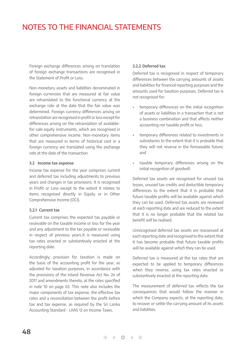Foreign exchange differences arising on translation of foreign exchange transactions are recognised in the Statement of Profit or Loss.

Non-monetary assets and liabilities denominated in foreign currencies that are measured at fair value are retranslated to the functional currency at the exchange rate at the date that the fair value was determined. Foreign currency differences arising on retranslation are recognised in profit or loss except for differences arising on the retranslation of availablefor-sale equity instruments, which are recognised in other comprehensive income. Non-monetary items that are measured in terms of historical cost in a foreign currency are translated using the exchange rate at the date of the transaction.

#### **3.2 Income tax expense**

Income tax expense for the year comprises current and deferred tax including adjustments to previous years and changes in tax provisions. It is recognised in Profit or Loss except to the extent it relates to items recognised directly in Equity or in Other Comprehensive Income (OCI).

#### **3.2.1 Current tax**

Current tax comprises the expected tax payable or receivable on the taxable income or loss for the year and any adjustment to the tax payable or receivable in respect of previous years. It is measured using tax rates enacted or substantively enacted at the reporting date.

Accordingly, provision for taxation is made on the basis of the accounting profit for the year, as adjusted for taxation purposes, in accordance with the provisions of the Inland Revenue Act No. 24 of 2017 and amendments thereto, at the rates specified in note 10 on page 63. This note also includes the major components of tax expense, the effective tax rates and a reconciliation between the profit before tax and tax expense, as required by the Sri Lanka Accounting Standard - LKAS 12 on Income Taxes.

#### **3.2.2 Deferred tax**

Deferred tax is recognised in respect of temporary differences between the carrying amounts of assets and liabilities for financial reporting purposes and the amounts used for taxation purposes. Deferred tax is not recognised for:

- temporary differences on the initial recognition of assets or liabilities in a transaction that is not a business combination and that affects neither accounting nor taxable profit or loss;
- temporary differences related to investments in subsidiaries to the extent that it is probable that they will not reverse in the foreseeable future; and
- taxable temporary differences arising on the initial recognition of goodwill.

Deferred tax assets are recognised for unused tax losses, unused tax credits and deductible temporary differences to the extent that it is probable that future taxable profits will be available against which they can be used. Deferred tax assets are reviewed at each reporting date and are reduced to the extent that it is no longer probable that the related tax benefit will be realised.

Unrecognised deferred tax assets are reassessed at each reporting date and recognised to the extent that it has become probable that future taxable profits will be available against which they can be used.

Deferred tax is measured at the tax rates that are expected to be applied to temporary differences when they reverse, using tax rates enacted or substantively enacted at the reporting date.

The measurement of deferred tax reflects the tax consequences that would follow the manner in which the Company expects, at the reporting date, to recover or settle the carrying amount of its assets and liabilities.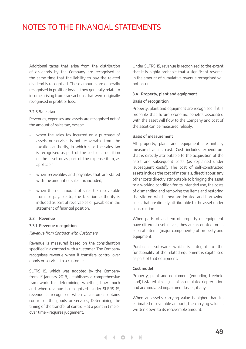Additional taxes that arise from the distribution of dividends by the Company are recognised at the same time that the liability to pay the related dividend is recognised. These amounts are generally recognised in profit or loss as they generally relate to income arising from transactions that were originally recognised in profit or loss.

### **3.2.3 Sales tax**

Revenues, expenses and assets are recognised net of the amount of sales tax, except:

- when the sales tax incurred on a purchase of assets or services is not recoverable from the taxation authority, in which case the sales tax is recognised as part of the cost of acquisition of the asset or as part of the expense item, as applicable;
- when receivables and payables that are stated with the amount of sales tax included;
- when the net amount of sales tax recoverable from, or payable to, the taxation authority is included as part of receivables or payables in the statement of financial position.

#### **3.3 Revenue**

#### **3.3.1 Revenue recognition**

Revenue from Contract with Customers

Revenue is measured based on the consideration specified in a contract with a customer. The Company recognises revenue when it transfers control over goods or services to a customer.

SLFRS 15, which was adopted by the Company from 1<sup>st</sup> January 2018, establishes a comprehensive framework for determining whether, how much and when revenue is recognised. Under SLFRS 15, revenue is recognised when a customer obtains control of the goods or services, Determining the timing of the transfer of control – at a point in time or over time – requires judgement.

Under SLFRS 15, revenue is recognised to the extent that it is highly probable that a significant reversal in the amount of cumulative revenue recognised will not occur.

# **3.4 Property, plant and equipment**

# **Basis of recognition**

Property, plant and equipment are recognised if it is probable that future economic benefits associated with the asset will flow to the Company and cost of the asset can be measured reliably.

#### **Basis of measurement**

All property, plant and equipment are initially measured at its cost. Cost includes expenditure that is directly attributable to the acquisition of the asset and subsequent costs (as explained under 'subsequent costs'). The cost of self-constructed assets include the cost of materials, direct labour, any other costs directly attributable to bringing the asset to a working condition for its intended use, the costs of dismantling and removing the items and restoring the site on which they are located and borrowing costs that are directly attributable to the asset under construction.

When parts of an item of property or equipment have different useful lives, they are accounted for as separate items (major components) of property and equipment.

Purchased software which is integral to the functionality of the related equipment is capitalised as part of that equipment.

#### **Cost model**

Property, plant and equipment (excluding freehold land) is stated at cost, net of accumulated depreciation and accumulated impairment losses, if any.

When an asset's carrying value is higher than its estimated recoverable amount, the carrying value is written down to its recoverable amount.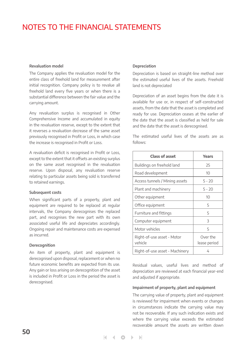#### **Revaluation model**

The Company applies the revaluation model for the entire class of freehold land for measurement after initial recognition. Company policy is to revalue all freehold land every five years or when there is a substantial difference between the fair value and the carrying amount.

Any revaluation surplus is recognised in Other Comprehensive Income and accumulated in equity in the revaluation reserve, except to the extent that it reverses a revaluation decrease of the same asset previously recognised in Profit or Loss, in which case the increase is recognised in Profit or Loss.

A revaluation deficit is recognised in Profit or Loss, except to the extent that it offsets an existing surplus on the same asset recognised in the revaluation reserve. Upon disposal, any revaluation reserve relating to particular assets being sold is transferred to retained earnings.

#### **Subsequent costs**

When significant parts of a property, plant and equipment are required to be replaced at regular intervals, the Company derecognises the replaced part, and recognises the new part with its own associated useful life and depreciates accordingly. Ongoing repair and maintenance costs are expensed as incurred.

#### **Derecognition**

An item of property, plant and equipment is derecognised upon disposal, replacement or when no future economic benefits are expected from its use. Any gain or loss arising on derecognition of the asset is included in Profit or Loss in the period the asset is derecognised.

#### **Depreciation**

Depreciation is based on straight-line method over the estimated useful lives of the assets. Freehold land is not depreciated

Depreciation of an asset begins from the date it is available for use or, in respect of self-constructed assets, from the date that the asset is completed and ready for use. Depreciation ceases at the earlier of the date that the asset is classified as held for sale and the date that the asset is derecognised.

The estimated useful lives of the assets are as follows:

| <b>Class of asset</b>                 | Years                    |
|---------------------------------------|--------------------------|
| Buildings on freehold land            | 25                       |
| Road development                      | 10                       |
| Access tunnels / Mining assets        | $5 - 20$                 |
| Plant and machinery                   | $5 - 20$                 |
| Other equipment                       | 10                       |
| Office equipment                      | 5                        |
| Furniture and fittings                | 5                        |
| Computer equipment                    | 3                        |
| Motor vehicles                        | 5                        |
| Right-of-use asset - Motor<br>vehicle | Over the<br>lease period |
| Right-of-use asset - Machinery        | 4                        |

Residual values, useful lives and method of depreciation are reviewed at each financial year-end and adjusted if appropriate.

#### **Impairment of property, plant and equipment**

The carrying value of property, plant and equipment is reviewed for impairment when events or changes in circumstances indicate the carrying value may not be recoverable. If any such indication exists and where the carrying value exceeds the estimated recoverable amount the assets are written down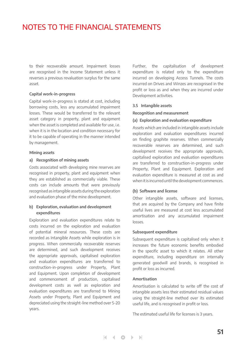to their recoverable amount. Impairment losses are recognised in the Income Statement unless it reverses a previous revaluation surplus for the same asset.

#### **Capital work-in-progress**

Capital work-in-progress is stated at cost, including borrowing costs, less any accumulated impairment losses. These would be transferred to the relevant asset category in property, plant and equipment when the asset is completed and available for use, i.e. when it is in the location and condition necessary for it to be capable of operating in the manner intended by management.

#### **Mining assets**

#### **a) Recognition of mining assets**

Costs associated with developing mine reserves are recognised in property, plant and equipment when they are established as commercially viable. These costs can include amounts that were previously recognised as intangible assets during the exploration and evaluation phase of the mine development.

### **b) Exploration, evaluation and development expenditures**

Exploration and evaluation expenditures relate to costs incurred on the exploration and evaluation of potential mineral resources. These costs are recorded as Intangible Assets while exploration is in progress. When commercially recoverable reserves are determined, and such development receives the appropriate approvals, capitalised exploration and evaluation expenditures are transferred to construction-in-progress under Property, Plant and Equipment. Upon completion of development and commencement of production, capitalised development costs as well as exploration and evaluation expenditures are transferred to Mining Assets under Property, Plant and Equipment and depreciated using the straight-line method over 5-20 years. 

Further, the capitalisation of development expenditure is related only to the expenditure incurred on developing Access Tunnels. The costs incurred on Drives and Winzes are recognised in the profit or loss as and when they are incurred under Development activities.

#### **3.5 Intangible assets**

#### **Recognition and measurement**

### **(a) Exploration and evaluation expenditure**

Assets which are included in intangible assets include exploration and evaluation expenditures incurred on finding graphite reserves. When commercially recoverable reserves are determined, and such development receives the appropriate approvals, capitalised exploration and evaluation expenditures are transferred to construction-in-progress under Property, Plant and Equipment. Exploration and evaluation expenditure is measured at cost as and when it is incurred until the development commences.

### **(b) Software and license**

Other intangible assets, software and licenses, that are acquired by the Company and have finite useful lives are measured at cost less accumulated amortisation and any accumulated impairment losses.

#### **Subsequent expenditure**

Subsequent expenditure is capitalised only when it increases the future economic benefits embodied in the specific asset to which it relates. All other expenditure, including expenditure on internally generated goodwill and brands, is recognised in profit or loss as incurred.

#### **Amortisation**

Amortisation is calculated to write off the cost of intangible assets less their estimated residual values using the straight-line method over its estimated useful life, and is recognised in profit or loss.

The estimated useful life for licenses is 3 years.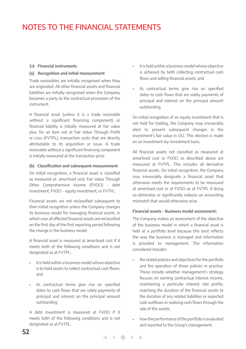#### **3.6 Financial instruments**

#### **(a) Recognition and initial measurement**

Trade receivables are initially recognised when they are originated. All other financial assets and financial liabilities are initially recognised when the Company becomes a party to the contractual provisions of the instrument.

A financial asset (unless it is a trade receivable without a significant financing component) or financial liability is initially measured at fair value plus, for an item not at Fair Value Through Profit or Loss (FVTPL), transaction costs that are directly attributable to its acquisition or issue. A trade receivable without a significant financing component is initially measured at the transaction price.

#### **(b) Classification and subsequent measurement**

On initial recognition, a financial asset is classified as measured at: amortised cost; Fair Value Through Other Comprehensive Income (FVOCI) - debt investment; FVOCI - equity investment; or FVTPL.

Financial assets are not reclassified subsequent to their initial recognition unless the Company changes its business model for managing financial assets, in which case all affected financial assets are reclassified on the first day of the first reporting period following the change in the business model.

A financial asset is measured at amortised cost if it meets both of the following conditions and is not designated as at FVTPL:

- it is held within a business model whose objective is to hold assets to collect contractual cash flows; and
- its contractual terms give rise on specified dates to cash flows that are solely payments of principal and interest on the principal amount outstanding.

A debt investment is measured at FVOCI if it meets both of the following conditions and is not designated as at FVTPL:

- it is held within a business model whose objective is achieved by both collecting contractual cash flows and selling financial assets; and
- its contractual terms give rise on specified dates to cash flows that are solely payments of principal and interest on the principal amount outstanding.

On initial recognition of an equity investment that is not held for trading, the Company may irrevocably elect to present subsequent changes in the investment's fair value in OCI. This election is made on an investment-by-investment basis.

All financial assets not classified as measured at amortised cost or FVOCI as described above are measured at FVTPL. This includes all derivative financial assets. On initial recognition, the Company may irrevocably designate a financial asset that otherwise meets the requirements to be measured at amortised cost or at FVOCI as at FVTPL if doing so eliminates or significantly reduces an accounting mismatch that would otherwise arise.

#### **Financial assets - Business model assessment:**

The Company makes an assessment of the objective of the business model in which a financial asset is held at a portfolio level because this best reflects the way the business is managed and information is provided to management. The information considered includes:

- the stated policies and objectives for the portfolio and the operation of those policies in practice. These include whether management's strategy focuses on earning contractual interest income, maintaining a particular interest rate profile, matching the duration of the financial assets to the duration of any related liabilities or expected cash outflows or realising cash flows through the sale of the assets;
- how the performance of the portfolio is evaluated and reported to the Group's management;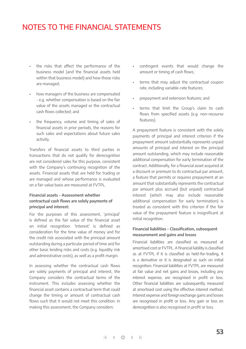- the risks that affect the performance of the business model (and the financial assets held within that business model) and how those risks are managed;
- how managers of the business are compensated - e.g. whether compensation is based on the fair value of the assets managed or the contractual cash flows collected; and
- the frequency, volume and timing of sales of financial assets in prior periods, the reasons for such sales and expectations about future sales activity.

Transfers of financial assets to third parties in transactions that do not qualify for derecognition are not considered sales for this purpose, consistent with the Company's continuing recognition of the assets. Financial assets that are held for trading or are managed and whose performance is evaluated on a fair value basis are measured at FVTPL.

## **Financial assets - Assessment whether contractual cash flows are solely payments of principal and interest:**

For the purposes of this assessment, 'principal' is defined as the fair value of the financial asset on initial recognition. 'Interest' is defined as consideration for the time value of money and for the credit risk associated with the principal amount outstanding during a particular period of time and for other basic lending risks and costs (e.g. liquidity risk and administrative costs), as well as a profit margin.

In assessing whether the contractual cash flows are solely payments of principal and interest, the Company considers the contractual terms of the instrument. This includes assessing whether the financial asset contains a contractual term that could change the timing or amount of contractual cash flows such that it would not meet this condition. In making this assessment, the Company considers:

- contingent events that would change the amount or timing of cash flows;
- terms that may adjust the contractual coupon rate, including variable-rate features;
- prepayment and extension features; and
- terms that limit the Group's claim to cash flows from specified assets (e.g. non-recourse features).

A prepayment feature is consistent with the solely payments of principal and interest criterion if the prepayment amount substantially represents unpaid amounts of principal and interest on the principal amount outstanding, which may include reasonable additional compensation for early termination of the contract. Additionally, for a financial asset acquired at a discount or premium to its contractual par amount, a feature that permits or requires prepayment at an amount that substantially represents the contractual par amount plus accrued (but unpaid) contractual interest (which may also include reasonable additional compensation for early termination) is treated as consistent with this criterion if the fair value of the prepayment feature is insignificant at initial recognition.

### **Financial liabilities - Classification, subsequent measurement and gains and losses**

Financial liabilities are classified as measured at amortised cost or FVTPL. A financial liability is classified as at FVTPL if it is classified as held-for-trading, it is a derivative or it is designated as such on initial recognition. Financial liabilities at FVTPL are measured at fair value and net gains and losses, including any interest expense, are recognised in profit or loss. Other financial liabilities are subsequently measured at amortised cost using the effective interest method. Interest expense and foreign exchange gains and losses are recognised in profit or loss. Any gain or loss on derecognition is also recognised in profit or loss.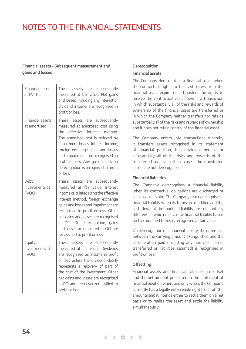### **Financial assets - Subsequent measurement and gains and losses**

| Financial assets<br>at FVTPL             | These assets are subsequently<br>measured at fair value. Net gains<br>and losses, including any interest or<br>dividend income, are recognised in<br>profit or loss.                                                                                                                                                                                                                  |  |  |
|------------------------------------------|---------------------------------------------------------------------------------------------------------------------------------------------------------------------------------------------------------------------------------------------------------------------------------------------------------------------------------------------------------------------------------------|--|--|
| <b>Financial assets</b><br>at amortised  | These assets are subsequently<br>measured at amortised cost using<br>the effective<br>interest<br>method.<br>The amortised cost is reduced by<br>impairment losses. Interest income,<br>foreign exchange gains and losses<br>and impairment are recognised in<br>profit or loss. Any gain or loss on<br>derecognition is recognised in profit<br>or loss.                             |  |  |
| Debt<br>investments at<br><b>FVOCI</b>   | These<br>assets<br>are subsequently<br>measured at fair value. Interest<br>income calculated using the effective<br>interest method, foreign exchange<br>gains and losses and impairment are<br>recognised in profit or loss. Other<br>net gains and losses are recognised<br>in OCI. On derecognition, gains<br>and losses accumulated in OCI are<br>reclassified to profit or loss. |  |  |
| Equity<br>investments at<br><b>FVOCI</b> | assets are subsequently<br>These<br>measured at fair value. Dividends<br>are recognised as income in profit<br>or loss unless the dividend clearly<br>represents a recovery of part of<br>the cost of the investment. Other<br>net gains and losses are recognised<br>in OCI and are never reclassified to<br>profit or loss.                                                         |  |  |

# **Derecognition Financial assets**

The Company derecognises a financial asset when the contractual rights to the cash flows from the financial asset expire, or it transfers the rights to receive the contractual cash flows in a transaction in which substantially all of the risks and rewards of ownership of the financial asset are transferred or in which the Company neither transfers nor retains substantially all of the risks and rewards of ownership and it does not retain control of the financial asset.

The Company enters into transactions whereby it transfers assets recognised in its statement of financial position, but retains either all or substantially all of the risks and rewards of the transferred assets. In these cases, the transferred assets are not derecognised.

## **Financial liabilities**

The Company derecognises a financial liability when its contractual obligations are discharged or canceled, or expire. The Company also derecognises a financial liability when its terms are modified and the cash flows of the modified liability are substantially different, in which case a new financial liability based on the modified terms is recognised at fair value.

On derecognition of a financial liability, the difference between the carrying amount extinguished and the consideration paid (including any non-cash assets transferred or liabilities assumed) is recognised in profit or loss.

### **Offsetting**

Financial assets and financial liabilities are offset and the net amount presented in the statement of financial position when, and only when, the Company currently has a legally enforceable right to set off the amounts and it intends either to settle them on a net basis or to realise the asset and settle the liability simultaneously.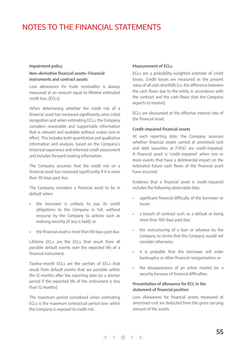#### **Impairment policy**

### **Non-derivative financial assets‒Financial instruments and contract assets**

Loss allowances for trade receivables is always measured at an amount equal to lifetime estimated credit loss, (ECLs).

When determining whether the credit risk of a financial asset has increased significantly since initial recognition and when estimating ECLs, the Company considers reasonable and supportable information that is relevant and available without undue cost or effort. This includes both quantitative and qualitative information and analysis, based on the Company's historical experience and informed credit assessment and includes forward-looking information.

The Company assumes that the credit risk on a financial asset has increased significantly if it is more than 30 days past due.

The Company considers a financial asset to be in default when:

- the borrower is unlikely to pay its credit obligations to the Company in full, without recourse by the Company to actions such as realising security (if any is held); or
- the financial asset is more than 90 days past due.

Lifetime ECLs are the ECLs that result from all possible default events over the expected life of a financial instrument.

Twelve-month ECLs are the portion of ECLs that result from default events that are possible within the 12 months after the reporting date (or a shorter period if the expected life of the instrument is less than 12 months).

The maximum period considered when estimating ECLs is the maximum contractual period over which the Company is exposed to credit risk.

#### **Measurement of ECLs**

ECLs are a probability-weighted estimate of credit losses. Credit losses are measured as the present value of all cash shortfalls (i.e. the difference between the cash flows due to the entity in accordance with the contract and the cash flows that the Company expects to receive).

ECLs are discounted at the effective interest rate of the financial asset.

#### **Credit-impaired financial assets**

At each reporting date, the Company assesses whether financial assets carried at amortised cost and debt securities at FVOCI are credit-impaired. A financial asset is 'credit-impaired' when one or more events that have a detrimental impact on the estimated future cash flows of the financial asset have occurred.

Evidence that a financial asset is credit-impaired includes the following observable data:

- significant financial difficulty of the borrower or issuer;
- a breach of contract such as a default or being more than 180 days past due;
- the restructuring of a loan or advance by the Company on terms that the Company would not consider otherwise;
- it is probable that the borrower will enter bankruptcy or other financial reorganisation; or
- the disappearance of an active market tor a security because of financial difficulties.

## **Presentation of allowance for ECL in the statement of financial position**

Loss allowances for financial assets measured at amortised cost are deducted from the gross carrying amount of the assets.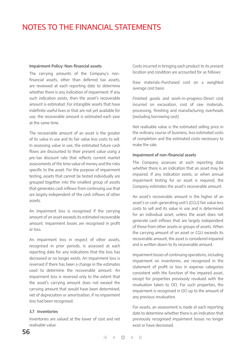#### **Impairment Policy: Non-financial assets**

The carrying amounts of the Company's nonfinancial assets, other than deferred tax assets, are reviewed at each reporting date to determine whether there is any indication of impairment. If any such indication exists, then the asset's recoverable amount is estimated. For intangible assets that have indefinite useful lives or that are not yet available for use, the recoverable amount is estimated each year at the same time.

The recoverable amount of an asset is the greater of its value in use and its fair value less costs to sell. In assessing value in use, the estimated future cash flows are discounted to their present value using a pre-tax discount rate that reflects current market assessments of the time value of money and the risks specific to the asset. For the purpose of impairment testing, assets that cannot be tested individually are grouped together into the smallest group of assets that generates cash inflows from continuing use that are largely independent of the cash inflows of other assets.

An impairment loss is recognised if the carrying amount of an asset exceeds its estimated recoverable amount. Impairment losses are recognised in profit or loss.

An impairment loss in respect of other assets, recognised in prior periods, is assessed at each reporting date for any indications that the loss has decreased or no longer exists. An impairment loss is reversed if there has been a change in the estimates used to determine the recoverable amount. An impairment loss is reversed only to the extent that the asset's carrying amount does not exceed the carrying amount that would have been determined, net of depreciation or amortisation, if no impairment loss had been recognised.

#### **3.7 Inventories**

Inventories are valued at the lower of cost and net realisable value.

Costs incurred in bringing each product to its present location and condition are accounted for as follows:

Raw materials-Purchased cost on a weighted average cost basis

Finished goods and work-in-progress–Direct cost incurred on excavation, cost of raw materials, processing, finishing and manufacturing overheads (excluding borrowing cost)

Net realisable value is the estimated selling price in the ordinary course of business, less estimated costs of completion and the estimated costs necessary to make the sale.

#### **Impairment of non-financial assets**

The Company assesses at each reporting date whether there is an indication that an asset may be impaired. If any indication exists, or when annual impairment testing for an asset is required, the Company estimates the asset's recoverable amount.

An asset's recoverable amount is the higher of an asset's or cash-generating unit's (CGU) fair value less costs to sell and its value in use and is determined for an individual asset, unless the asset does not generate cash inflows that are largely independent of those from other assets or groups of assets. When the carrying amount of an asset or CGU exceeds its recoverable amount, the asset is considered impaired and is written down to its recoverable amount.

Impairment losses of continuing operations, including impairment on inventories, are recognised in the statement of profit or loss in expense categories consistent with the function of the impaired asset, except for properties previously revalued with the revaluation taken to OCI. For such properties, the impairment is recognised in OCI up to the amount of any previous revaluation.

For assets, an assessment is made at each reporting date to determine whether there is an indication that previously recognised impairment losses no longer exist or have decreased.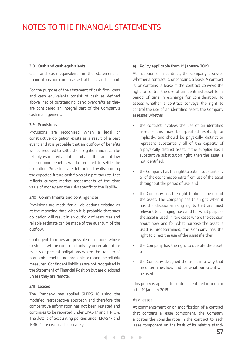#### **3.8 Cash and cash equivalents**

Cash and cash equivalents in the statement of financial position comprise cash at banks and in hand.

For the purpose of the statement of cash flow, cash and cash equivalents consist of cash as defined above, net of outstanding bank overdrafts as they are considered an integral part of the Company's cash management.

#### **3.9 Provisions**

Provisions are recognised when a legal or constructive obligation exists as a result of a past event and it is probable that an outflow of benefits will be required to settle the obligation and it can be reliably estimated and it is probable that an outflow of economic benefits will be required to settle the obligation. Provisions are determined by discounting the expected future cash flows at a pre-tax rate that reflects current market assessments of the time value of money and the risks specific to the liability.

#### **3.10 Commitments and contingencies**

Provisions are made for all obligations existing as at the reporting date when it is probable that such obligation will result in an outflow of resources and reliable estimate can be made of the quantum of the outflow.

Contingent liabilities are possible obligations whose existence will be confirmed only by uncertain future events or present obligations where the transfer of economic benefit is not probable or cannot be reliably measured. Contingent liabilities are not recognised in the Statement of Financial Position but are disclosed unless they are remote.

#### **3.11 Leases**

The Company has applied SLFRS 16 using the modified retrospective approach and therefore the comparative information has not been restated and continues to be reported under LKAS 17 and IFRIC 4. The details of accounting policies under LKAS 17 and IFRIC 4 are disclosed separately

#### **a) Policy applicable from 1st January 2019**

At inception of a contract, the Company assesses whether a contract is, or contains, a lease. A contract is, or contains, a lease if the contract conveys the right to control the use of an identified asset for a period of time in exchange for consideration. To assess whether a contract conveys the right to control the use of an identified asset, the Company assesses whether:

- the contract involves the use of an identified asset – this may be specified explicitly or implicitly, and should be physically distinct or represent substantially all of the capacity of a physically distinct asset. If the supplier has a substantive substitution right, then the asset is not identified;
- the Company has the right to obtain substantially all of the economic benefits from use of the asset throughout the period of use; and
- the Company has the right to direct the use of the asset. The Company has this right when it has the decision-making rights that are most relevant to changing how and for what purpose the asset is used. In rare cases where the decision about how and for what purpose the asset is used is predetermined, the Company has the right to direct the use of the asset if either:
- the Company has the right to operate the asset; or
- the Company designed the asset in a way that predetermines how and for what purpose it will be used.

This policy is applied to contracts entered into on or after 1st January 2019.

#### **As a lessee**

At commencement or on modification of a contract that contains a lease component, the Company allocates the consideration in the contract to each lease component on the basis of its relative stand-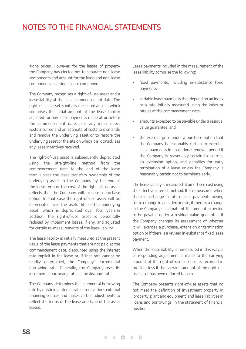alone prices. However, for the leases of property the Company has elected not to separate non-lease components and account for the lease and non-lease components as a single lease component.

The Company recognises a right-of-use asset and a lease liability at the lease commencement date. The right-of-use asset is initially measured at cost, which comprises the initial amount of the lease liability adjusted for any lease payments made at or before the commencement date, plus any initial direct costs incurred and an estimate of costs to dismantle and remove the underlying asset or to restore the underlying asset or the site on which it is located, less any lease incentives received.

The right-of-use asset is subsequently depreciated using the straight-line method from the commencement date to the end of the lease term, unless the lease transfers ownership of the underlying asset to the Company by the end of the lease term or the cost of the right-of-use asset reflects that the Company will exercise a purchase option. In that case the right-of-use asset will be depreciated over the useful life of the underlying asset, which is depreciated over four years. In addition, the right-of-use asset is periodically reduced by impairment losses, if any, and adjusted for certain re-measurements of the lease liability.

The lease liability is initially measured at the present value of the lease payments that are not paid at the commencement date, discounted using the interest rate implicit in the lease or, if that rate cannot be readily determined, the Company's incremental borrowing rate. Generally, the Company uses its incremental borrowing rate as the discount rate.

The Company determines its incremental borrowing rate by obtaining interest rates from various external financing sources and makes certain adjustments to reflect the terms of the lease and type of the asset leased.

Lease payments included in the measurement of the lease liability comprise the following:

- fixed payments, including in-substance fixed payments;
- variable lease payments that depend on an index or a rate, initially measured using the index or rate as at the commencement date;
- amounts expected to be payable under a residual value guarantee; and
- the exercise price under a purchase option that the Company is reasonably certain to exercise, lease payments in an optional renewal period if the Company is reasonably certain to exercise an extension option, and penalties for early termination of a lease unless the Company is reasonably certain not to terminate early.

The lease liability is measured at amortised cost using the effective interest method. It is remeasured when there is a change in future lease payments arising from a change in an index or rate, if there is a change in the Company's estimate of the amount expected to be payable under a residual value guarantee, if the Company changes its assessment of whether it will exercise a purchase, extension or termination option or if there is a revised in-substance fixed lease payment.

When the lease liability is remeasured in this way, a corresponding adjustment is made to the carrying amount of the right-of-use asset, or is recorded in profit or loss if the carrying amount of the right-ofuse asset has been reduced to zero.

The Company presents right-of-use assets that do not meet the definition of investment property in 'property, plant and equipment' and lease liabilities in 'loans and borrowings' in the statement of financial position.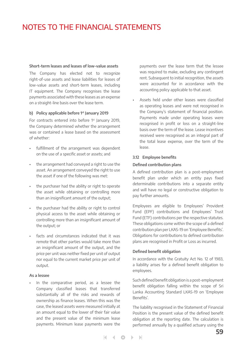#### **Short-term leases and leases of low-value assets**

The Company has elected not to recognize right-of-use assets and lease liabilities for leases of low-value assets and short-term leases, including IT equipment. The Company recognises the lease payments associated with these leases as an expense on a straight-line basis over the lease term.

#### **b) Policy applicable before 1st January 2019**

For contracts entered into before 1<sup>st</sup> January 2019, the Company determined whether the arrangement was or contained a lease based on the assessment of whether:

- fulfillment of the arrangement was dependent on the use of a specific asset or assets; and
- the arrangement had conveyed a right to use the asset. An arrangement conveyed the right to use the asset if one of the following was met:
- the purchaser had the ability or right to operate the asset while obtaining or controlling more than an insignificant amount of the output;
- the purchaser had the ability or right to control physical access to the asset while obtaining or controlling more than an insignificant amount of the output; or
- facts and circumstances indicated that it was remote that other parties would take more than an insignificant amount of the output, and the price per unit was neither fixed per unit of output nor equal to the current market price per unit of output.

#### **As a lessee**

In the comparative period, as a lessee the Company classified leases that transferred substantially all of the risks and rewards of ownership as finance leases. When this was the case, the leased assets were measured initially at an amount equal to the lower of their fair value and the present value of the minimum lease payments. Minimum lease payments were the payments over the lease term that the lessee was required to make, excluding any contingent rent. Subsequent to initial recognition, the assets were accounted for in accordance with the accounting policy applicable to that asset.

Assets held under other leases were classified as operating leases and were not recognised in the Company's statement of financial position. Payments made under operating leases were recognised in profit or loss on a straight-line basis over the term of the lease. Lease incentives received were recognised as an integral part of the total lease expense, over the term of the lease.

#### **3.12 Employee benefits**

#### **Defined contribution plans**

A defined contribution plan is a post-employment benefit plan under which an entity pays fixed determinable contributions into a separate entity and will have no legal or constructive obligation to pay further amounts.

Employees are eligible to Employees' Provident Fund (EPF) contributions and Employees' Trust Fund (ETF) contributions per the respective statutes. These obligations come within the scope of a defined contribution plan per LKAS-19 on 'Employee Benefits'. Obligations for contributions to defined contribution plans are recognised in Profit or Loss as incurred.

#### **Defined benefit obligation**

In accordance with the Gratuity Act No. 12 of 1983, a liability arises for a defined benefit obligation to employees.

Such defined benefit obligation is a post-employment benefit obligation falling within the scope of Sri Lanka Accounting Standard LKAS-19 on 'Employee Benefits'.

The liability recognised in the Statement of Financial Position is the present value of the defined benefit obligation at the reporting date. The calculation is performed annually by a qualified actuary using the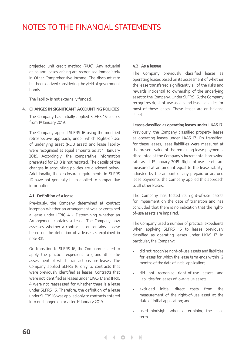projected unit credit method (PUC). Any actuarial gains and losses arising are recognised immediately in Other Comprehensive Income. The discount rate has been derived considering the yield of government bonds.

The liability is not externally funded.

### **4. Changes in Significant Accounting Policies**

The Company has initially applied SLFRS 16-Leases from 1st January 2019.

The Company applied SLFRS 16 using the modified retrospective approach, under which Right-of-Use of underlying asset (ROU asset) and lease liability were recognised at equal amounts as at 1<sup>st</sup> January 2019. Accordingly, the comparative information presented for 2018 is not restated. The details of the changes in accounting policies are disclosed below. Additionally, the disclosure requirements in SLFRS 16 have not generally been applied to comparative information.

#### **4.1 Definition of a lease**

Previously, the Company determined at contract inception whether an arrangement was or contained a lease under IFRIC 4 - Determining whether an Arrangement contains a Lease. The Company now assesses whether a contract is or contains a lease based on the definition of a lease, as explained in note 3.11.

On transition to SLFRS 16, the Company elected to apply the practical expedient to grandfather the assessment of which transactions are leases. The Company applied SLFRS 16 only to contracts that were previously identified as leases. Contracts that were not identified as leases under LKAS 17 and IFRIC 4 were not reassessed for whether there is a lease under SLFRS 16. Therefore, the definition of a lease under SLFRS 16 was applied only to contracts entered into or changed on or after 1<sup>st</sup> January 2019.

#### **4.2 As a lessee**

The Company previously classified leases as operating leases based on its assessment of whether the lease transferred significantly all of the risks and rewards incidental to ownership of the underlying asset to the Company. Under SLFRS 16, the Company recognizes right-of-use assets and lease liabilities for most of these leases. These leases are on balance sheet.

#### **Leases classified as operating leases under LKAS 17**

Previously, the Company classified property leases as operating leases under LKAS 17. On transition, for these leases, lease liabilities were measured at the present value of the remaining lease payments, discounted at the Company's incremental borrowing rate as at 1<sup>st</sup> January 2019. Right-of-use assets are measured at an amount equal to the lease liability, adjusted by the amount of any prepaid or accrued lease payments; the Company applied this approach to all other leases.

The Company has tested its right-of-use assets for impairment on the date of transition and has concluded that there is no indication that the rightof-use assets are impaired.

The Company used a number of practical expedients when applying SLFRS 16 to leases previously classified as operating leases under LKAS 17. In particular, the Company:

- did not recognise right-of-use assets and liabilities for leases for which the lease term ends within 12 months of the date of initial application;
- did not recognise right-of-use assets and liabilities for leases of low-value assets;
- excluded initial direct costs from the measurement of the right-of-use asset at the date of initial application; and
- used hindsight when determining the lease term.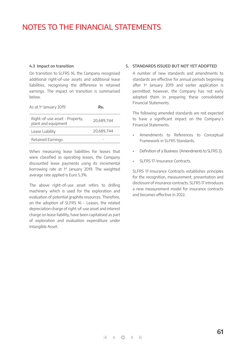#### **4.3 Impact on transition**

On transition to SLFRS 16, the Company recognised additional right-of-use assets and additional lease liabilities, recognising the difference in retained earnings. The impact on transition is summarised below.

| As at 1 <sup>st</sup> January 2019                    | Rs.        |  |
|-------------------------------------------------------|------------|--|
| Right-of-use asset - Property,<br>plant and equipment | 20.689.744 |  |
| Lease Liability                                       | 20,689,744 |  |
| <b>Retained Earnings</b>                              |            |  |

When measuring lease liabilities for leases that were classified as operating leases, the Company discounted lease payments using its incremental borrowing rate at 1<sup>st</sup> January 2019. The weighted average rate applied is Euro 5.3%.

The above right-of-use asset refers to drilling machinery which is used for the exploration and evaluation of potential graphite resources. Therefore, on the adoption of SLFRS 16 - Leases, the related depreciation charge of right-of-use asset and interest charge on lease liability, have been capitalised as part of exploration and evaluation expenditure under Intangible Asset.

#### **5. Standards issued but not yet adopted**

A number of new standards and amendments to standards are effective for annual periods beginning after 1<sup>st</sup> January 2019 and earlier application is permitted; however, the Company has not early adopted them in preparing these consolidated Financial Statements.

The following amended standards are not expected to have a significant impact on the Company's Financial Statements.

- Amendments to References to Conceptual Framework in SLFRS Standards.
- Definition of a Business (Amendments to SLFRS 3).
- SLFRS 17-Insurance Contracts.

SLFRS 17-Insurance Contracts establishes principles for the recognition, measurement, presentation and disclosure of insurance contracts. SLFRS 17 introduces a new measurement model for insurance contracts and becomes effective in 2022.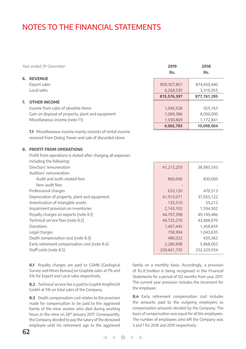### **7. OTHER INCOME**

**7.1** Miscellaneous income mainly consists of rental income received from Dialog Tower and sale of discarded stone

#### **8. PROFIT FROM OPERATIONS**

Profit from operations is stated after charging all expenses including the following: Directors' remuneration Auditors' remuneration Audit and audit-related fees Non-audit fees Professional charges Depreciation of property, plant and equipment Amortisation of intangible assets Impairment provision on inventories Royalty charges on exports (note 8.1) Technical service fees (note 8.2) Donations 1,407,445 1,458,859 Legal charges Death compensation cost (note 8.3) Early retirement compensation cost (note 8.4) Staff costs (note 8.5)

8.1 Royalty charges are paid to GSMB (Geological Survey and Mines Bureau) on Graphite sales at 7% and 6% for Export and Local sales respectively.

**8.2** Technical service fee is paid to Graphit KropfmÜhl GmbH at 5% on total sales of the Company.

**8.3** Death compensation cost relates to the provision made for compensation to be paid to the aggrieved family of the mine worker who died during working hours in the mine on 28<sup>th</sup> January 2017. Consequently, the Company decided to pay the salary of the deceased employee until his retirement age to the aggrieved

| Year ended 31st December |                                                   | 2019        | 2018        |
|--------------------------|---------------------------------------------------|-------------|-------------|
|                          |                                                   | Rs.         | Rs.         |
|                          | 6. REVENUE                                        |             |             |
|                          | Export sales                                      | 809,307,867 | 874,450,440 |
|                          | Local sales                                       | 6,268,530   | 3,310,955   |
|                          |                                                   | 815,576,397 | 877,761,395 |
| 7.                       | <b>OTHER INCOME</b>                               |             |             |
|                          | Income from sales of obsolete items               | 1,045,528   | 925,163     |
|                          | Gain on disposal of property, plant and equipment | 1,089,386   | 8,000,000   |
|                          | Miscellaneous income (note 7.1)                   | 1,930,869   | 1,172,841   |
|                          |                                                   | 4,065,783   | 10,098,004  |

| 41,215,259  | 38,985,593  |
|-------------|-------------|
| 860,000     | 830,000     |
|             |             |
| 633,120     | 470.513     |
| 41,910,071  | 37,055,122  |
| 132,510     | 55,212      |
| 2,143,102   | 1,594,302   |
| 44,707,398  | 49,149,486  |
| 40,725,270  | 43,888,070  |
| 1.407.445   | 1,458,859   |
| 758,904     | 1,043,635   |
| 480.022     | 635.362     |
| 2,280,698   | 5,868,002   |
| 259.661.735 | 252,529,934 |
|             |             |

family on a monthly basis. Accordingly, a provision of Rs. 8.5 million is being recognised in the Financial Statements for a period of 152 months from year 2017. The current year provision includes the increment for the employee.

**8.4** Early retirement compensation cost includes the amounts paid to the outgoing employees as compensation amounts decided by the Company. The basis of compensation was equal for all the employees. The number of employees who left the Company was 3 and 1 for 2018 and 2019 respectively.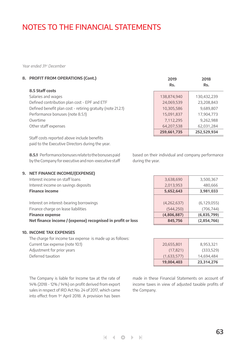Year ended 31st December

#### **8. PROFIT FROM OPERATIONS (Cont.)**

#### **8.5 Staff costs**

Staff costs reported above include benefits paid to the Executive Directors during the year.

**8.5.1** Performance bonuses relate to the bonuses paid by the Company for executive and non-executive staff

#### **9. NET FINANCE INCOME/(EXPENSE)**

Interest income on staff loans Interest income on savings deposits **Finance income** 

Interest on interest-bearing borrowings Finance charge on lease liabilities **Finance expense (4,806,887) (6,835,799) Net finance income / (expense) recognised in profit or loss 845,756 (2,854,766)**

#### **10. INCOME TAX EXPENSES**

The Company is liable for Income tax at the rate of 14% (2018 - 12% / 14%) on profit derived from export sales in respect of IRD Act No. 24 of 2017, which came into effect from 1st April 2018. A provision has been

| 8. PROFIT FROM OPERATIONS (Cont.)                           | 2019        | 2018        |
|-------------------------------------------------------------|-------------|-------------|
|                                                             | Rs.         | Rs.         |
| 8.5 Staff costs                                             |             |             |
| Salaries and wages                                          | 138,874,940 | 130,432,239 |
| Defined contribution plan cost - EPF and ETF                | 24,069,539  | 23,208,843  |
| Defined benefit plan cost - retiring gratuity (note 21.2.1) | 10,305,586  | 9,689,807   |
| Performance bonuses (note 8.5.1)                            | 15,091,837  | 17,904,773  |
| Overtime                                                    | 7,112,295   | 9,262,988   |
| Other staff expenses                                        | 64,207,538  | 62,031,284  |
|                                                             | 259,661,735 | 252,529,934 |
|                                                             |             |             |

based on their individual and company performance during the year.

| 3,638,690   | 3,500,367     |
|-------------|---------------|
| 2,013,953   | 480,666       |
| 5,652,643   | 3,981,033     |
|             |               |
| (4,262,637) | (6, 129, 055) |
| (544, 250)  | (706, 744)    |
| (4,806,887) | (6,835,799)   |
| 845,756     | (2,854,766)   |
|             |               |

|                                                          | 19.004.403  | 23.314.276 |
|----------------------------------------------------------|-------------|------------|
|                                                          |             |            |
| Deferred taxation                                        | (1,633,577) | 14,694,484 |
| Adjustment for prior years                               | (17.821)    | (333.529)  |
|                                                          |             |            |
| Current tax expense (note 10.1)                          | 20,655,801  | 8.953.321  |
|                                                          |             |            |
| The charge for income tax expense is made up as follows: |             |            |

made in these Financial Statements on account of income taxes in view of adjusted taxable profits of the Company.

**K 4 0 1 1**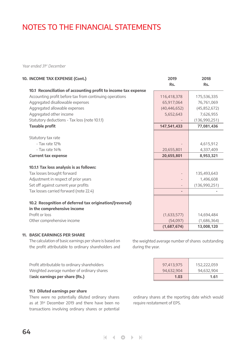Year ended 31st December

| 10. INCOME TAX EXPENSE (Cont.)                                 | 2019              | 2018          |
|----------------------------------------------------------------|-------------------|---------------|
|                                                                | Rs.               | Rs.           |
| 10.1 Reconciliation of accounting profit to income tax expense |                   |               |
| Accounting profit before tax from continuing operations        | 116,418,378       | 175,536,335   |
| Aggregated disallowable expenses                               | 65,917,064        | 76,761,069    |
| Aggregated allowable expenses                                  | (40, 446, 652)    | (45,852,672)  |
| Aggregated other income                                        | 5,652,643         | 7,626,955     |
| Statutory deductions - Tax loss (note 10.1.1)                  |                   | (136,990,251) |
| <b>Taxable profit</b>                                          | 147,541,433       | 77,081,436    |
|                                                                |                   |               |
| Statutory tax rate                                             |                   |               |
| - Tax rate 12%                                                 |                   | 4,615,912     |
| - Tax rate 14%                                                 | 20,655,801        | 4,337,409     |
| <b>Current tax expense</b>                                     | 20,655,801        | 8,953,321     |
|                                                                |                   |               |
| 10.1.1 Tax loss analysis is as follows:                        |                   |               |
| Tax losses brought forward                                     |                   | 135,493,643   |
| Adjustment in respect of prior years                           |                   | 1,496,608     |
| Set off against current year profits                           |                   | (136,990,251) |
| Tax losses carried forward (note 22.4)                         | $\qquad \qquad =$ |               |
|                                                                |                   |               |
| 10.2 Recognition of deferred tax origination/(reversal)        |                   |               |
| in the comprehensive income                                    |                   |               |
| Profit or loss                                                 | (1,633,577)       | 14,694,484    |
| Other comprehensive income                                     | (54,097)          | (1,686,364)   |
|                                                                | (1,687,674)       | 13,008,120    |

### **11. BASIC EARNINGS PER SHARE**

 The calculation of basic earnings per share is based on the profit attributable to ordinary shareholders and

Profit attributable to ordinary shareholders Weighted average number of ordinary shares B**asic earnings per share (Rs. ) 1.03 1.61**

## **11.1 Diluted earnings per share**

There were no potentially diluted ordinary shares as at 31st December 2019 and there have been no transactions involving ordinary shares or potential the weighted average number of shares outstanding during the year.

| 1.03       | 1.61        |
|------------|-------------|
| 94,632,904 | 94,632,904  |
| 97,413,975 | 152,222,059 |

ordinary shares at the reporting date which would require restatement of EPS.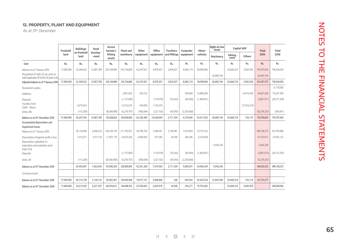### **12. PROPERTY, PLANT AND EQUIPMENT**

As at 31st December

|                                                                                     | Freehold   | <b>Buildings</b><br>on freehold | Road              | Access<br>tunnels / | Plant and     | Other      | Office<br>Furniture |              |               |             |            |                 |              |                |                |  | Computer | Asset<br>Motor |  |  | Right-of-Use | <b>Capital WIP</b> |  | <b>Total</b> | Total |
|-------------------------------------------------------------------------------------|------------|---------------------------------|-------------------|---------------------|---------------|------------|---------------------|--------------|---------------|-------------|------------|-----------------|--------------|----------------|----------------|--|----------|----------------|--|--|--------------|--------------------|--|--------------|-------|
|                                                                                     | land       | land                            | develop-<br>-ment | Mining<br>assets    | machinery     | equipment  | equipment           | and fittings | equipment     | vehicles    | Machinerv  | Mining<br>costs | Others       | 2019           | 2018           |  |          |                |  |  |              |                    |  |              |       |
| Cost                                                                                | Rs.        | Rs.                             | Rs.               | Rs.                 | Rs.           | Rs.        | Rs.                 | Rs.          | Rs.           | Rs.         | Rs.        | Rs.             | Rs.          | Rs.            | Rs.            |  |          |                |  |  |              |                    |  |              |       |
| Balance as at 1st January 2019                                                      | 17,600,000 | 52,348,922                      | 12.807.789        | 235,104,809         | 316,154,689   | 62.347.821 | 9.878.557           | 2.834.027    | 8,006,174     | 38,990,804  |            | 33,668,316      | 3,965,920    | 793,707,829    | 738.334.039    |  |          |                |  |  |              |                    |  |              |       |
| Recognition of right-of-use asset on<br>initial application of SLFRS 16 (note 12.8) |            |                                 |                   |                     |               |            |                     |              |               |             | 20,689,744 |                 |              | 20,689,744     |                |  |          |                |  |  |              |                    |  |              |       |
| Adjusted balance as at 1st January 2019                                             | 17,600,000 | 52,348,922                      | 12,807,789        | 235,104,809         | 316, 154, 689 | 62,347,821 | 9,878,557           | 2,834,027    | 8,006,174     | 38,990,804  | 20,689,744 | 33,668,316      | 3,965,920    | 814,397,573    | 738,334,039    |  |          |                |  |  |              |                    |  |              |       |
| Revaluation surplus                                                                 |            |                                 |                   |                     |               |            |                     | $\sim$       |               |             |            |                 |              |                | 6,178,000      |  |          |                |  |  |              |                    |  |              |       |
| Additions                                                                           |            |                                 |                   |                     | 2,981,063     | 329,152    |                     |              | 594,660       | 15,886,000  |            |                 | 14,676,409   | 34,467,284     | 70,267,309     |  |          |                |  |  |              |                    |  |              |       |
| Disposals                                                                           |            |                                 |                   |                     | (1, 137, 000) |            | (179, 078)          | (76, 543)    | (84, 500)     | (1,404,851) |            |                 |              | (2,881,971)    | (20,771,478)   |  |          |                |  |  |              |                    |  |              |       |
| Transfers from<br>CWIP - Others                                                     |            | 3.973.623                       |                   |                     | 12.316.018    | 470,000    | 1,156,578           |              |               |             |            |                 | (17,916,219) |                |                |  |          |                |  |  |              |                    |  |              |       |
| Write-offs                                                                          |            | (115, 200)                      |                   | (82, 465, 985)      | (6, 278, 707) | (908, 584) | (227, 163)          | (45, 950)    | (2, 236, 668) |             |            |                 |              | (92, 278, 257) | (300, 041)     |  |          |                |  |  |              |                    |  |              |       |
| Balance as at 31st December 2019                                                    | 17,600,000 | 56,207,345                      | 12,807,789        | 152,638,824         | 324,036,064   | 62,238,389 | 10.628.894          | 2.711.534    | 6.279.666     | 53,471,953  | 20,689,744 | 33.668.316      | 726.110      | 753,704,629    | 793,707,829    |  |          |                |  |  |              |                    |  |              |       |
| Accumulated depreciation and                                                        |            |                                 |                   |                     |               |            |                     |              |               |             |            |                 |              |                |                |  |          |                |  |  |              |                    |  |              |       |
| impairment losses<br>Balance as at 1st January 2019                                 |            | 28,134,990                      | 6.586.522         | 166.165.178         | 211.745.927   | 39.789.769 | 7.048.581           | 2.799.081    | 7.670.903     | 19.197.322  |            |                 |              | 489,138,273    | 472.795.486    |  |          |                |  |  |              |                    |  |              |       |
| Depreciation charged to profit or loss                                              |            | 1,472,817                       | 1,077,120         | 11,997,170          | 16,070,336    | 3,680,083  | 977,586             | 34.706       | 346,296       | 6,253,958   |            |                 |              | 41,910,071     | 37,055,122     |  |          |                |  |  |              |                    |  |              |       |
| Depreciation capitalised to                                                         |            |                                 |                   |                     |               |            |                     |              |               |             |            |                 |              |                |                |  |          |                |  |  |              |                    |  |              |       |
| exploration and evaluation asset<br>(note 12.8)                                     |            |                                 |                   |                     |               |            |                     |              |               |             | 5,044,236  |                 |              | 5,044,236      |                |  |          |                |  |  |              |                    |  |              |       |
| Disposals                                                                           |            |                                 |                   |                     | (1, 137, 000) |            | (179, 078)          | (76, 543)    | (84, 500)     | (1,404,851) |            |                 |              | (2,881,972)    | (20, 712, 335) |  |          |                |  |  |              |                    |  |              |       |
| Write-off                                                                           |            | (115, 200)                      |                   | (82, 465, 985)      | (6, 278, 707) | (908, 584) | (227, 163)          | (45, 950)    | (2, 236, 668) |             |            |                 |              | 92,278,257)    |                |  |          |                |  |  |              |                    |  |              |       |
| Balance as at 31st December 2019                                                    |            | 29,492,607                      | 7,663,642         | 95,696,363          | 220,400,556   | 42,561,268 | 7,619,926           | 2,711,294    | 5,696,031     | 24,046,429  | 5,044,236  |                 |              | 440,932,352    | 489,138,273    |  |          |                |  |  |              |                    |  |              |       |
| Carrying amount                                                                     |            |                                 |                   |                     |               |            |                     |              |               |             |            |                 |              |                |                |  |          |                |  |  |              |                    |  |              |       |
| Balance as at 31st December 2019                                                    | 17,600,000 | 26,714,738                      | 5,144,147         | 56,942,461          | 103,635,508   | 19,677,121 | 3,008,968           | 240          | 583,635       | 29,425,524  | 15,645,508 | 33,668,316      | 726,110      | 312,772,277    |                |  |          |                |  |  |              |                    |  |              |       |
| Balance as at 31st December 2018                                                    | 17,600,000 | 24,213,932                      | 6,221,267         | 68,939,631          | 104,408,762   | 22,558,052 | 2,829,976           | 34,946       | 335,271       | 19,793,482  |            | 33,668,316      | 3,965,920    |                | 304,569,556    |  |          |                |  |  |              |                    |  |              |       |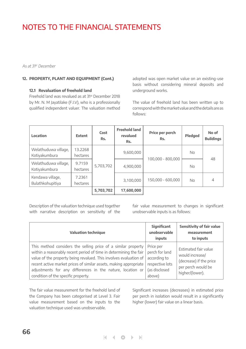As at 31<sup>st</sup> December

## **12. PROPERTY, PLANT AND EQUIPMENT (Cont.)**

## **12.1 Revaluation of freehold land**

Freehold land was revalued as at 31st December 2018 by Mr. N. M Jayatilake (F.I.V), who is a professionally qualified independent valuer. The valuation method adopted was open market value on an existing-use basis without considering mineral deposits and underground works.

The value of freehold land has been written up to correspond with the market value and the details are as follows:

| Location                              | <b>Extent</b>       | Cost<br>Rs. | <b>Freehold land</b><br>revalued<br>Rs. | Price per perch<br>Rs. | Pledged   | No of<br><b>Buildings</b> |
|---------------------------------------|---------------------|-------------|-----------------------------------------|------------------------|-----------|---------------------------|
| Welathuduwa village,<br>Kotiyakumbura | 13.2268<br>hectares |             | 9,600,000                               | 100,000 - 800,000      | <b>No</b> | 48                        |
| Welathuduwa village,<br>Kotiyakumbura | 9.7159<br>hectares  | 5,703,702   | 4,900,000                               |                        | <b>No</b> |                           |
| Kendawa village,<br>Bulathkohupitiya  | 7.2361<br>hectares  |             | 3,100,000                               | 150,000 - 600,000      | <b>No</b> | 4                         |
|                                       |                     | 5,703,702   | 17,600,000                              |                        |           |                           |

Description of the valuation technique used together with narrative description on sensitivity of the fair value measurement to changes in significant unobservable inputs is as follows:

| <b>Valuation technique</b>                                                                                                                                                                                                                                                                                                                                                                                 | <b>Significant</b><br>unobservable<br>inputs                            | Sensitivity of fair value<br>measurement<br>to inputs                                                       |
|------------------------------------------------------------------------------------------------------------------------------------------------------------------------------------------------------------------------------------------------------------------------------------------------------------------------------------------------------------------------------------------------------------|-------------------------------------------------------------------------|-------------------------------------------------------------------------------------------------------------|
| This method considers the selling price of a similar property<br>within a reasonably recent period of time in determining the fair $\vert$ perch for land<br>value of the property being revalued. This involves evaluation of  <br>recent active market prices of similar assets, making appropriate<br>adjustments for any differences in the nature, location or<br>condition of the specific property. | Price per<br>according to<br>respective lots<br>(as disclosed<br>above) | Estimated fair value<br>would increase/<br>(decrease) if the price<br>per perch would be<br>higher/(lower). |

The fair value measurement for the freehold land of the Company has been categorised at Level 3. Fair value measurement based on the inputs to the valuation technique used was unobservable.

Significant increases (decreases) in estimated price per perch in isolation would result in a significantly higher (lower) fair value on a linear basis.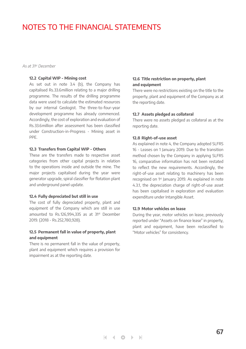As at 31st December

#### **12.2 Capital WIP - Mining cost**

As set out in note 3.4 (b), the Company has capitalised Rs. 33.6 million relating to a major drilling programme. The results of the drilling programme data were used to calculate the estimated resources by our internal Geologist. The three-to-four-year development programme has already commenced. Accordingly, the cost of exploration and evaluation of Rs. 33.6 million after assessment has been classified under Construction-in-Progress - Mining asset in PPE.

#### **12.3 Transfers from Capital WIP - Others**

These are the transfers made to respective asset categories from other capital projects in relation to the operations inside and outside the mine. The major projects capitalised during the year were generator upgrade, spiral classifier for flotation plant and underground panel update.

#### **12.4 Fully depreciated but still in use**

The cost of fully depreciated property, plant and equipment of the Company which are still in use amounted to Rs.126,994,335 as at 31<sup>st</sup> December 2019. (2018 - Rs. 252,780,928).

### **12.5 Permanent fall in value of property, plant and equipment**

There is no permanent fall in the value of property, plant and equipment which requires a provision for impairment as at the reporting date.

### **12.6 Title restriction on property, plant and equipment**

There were no restrictions existing on the title to the property, plant and equipment of the Company as at the reporting date.

#### **12.7 Assets pledged as collateral**

There were no assets pledged as collateral as at the reporting date.

#### **12.8 Right-of-use asset**

As explained in note 4, the Company adopted SLFRS 16 - Leases on 1 January 2019. Due to the transition method chosen by the Company in applying SLFRS 16, comparative information has not been restated to reflect the new requirements. Accordingly, the right-of-use asset relating to machinery has been recognised on 1<sup>st</sup> January 2019. As explained in note 4.3.1, the depreciation charge of right-of-use asset has been capitalised in exploration and evaluation expenditure under Intangible Asset.

### **12.9 Motor vehicles on lease**

During the year, motor vehicles on lease, previously reported under "Assets on finance lease" in property, plant and equipment, have been reclassified to "Motor vehicles" for consistency.

 $M \leftarrow \bullet \bullet M$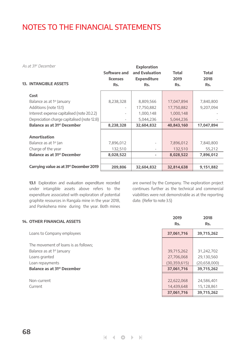As at 31<sup>st</sup> December

| As at 31 <sup>st</sup> December                     |              | <b>Exploration</b> |            |              |
|-----------------------------------------------------|--------------|--------------------|------------|--------------|
|                                                     | Software and | and Evaluation     | Total      | <b>Total</b> |
|                                                     | licenses     | <b>Expenditure</b> | 2019       | 2018         |
| <b>13. INTANGIBLE ASSETS</b>                        | Rs.          | Rs.                | Rs.        | Rs.          |
| Cost                                                |              |                    |            |              |
| Balance as at 1 <sup>st</sup> January               | 8,238,328    | 8,809,566          | 17,047,894 | 7,840,800    |
| Additions (note 13.1)                               |              | 17,750,882         | 17,750,882 | 9,207,094    |
| Interest expense capitalised (note 20.2.2)          |              | 1,000,148          | 1,000,148  |              |
| Depreciation charge capitalised (note 12.8)         | ۰            | 5,044,236          | 5,044,236  |              |
| <b>Balance as at 31st December</b>                  | 8,238,328    | 32,604,832         | 40.843.160 | 17.047.894   |
| <b>Amortisation</b>                                 |              |                    |            |              |
| Balance as at 1 <sup>st</sup> Jan                   | 7,896,012    |                    | 7,896,012  | 7,840,800    |
| Charge of the year                                  | 132,510      | ٠                  | 132,510    | 55,212       |
| <b>Balance as at 31st December</b>                  | 8,028,522    | ۰                  | 8,028,522  | 7,896,012    |
|                                                     |              |                    |            |              |
| Carrying value as at 31 <sup>st</sup> December 2019 | 209,806      | 32,604,832         | 32,814,638 | 9,151,882    |

**13.1** Exploration and evaluation expenditure recorded under intangible assets above refers to the expenditure associated with exploration of potential graphite resources in Rangala mine in the year 2018, and Pankohena mine during the year. Both mines

are owned by the Company. The exploration project continues further as the technical and commercial viabilities were not demonstrable as at the reporting date. (Refer to note 3.5)

| <b>14. OTHER FINANCIAL ASSETS</b>     | 2019<br>Rs.    | 2018<br>Rs.  |
|---------------------------------------|----------------|--------------|
| Loans to Company employees            | 37,061,716     | 39,715,262   |
| The movement of loans is as follows;  |                |              |
| Balance as at 1 <sup>st</sup> January | 39,715,262     | 31,242,702   |
| Loans granted                         | 27.706.068     | 29,130,560   |
| Loan repayments                       | (30, 359, 615) | (20,658,000) |
| <b>Balance as at 31st December</b>    | 37,061,716     | 39,715,262   |
|                                       |                |              |
| Non-current                           | 22,622,068     | 24,586,401   |
| Current                               | 14,439,648     | 15,128,861   |
|                                       | 37,061,716     | 39,715,262   |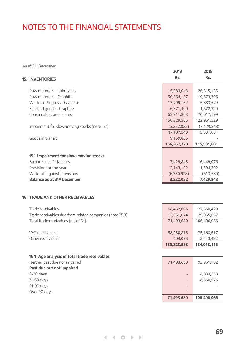As at 31<sup>st</sup> December

| <b>15. INVENTORIES</b>                        | 2019<br>Rs. | 2018<br>Rs. |
|-----------------------------------------------|-------------|-------------|
|                                               |             |             |
| Raw materials - Lubricants                    | 15,383,048  | 26,315,135  |
| Raw materials - Graphite                      | 50,864,157  | 19,573,396  |
| Work-In-Progress - Graphite                   | 13,799,152  | 5,383,579   |
| Finished goods - Graphite                     | 6,371,400   | 1,672,220   |
| Consumables and spares                        | 63,911,808  | 70,017,199  |
|                                               | 150,329,565 | 122,961,529 |
| Impairment for slow-moving stocks (note 15.1) | (3,222,022) | (7,429,848) |
|                                               | 147,107,543 | 115,531,681 |
| Goods in transit                              | 9,159,835   |             |
|                                               | 156,267,378 | 115,531,681 |
|                                               |             |             |
| 15.1 Impairment for slow-moving stocks        |             |             |
| Balance as at 1 <sup>st</sup> January         | 7,429,848   | 6,449,076   |
| Provision for the year                        | 2,143,102   | 1,594,302   |
| Write-off against provisions                  | (6,350,928) | (613,530)   |
| <b>Balance as at 31st December</b>            | 3,222,022   | 7,429,848   |
|                                               |             |             |

### **16. TRADE AND OTHER RECEIVABLES**

### **16.1 Age analysis of total trade receivables**

| Trade receivables                                        | 58,432,606                           | 77,350,429                             |
|----------------------------------------------------------|--------------------------------------|----------------------------------------|
| Trade receivables due from related companies (note 25.3) | 13,061,074                           | 29,055,637                             |
| Total trade receivables (note 16.1)                      | 71,493,680                           | 106,406,066                            |
| VAT receivables<br>Other receivables                     | 58,930,815<br>404.093<br>130,828,588 | 75,168,617<br>2.443.432<br>184,018,115 |

| 16.1 Age analysis of total trade receivables<br>Neither past due nor impaired | 71,493,680               | 93,961,102  |  |
|-------------------------------------------------------------------------------|--------------------------|-------------|--|
| Past due but not impaired                                                     |                          |             |  |
| $0-30$ days                                                                   | $\overline{\phantom{a}}$ | 4,084,388   |  |
| 31-60 days                                                                    | $\overline{\phantom{a}}$ | 8,360,576   |  |
| $61-90$ days                                                                  | $\sim$                   |             |  |
| Over 90 days                                                                  | $\sim$                   |             |  |
|                                                                               | 71,493,680               | 106,406,066 |  |
|                                                                               |                          |             |  |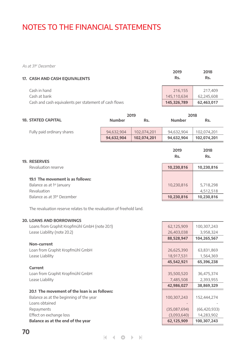As at 31<sup>st</sup> December

| 17. CASH AND CASH EQUIVALENTS                         | 2019<br>Rs. | 2018<br>Rs. |
|-------------------------------------------------------|-------------|-------------|
| Cash in hand                                          | 216,155     | 217,409     |
| Cash at bank                                          | 145,110,634 | 62,245,608  |
| Cash and cash equivalents per statement of cash flows | 145,326,789 | 62,463,017  |
|                                                       |             |             |

|                            |               | 2019        |               | 2018        |
|----------------------------|---------------|-------------|---------------|-------------|
| <b>18. STATED CAPITAL</b>  | <b>Number</b> | Rs.         | <b>Number</b> | Rs.         |
| Fully paid ordinary shares | 94,632,904    | 102,074,201 | 94,632,904    | 102,074,201 |
|                            | 94,632,904    | 102,074,201 | 94,632,904    | 102,074,201 |
|                            |               |             | 2019          | 2018        |
|                            |               |             | Rs.           | Rs.         |

|                                         | 10,230,816 | 10,230,816 |
|-----------------------------------------|------------|------------|
| Revaluation reserve                     |            |            |
| 19.1 The movement is as follows:        |            |            |
| Balance as at 1 <sup>st</sup> January   | 10,230,816 | 5,718,298  |
| Revaluation                             | $\sim$     | 4,512,518  |
| Balance as at 31 <sup>st</sup> December | 10,230,816 | 10,230,816 |

The revaluation reserve relates to the revaluation of freehold land.

### **20. LOANS AND BORROWINGS**

### **Non-current**

## **Current**

# **20.1 The movement of the loan is as follows:**

| ZU. LUANS AND BURRUWINGS                      |              |                |
|-----------------------------------------------|--------------|----------------|
| Loans from Graphit Kropfmühl GmbH (note 20.1) | 62,125,909   | 100,307,243    |
| Lease Liability (note 20.2)                   | 26,403,038   | 3,958,324      |
|                                               | 88,528,947   | 104,265,567    |
| Non-current                                   |              |                |
| Loan from Graphit Kropfmühl GmbH              | 26,625,390   | 63,831,869     |
| Lease Liability                               | 18,917,531   | 1,564,369      |
|                                               | 45.542.921   | 65,396,238     |
| Current                                       |              |                |
| Loan from Graphit Kropfmühl GmbH              | 35,500,520   | 36,475,374     |
| Lease Liability                               | 7,485,508    | 2,393,955      |
|                                               | 42,986,027   | 38,869,329     |
| 20.1 The movement of the loan is as follows:  |              |                |
| Balance as at the beginning of the year       | 100,307,243  | 152,444,274    |
| Loans obtained                                |              |                |
| Repayments                                    | (35,087,694) | (66, 420, 933) |
| Effect on exchange loss                       | (3,093,640)  | 14,283,902     |
| Balance as at the end of the year             | 62,125,909   | 100,307,243    |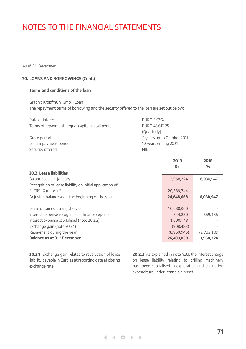As at 31<sup>st</sup> December

### **20. LOANS AND BORROWINGS (Cont.)**

# **Terms and conditions of the loan**

 Graphit KropfmÜhl GmbH Loan The repayment terms of borrowing and the security offered to the loan are set out below:

| Rate of interest                                | EURO 5.53%                 |
|-------------------------------------------------|----------------------------|
| Terms of repayment - equal capital installments | EURO 43,616.25             |
|                                                 | (Quarterly)                |
| Grace period                                    | 2 years up to October 2011 |
| Loan repayment period                           | 10 years ending 2021       |
| Security offered                                | NII.                       |

|                                                          | Rs.         | Rs.         |
|----------------------------------------------------------|-------------|-------------|
| 20.2 Lease liabilities                                   |             |             |
| Balance as at 1 <sup>st</sup> January                    | 3,958,324   | 6,030,947   |
| Recognition of lease liability on initial application of |             |             |
| SLFRS 16 (note 4.3)                                      | 20.689.744  |             |
| Adjusted balance as at the beginning of the year         | 24,648,068  | 6,030,947   |
|                                                          |             |             |
| Lease obtained during the year                           | 10,080,000  |             |
| Interest expense recognised in finance expense           | 544,250     | 659,486     |
| Interest expense capitalised (note 20.2.2)               | 1,000,148   |             |
| Exchange gain (note 20.2.1)                              | (908, 483)  |             |
| Repayment during the year                                | (8,960,946) | (2,732,109) |
| <b>Balance as at 31st December</b>                       | 26,403,038  | 3,958,324   |

20.2.1 Exchange gain relates to revaluation of lease liability payable in Euro as at reporting date at closing exchange rate.

**20.2.2** As explained in note 4.3.1, the interest charge on lease liability relating to drilling machinery has been capitalised in exploration and evaluation expenditure under Intangible Asset.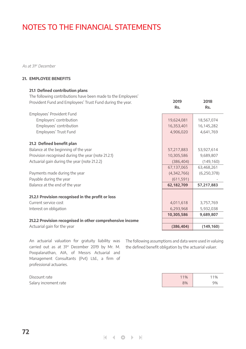As at 31<sup>st</sup> December

### **21. EMPLOYEE BENEFITS**

| 21.1 Defined contribution plans                              |             |               |
|--------------------------------------------------------------|-------------|---------------|
| The following contributions have been made to the Employees' |             |               |
| Provident Fund and Employees' Trust Fund during the year.    | 2019        | 2018          |
|                                                              | Rs.         | Rs.           |
| Employees' Provident Fund                                    |             |               |
| Employers' contribution                                      | 19,624,081  | 18,567,074    |
| Employees' contribution                                      | 16,353,401  | 16,145,282    |
| Employees' Trust Fund                                        | 4,906,020   | 4,641,769     |
|                                                              |             |               |
| 21.2 Defined benefit plan                                    |             |               |
| Balance at the beginning of the year                         | 57,217,883  | 53,927,614    |
| Provision recognised during the year (note 21.2.1)           | 10,305,586  | 9,689,807     |
| Actuarial gain during the year (note 21.2.2)                 | (386, 404)  | (149, 160)    |
|                                                              | 67,137,065  | 63,468,261    |
| Payments made during the year                                | (4,342,766) | (6, 250, 378) |
| Payable during the year                                      | (611, 591)  |               |
| Balance at the end of the year                               | 62,182,709  | 57,217,883    |
|                                                              |             |               |
| 21.2.1 Provision recognised in the profit or loss            |             |               |
| Current service cost                                         | 4,011,618   | 3,757,769     |
| Interest on obligation                                       | 6,293,968   | 5,932,038     |
|                                                              | 10,305,586  | 9,689,807     |
| 21.2.2 Provision recognised in other comprehensive income    |             |               |
| Actuarial gain for the year                                  | (386, 404)  | (149, 160)    |

An actuarial valuation for gratuity liability was carried out as at 31<sup>st</sup> December 2019 by Mr. M. Poopalanathan, AIA, of Messrs Actuarial and Management Consultants (Pvt) Ltd., a firm of professional actuaries.

Discount rate Salary increment rate The following assumptions and data were used in valuing the defined benefit obligation by the actuarial valuer.

| 11% | 11% |
|-----|-----|
|     |     |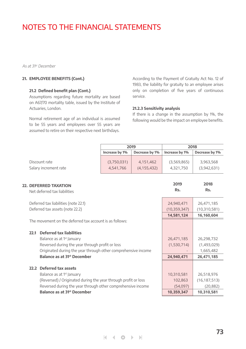As at 31st December

#### **21. EMPLOYEE BENEFITS (Cont.)**

#### **21.2 Defined benefit plan (Cont.)**

Assumptions regarding future mortality are based on A67/70 mortality table, issued by the Institute of Actuaries, London.

Normal retirement age of an individual is assumed to be 55 years and employees over 55 years are assumed to retire on their respective next birthdays.

According to the Payment of Gratuity Act No. 12 of 1983, the liability for gratuity to an employee arises only on completion of five years of continuous service.

#### **21.2.3 Sensitivity analysis**

If there is a change in the assumption by 1%, the following would be the impact on employee benefits.

> **2019 Rs.**

**2018 Rs.**

|                       |                | 2019           | 2018           |                |  |
|-----------------------|----------------|----------------|----------------|----------------|--|
|                       | Increase by 1% | Decrease by 1% | Increase by 1% | Decrease by 1% |  |
| Discount rate         | (3,750,031)    | 4.151.462      | (3,569,865)    | 3,963,568      |  |
| Salary increment rate | 4,541,766      | (4, 155, 432)  | 4,321,750      | (3,942,631)    |  |

#### **22. DEFERRED TAXATION**

Net deferred tax liabilities

Deferred tax liabilities (note 22.1) 24,940,471 26,471,185 Deferred tax assets (note 22.2) (10,359,347) (10,310,581)

The movement on the deferred tax account is as follows:

| 22.1 | <b>Deferred tax liabilities</b>                                |             |                |
|------|----------------------------------------------------------------|-------------|----------------|
|      | Balance as at 1 <sup>st</sup> January                          | 26.471.185  | 26,298,732     |
|      | Reversed during the year through profit or loss                | (1,530,714) | (1,493,029)    |
|      | Originated during the year through other comprehensive income  |             | 1,665,482      |
|      | <b>Balance as at 31st December</b>                             | 24,940,471  | 26,471,185     |
|      |                                                                |             |                |
|      | 22.2 Deferred tax assets                                       |             |                |
|      | Balance as at 1 <sup>st</sup> January                          | 10,310,581  | 26,518,976     |
|      | (Reversed) / Originated during the year through profit or loss | 102.863     | (16, 187, 513) |
|      | Reversed during the year through other comprehensive income    | (54,097)    | (20, 882)      |
|      | <b>Balance as at 31st December</b>                             | 10,359,347  | 10,310,581     |
|      |                                                                |             |                |

 **14,581,124 16,160,604**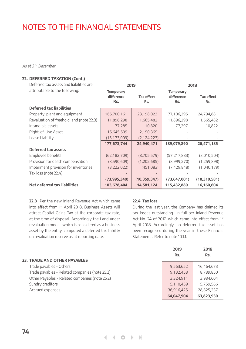As at 31<sup>st</sup> December

#### **22. DEFERRED TAXATION (Cont.)**

| Deferred tax assets and liabilities are  | 2019                                  |                          |                                       | 2018                     |
|------------------------------------------|---------------------------------------|--------------------------|---------------------------------------|--------------------------|
| attributable to the following:           | <b>Temporary</b><br>difference<br>Rs. | <b>Tax effect</b><br>Rs. | <b>Temporary</b><br>difference<br>Rs. | <b>Tax effect</b><br>Rs. |
| <b>Deferred tax liabilities</b>          |                                       |                          |                                       |                          |
| Property, plant and equipment            | 165,700,161                           | 23,198,023               | 177,106,295                           | 24,794,881               |
| Revaluation of freehold land (note 22.3) | 11,896,298                            | 1,665,482                | 11,896,298                            | 1,665,482                |
| Intangible assets                        | 77,285                                | 10,820                   | 77,297                                | 10,822                   |
| Right-of-Use Asset                       | 15,645,509                            | 2,190,369                |                                       |                          |
| Lease Liability                          | (15, 173, 009)                        | (2, 124, 223)            |                                       |                          |
|                                          | 177,673,744                           | 24,940,471               | 189,079,890                           | 26,471,185               |
| Deferred tax assets                      |                                       |                          |                                       |                          |
| Employee benefits                        | (62, 182, 709)                        | (8,705,579)              | (57, 217, 883)                        | (8,010,504)              |
| Provision for death compensation         | (8,590,609)                           | (1,202,685)              | (8,999,270)                           | (1, 259, 898)            |
| Impairment provision for inventories     | (3,222,022)                           | (451,083)                | (7,429,848)                           | (1,040,179)              |
| Tax loss (note 22.4)                     |                                       |                          |                                       |                          |
|                                          | (73, 995, 340)                        | (10, 359, 347)           | (73, 647, 001)                        | (10, 310, 581)           |
| Net deferred tax liabilities             | 103,678,404                           | 14,581,124               | 115,432,889                           | 16,160,604               |

**22.3** Per the new Inland Revenue Act which came into effect from 1st April 2018, Business Assets will attract Capital Gains Tax at the corporate tax rate, at the time of disposal. Accordingly the Land under revaluation model, which is considered as a business asset by the entity, computed a deferred tax liability on revaluation reserve as at reporting date.

#### **22.4 Tax loss**

During the last year, the Company has claimed its tax losses outstanding in full per Inland Revenue Act No. 24 of 2017, which came into effect from 1st April 2018. Accordingly, no deferred tax asset has been recognised during the year in these Financial Statements. Refer to note 10.1.1.

**2019**

**2018**

|                                                | Rs.        | Rs.        |
|------------------------------------------------|------------|------------|
| <b>23. TRADE AND OTHER PAYABLES</b>            |            |            |
| Trade payables - Others                        | 9,563,652  | 16,464,673 |
| Trade payables - Related companies (note 25.2) | 9,132,458  | 8.789.850  |
| Other Payables - Related companies (note 25.2) | 3,324,911  | 3,984,604  |
| Sundry creditors                               | 5,110,459  | 5,759,566  |
| Accrued expenses                               | 36,916,425 | 28,825,237 |
|                                                | 64,047,904 | 63,823,930 |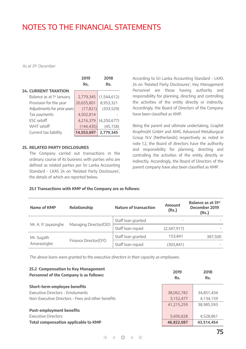As at 31st December

|                                       | 2019       | 2018        |
|---------------------------------------|------------|-------------|
|                                       | Rs.        | Rs.         |
| <b>24. CURRENT TAXATION</b>           |            |             |
| Balance as at 1 <sup>st</sup> January | 2,779,345  | (1,544,612) |
| Provision for the year                | 20,655,801 | 8,953,321   |
| Adjustments for prior years           | (17, 821)  | (333,529)   |
| Tax payments                          | 4,502,814  |             |
| ESC setoff                            | 4,216,379  | (4,250,677) |
| WHT setoff                            | (144, 435) | (45, 158)   |
| Current tax liability                 | 14,553,697 | 2,779,345   |
|                                       |            |             |

#### **25. RELATED PARTY DISCLOSURES**

The Company carried out transactions in the ordinary course of its business with parties who are defined as related parties per Sri Lanka Accounting Standard - LKAS 24 on 'Related Party Disclosures', the details of which are reported below.

According to Sri Lanka Accounting Standard - LKAS 24 on 'Related Party Disclosures', Key Management Personnel are those having authority and responsibility for planning, directing and controlling the activities of the entity directly or indirectly. Accordingly, the Board of Directors of the Company have been classified as KMP.

Being the parent and ultimate undertaking, Graphit Kropfmühl GmbH and AMG Advanced Metallurgical Group N.V (Netherlands) respectively as noted in note 1.2, the Board of directors have the authority and responsibility for planning, directing and controlling the activities of the entity directly or indirectly. Accordingly, the Board of Directors of the parent company have also been classified as KMP.

#### **25.1 Transactions with KMP of the Company are as follows:**

| Name of KMP          | <b>Relationship</b>   | <b>Nature of transaction</b> | Amount<br>(Rs.) | Balance as at 31 <sup>st</sup><br>December 2019<br>(Rs.) |
|----------------------|-----------------------|------------------------------|-----------------|----------------------------------------------------------|
|                      |                       | Staff loan granted           | ۰               |                                                          |
| Mr. A. P. Jayasinghe | Managing Director/CEO | Staff loan repaid            | (2,347,917)     |                                                          |
| Mr. Sugath           |                       | Staff loan granted           | 153,841         | 387,500                                                  |
| Amarasinghe          | Finance Director/CFO  | Staff loan repaid            | (303,841)       |                                                          |

The above loans were granted to the executive directors in their capacity as employees.

| 25.2 Compensation to Key Management<br>Personnel of the Company is as follows: | 2019<br>Rs. | 2018<br>Rs. |
|--------------------------------------------------------------------------------|-------------|-------------|
| Short-term employee benefits                                                   |             |             |
| <b>Executive Directors - Emoluments</b>                                        | 38,062,782  | 34,851,434  |
| Non-Executive Directors - Fees and other benefits                              | 3,152,477   | 4,134,159   |
|                                                                                | 41.215.259  | 38,985,593  |
| <b>Post-employment benefits</b>                                                |             |             |
| Executive Directors                                                            | 5,606,828   | 4,528,861   |
| <b>Total compensation applicable to KMP</b>                                    | 46,822,087  | 43,514,454  |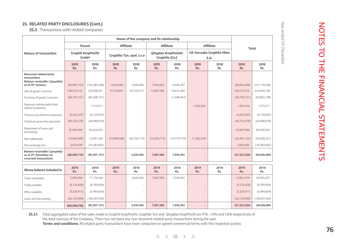#### **25. RELATED PARTY DISCLOSURES (Cont.)**

**25.3** Transactions with related companies

| Name of the company and its relationship                                                                           |                           |                 |                                                                                                              |                |                  |                |                          |                          |                |                 |
|--------------------------------------------------------------------------------------------------------------------|---------------------------|-----------------|--------------------------------------------------------------------------------------------------------------|----------------|------------------|----------------|--------------------------|--------------------------|----------------|-----------------|
|                                                                                                                    |                           | Parent          | <b>Affiliate</b>                                                                                             |                | <b>Affiliate</b> |                |                          | <b>Affiliate</b>         |                | <b>Total</b>    |
| <b>Nature of transaction</b>                                                                                       | Graphit Kropfmühl<br>GmbH |                 | <b>GK Ancuabe Graphite Mine</b><br>Qingdao Kropfmüehl<br>Graphite Tyn, spol. s.r.o<br>Graphite (Co.)<br>S.A. |                |                  |                |                          |                          |                |                 |
|                                                                                                                    | 2019<br>Rs.               | 2018<br>Rs.     | 2019<br>Rs.                                                                                                  | 2018<br>Rs.    | 2019<br>Rs.      | 2018<br>Rs.    | 2019<br>Rs.              | 2018<br>Rs.              | 2019<br>Rs.    | 2018<br>Rs.     |
| <b>Recurrent related party</b><br>transactions<br>Balance receivable / (payable)<br>as at 01 <sup>st</sup> January | (95, 907, 157)            | (154, 383, 398) | 4,825,005                                                                                                    | 3,566,405      | 7,056,092        | 9,646,787      |                          |                          | (84,026,060)   | (141, 170, 206) |
| Sale of goods / services                                                                                           | 138,523,122               | 124,308,351     | 15,163,041                                                                                                   | 87,024,315     | 14,487,588       | 18,631,482     |                          |                          | 168, 173, 752  | 229,964,148     |
| Purchase of goods / services                                                                                       | (84, 754, 721)            | (82, 408, 731)  |                                                                                                              |                |                  | (1,446,467)    | ٠                        |                          | (84, 754, 721) | (83, 855, 198)  |
| Expenses reimbursable from<br>related companies                                                                    |                           | 1,515,511       |                                                                                                              |                |                  |                | 1,282,524                |                          | 1,282,524      | 1,515,511       |
| Finance cost (Interest expenses)                                                                                   | (4,262,637)               | (6, 129, 055)   |                                                                                                              |                |                  |                |                          | $\overline{a}$           | (4, 262, 637)  | (6, 129, 055)   |
| Technical service fee payments                                                                                     | (40, 725, 270)            | (43,888,070)    |                                                                                                              |                |                  |                |                          |                          | (40, 725, 270) | (43,888,070)    |
| Repayment of loans and<br>borrowings                                                                               | 35,087,694                | 66,420,933      |                                                                                                              |                |                  |                |                          |                          | 35,087,694     | 66,420,933      |
| Net settlements                                                                                                    | (19,644,380)              | 12,941,206      | (19,988,046)                                                                                                 | (85, 765, 715) | (14.476.175)     | (19, 775, 710) | (1, 282, 524)            |                          | (55, 391, 125) | (92,600,221)    |
| Net exchange loss                                                                                                  | 3,093,639                 | (14, 283, 902)  |                                                                                                              |                |                  |                |                          |                          | 3,093,639      | (14, 283, 902)  |
| Balance receivable / (payable)<br>as at 31 <sup>st</sup> December on<br>recurrent transactions                     | (68, 589, 710)            | (95, 907, 157)  |                                                                                                              | 4,825,005      | 7,067,506        | 7,056,092      |                          |                          | (61, 522, 204) | (84,026,060)    |
|                                                                                                                    |                           |                 |                                                                                                              |                |                  |                |                          |                          |                |                 |
| Above balance included in                                                                                          | 2019<br>Rs.               | 2018<br>Rs.     | 2019<br>Rs.                                                                                                  | 2018<br>Rs.    | 2019<br>Rs.      | 2018<br>Rs.    | 2019<br>Rs.              | 2018<br>Rs.              | 2019<br>Rs.    | 2018<br>Rs.     |
| Trade receivables                                                                                                  | 5,993,568                 | 17,174,540      |                                                                                                              | 4,825,005      | 7,067,506        | 7,056,092      | $\overline{\phantom{a}}$ |                          | 13,061,074     | 29,055,637      |
| Trade payables                                                                                                     | (9, 132, 458)             | (8,789,850)     |                                                                                                              |                |                  |                |                          |                          | (9, 132, 458)  | (8,789,850)     |
| Other payables                                                                                                     | (3,324,911)               | (3,984,604)     |                                                                                                              |                |                  | ×              |                          | ÷.                       | (3,324,911)    | (3,984,604)     |
| Loans and borrowings                                                                                               | (62, 125, 909)            | (100, 307, 243) |                                                                                                              |                |                  |                | $\overline{\phantom{a}}$ |                          | (62, 125, 909) | (100, 307, 243) |
|                                                                                                                    | (68, 589, 710)            | (95, 907, 157)  | $\overline{\phantom{a}}$                                                                                     | 4,825,005      | 7,067,506        | 7,056,092      | $\overline{\phantom{a}}$ | $\overline{\phantom{a}}$ | (61, 522, 204) | (84,026,060)    |

25.3.1 Total aggregated value of the sales made to Graphit Kropfmühl, Graphite Tyn and Qingdao Kropfmühl are 17%, 1.9% and 1.8% respectively of the total revenue of the Company. There has not been any non-recurrent related party transactions during the year. **Terms and conditions:** All related party transactions have been conducted on agreed commercial terms with the respective parties

NOTES TO T HE FINAN NOTES TO THE FINANCIAL STATEMENTS STATEMENTS

Year ended 31st December

Year ended 31<sup>st</sup> December

 $\mathbb{R}$ 4 **0 H**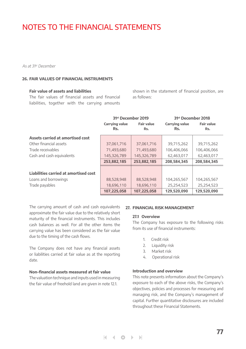As at 31st December

#### **26. FAIR VALUES OF FINANCIAL INSTRUMENTS**

**Fair value of assets and liabilities** The fair values of financial assets and financial

liabilities, together with the carrying amounts

shown in the statement of financial position, are as follows:

|                                       | 31st December 2019           |                          | 31st December 2018    |                          |  |
|---------------------------------------|------------------------------|--------------------------|-----------------------|--------------------------|--|
|                                       | <b>Carrying value</b><br>Rs. | <b>Fair value</b><br>Rs. | Carrying value<br>Rs. | <b>Fair value</b><br>Rs. |  |
| Assets carried at amortised cost      |                              |                          |                       |                          |  |
| Other financial assets                | 37.061.716                   | 37.061.716               | 39.715.262            | 39.715.262               |  |
| Trade receivables                     | 71,493,680                   | 71,493,680               | 106,406,066           | 106,406,066              |  |
| Cash and cash equivalents             | 145,326,789                  | 145,326,789              | 62,463,017            | 62,463,017               |  |
|                                       | 253,882,185                  | 253,882,185              | 208.584.345           | 208.584.345              |  |
| Liabilities carried at amortised cost |                              |                          |                       |                          |  |
| Loans and borrowings                  | 88,528,948                   | 88,528,948               | 104.265.567           | 104,265,567              |  |
| Trade payables                        | 18,696,110                   | 18,696,110               | 25.254.523            | 25.254.523               |  |
|                                       | 107,225,058                  | 107.225.058              | 129,520,090           | 129,520,090              |  |

The carrying amount of cash and cash equivalents approximate the fair value due to the relatively short maturity of the financial instruments. This includes cash balances as well. For all the other items the carrying value has been considered as the fair value due to the timing of the cash flows.

The Company does not have any financial assets or liabilities carried at fair value as at the reporting date.

#### **Non-financial assets measured at fair value**

The valuation technique and inputs used in measuring the fair value of freehold land are given in note 12.1.

#### **27. FINANCIAL RISK MANAGEMENT**

#### **27.1 Overview**

The Company has exposure to the following risks from its use of financial instruments:

- 1. Credit risk
- 2. Liquidity risk
- 3. Market risk
- 4. Operational risk

#### **Introduction and overview**

This note presents information about the Company's exposure to each of the above risks, the Company's objectives, policies and processes for measuring and managing risk, and the Company's management of capital. Further quantitative disclosures are included throughout these Financial Statements.

**K 4 0 1 1**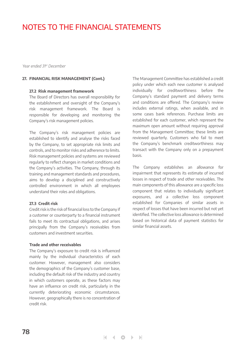Year ended 31st December

#### **27. FINANCIAL RISK MANAGEMENT (Cont.)**

#### **27.2 Risk management framework**

The Board of Directors has overall responsibility for the establishment and oversight of the Company's risk management framework. The Board is responsible for developing and monitoring the Company's risk management policies.

The Company's risk management policies are established to identify and analyse the risks faced by the Company, to set appropriate risk limits and controls, and to monitor risks and adherence to limits. Risk management policies and systems are reviewed regularly to reflect changes in market conditions and the Company's activities. The Company, through its training and management standards and procedures, aims to develop a disciplined and constructively controlled environment in which all employees understand their roles and obligations.

#### **27.3 Credit risk**

Credit risk is the risk of financial loss to the Company if a customer or counterparty to a financial instrument fails to meet its contractual obligations, and arises principally from the Company's receivables from customers and investment securities.

#### **Trade and other receivables**

The Company's exposure to credit risk is influenced mainly by the individual characteristics of each customer. However, management also considers the demographics of the Company's customer base, including the default risk of the industry and country in which customers operate, as these factors may have an influence on credit risk, particularly in the currently deteriorating economic circumstances. However, geographically there is no concentration of credit risk.

The Management Committee has established a credit policy under which each new customer is analysed individually for creditworthiness before the Company's standard payment and delivery terms and conditions are offered. The Company's review includes external ratings, when available, and in some cases bank references. Purchase limits are established for each customer, which represent the maximum open amount without requiring approval from the Management Committee; these limits are reviewed quarterly. Customers who fail to meet the Company's benchmark creditworthiness may transact with the Company only on a prepayment basis.

The Company establishes an allowance for impairment that represents its estimate of incurred losses in respect of trade and other receivables. The main components of this allowance are a specific loss component that relates to individually significant exposures, and a collective loss component established for Companies of similar assets in respect of losses that have been incurred but not yet identified. The collective loss allowance is determined based on historical data of payment statistics for similar financial assets.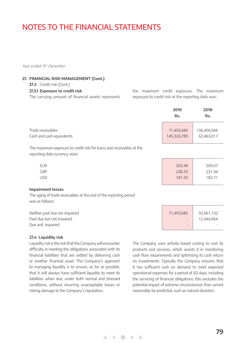Year ended 31st December

**27. FINANCIAL RISK MANAGEMENT (Cont.)**

**27.3** Credit risk (Cont.)

**27.3.1 Exposure to credit risk**

The carrying amount of financial assets represents

the maximum credit exposure. The maximum exposure to credit risk at the reporting date was:

|                                                                                                                  | 2019<br>Rs.                | 2018<br>Rs.                |
|------------------------------------------------------------------------------------------------------------------|----------------------------|----------------------------|
| Trade receivables<br>Cash and cash equivalents                                                                   | 71,493,680<br>145,326,789  | 106,406,066<br>62,463,017  |
| The maximum exposure to credit risk for loans and receivables at the<br>reporting date currency-wise:            |                            |                            |
| <b>EUR</b><br><b>GBP</b><br><b>USD</b>                                                                           | 203.48<br>238.35<br>181.50 | 209.07<br>231.94<br>182.71 |
| <b>Impairment losses</b><br>The aging of trade receivables at the end of the reporting period<br>was as follows: |                            |                            |
| Neither past due nor impaired<br>Past due but not impaired<br>Due and impaired                                   | 71,493,680                 | 93,961,102<br>12,444,964   |

**27.4 Liquidity risk**

Liquidity risk is the risk that the Company will encounter difficulty in meeting the obligations associated with its financial liabilities that are settled by delivering cash or another financial asset. The Company's approach to managing liquidity is to ensure, as far as possible, that it will always have sufficient liquidity to meet its liabilities when due, under both normal and stressed conditions, without incurring unacceptable losses or risking damage to the Company's reputation.

The Company uses activity-based costing to cost its products and services, which assists it in monitoring cash flow requirements and optimising its cash return on investments. Typically the Company ensures that it has sufficient cash on demand to meet expected operational expenses for a period of 60 days, including the servicing of financial obligations; this excludes the potential impact of extreme circumstances that cannot reasonably be predicted, such as natural disasters.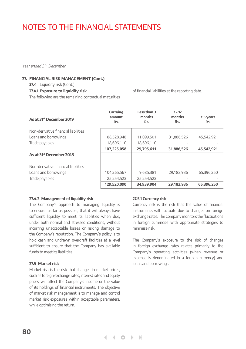Year ended 31st December

#### **27. FINANCIAL RISK MANAGEMENT (Cont.)**

**27.4** Liquidity risk (Cont.)

#### **27.4.1 Exposure to liquidity risk**

The following are the remaining contractual maturities

**As at 31st December 2019** Non-derivative financial liabilities Loans and borrowings 188,528,948 | 11,099,501 | 31,886,526 | 45,542,921 Trade payables 18,696,110 18,696,110 **107,225,058 29,795,611 31,886,526 45,542,921 As at 31st December 2018** Non-derivative financial liabilities Loans and borrowings 104,265,567 9,685,381 29,183,936 65,396,250 Trade payables 25,254,523 25,254,523 **129,520,090 34,939,904 29,183,936 65,396,250 Carrying amount Rs.  Less than 3 months Rs.  3 - 12 months Rs.  > 5 years Rs.**

#### **27.4.2 Management of liquidity risk**

The Company's approach to managing liquidity is to ensure, as far as possible, that it will always have sufficient liquidity to meet its liabilities when due, under both normal and stressed conditions, without incurring unacceptable losses or risking damage to the Company's reputation. The Company's policy is to hold cash and undrawn overdraft facilities at a level sufficient to ensure that the Company has available funds to meet its liabilities.

#### **27.5 Market risk**

Market risk is the risk that changes in market prices, such as foreign exchange rates, interest rates and equity prices will affect the Company's income or the value of its holdings of financial instruments. The objective of market risk management is to manage and control market risk exposures within acceptable parameters, while optimising the return.

#### **27.5.1 Currency risk**

Currency risk is the risk that the value of financial instruments will fluctuate due to changes on foreign exchange rates. The Company monitors the fluctuations in foreign currencies with appropriate strategies to minimise risk.

of financial liabilities at the reporting date.

The Company's exposure to the risk of changes in foreign exchange rates relates primarily to the Company's operating activities (when revenue or expense is denominated in a foreign currency) and loans and borrowings.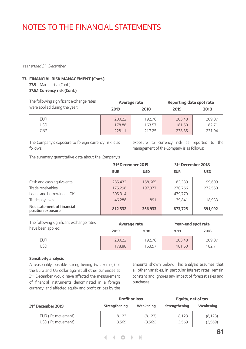Year ended 31st December

#### **27. FINANCIAL RISK MANAGEMENT (Cont.)**

**27.5** Market risk (Cont.) **27.5.1 Currency risk (Cont.)**

| The following significant exchange rates | Average rate |        | <b>Reporting date spot rate</b> |        |  |
|------------------------------------------|--------------|--------|---------------------------------|--------|--|
| were applied during the year:            | 2018<br>2019 |        | 2019                            | 2018   |  |
| <b>EUR</b>                               | 200.22       | 192.76 | 203.48                          | 209.07 |  |
| USD                                      | 178.88       | 163.57 | 181.50                          | 182.71 |  |
| GBP                                      | 228.11       | 217.25 | 238.35                          | 231.94 |  |

The Company's exposure to foreign currency risk is as follows:

exposure to currency risk as reported to the management of the Company is as follows:

The summary quantitative data about the Company's

|                                                 | 31 <sup>st</sup> December 2019 |                          | 31st December 2018 |            |
|-------------------------------------------------|--------------------------------|--------------------------|--------------------|------------|
|                                                 | <b>EUR</b>                     | <b>USD</b>               | <b>EUR</b>         | <b>USD</b> |
| Cash and cash equivalents                       | 285,432                        | 158,665                  | 83,339             | 99,609     |
| Trade receivables                               | 175,298                        | 197.377                  | 270,766            | 272,550    |
| Loans and borrowings - GK                       | 305,314                        | $\overline{\phantom{a}}$ | 479,779            |            |
| Trade payables                                  | 46,288                         | 891                      | 39,841             | 18,933     |
| Net statement of financial<br>position exposure | 812,332                        | 356,933                  | 873,725            | 391,092    |

| The following significant exchange rates | Average rate |        | Year-end spot rate |        |  |
|------------------------------------------|--------------|--------|--------------------|--------|--|
| have been applied:                       | 2019         | 2018   | 2019               | 2018   |  |
| <b>EUR</b>                               | 200.22       | 192.76 | 203.48             | 209.07 |  |
| JSD                                      | 178.88       | 163.57 | 181.50             | 182.71 |  |

#### **Sensitivity analysis**

A reasonably possible strengthening (weakening) of the Euro and US dollar against all other currencies at 31<sup>st</sup> December would have affected the measurement of financial instruments denominated in a foreign currency, and affected equity and profit or loss by the amounts shown below. This analysis assumes that all other variables, in particular interest rates, remain constant and ignores any impact of forecast sales and purchases.

|                                | <b>Profit or loss</b> |           | Equity, net of tax |           |  |
|--------------------------------|-----------------------|-----------|--------------------|-----------|--|
| 31 <sup>st</sup> December 2019 | Strengthening         | Weakening | Strengthening      | Weakening |  |
| EUR (1% movement)              | 8.123                 | (8, 123)  | 8.123              | (8, 123)  |  |
| USD (1% movement)              | 3,569                 | (3,569)   | 3,569              | (3,569)   |  |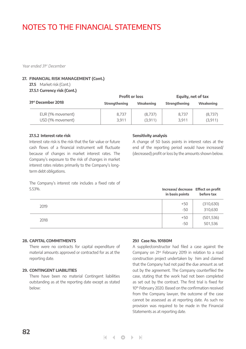Year ended 31st December

#### **27. FINANCIAL RISK MANAGEMENT (Cont.)**

27.5 Market risk (Cont.) **27.5.1 Currency risk (Cont.)**

|                                        | <b>Profit or loss</b>      |                    | Equity, net of tax |                    |  |
|----------------------------------------|----------------------------|--------------------|--------------------|--------------------|--|
| 31 <sup>st</sup> December 2018         | Strengthening<br>Weakening |                    | Strengthening      | Weakening          |  |
| EUR (1% movement)<br>USD (1% movement) | 8,737<br>3,911             | (8,737)<br>(3,911) | 8,737<br>3.911     | (8,737)<br>(3,911) |  |

#### **27.5.2 Interest rate risk**

Interest rate risk is the risk that the fair value or future cash flows of a financial instrument will fluctuate because of changes in market interest rates. The Company's exposure to the risk of changes in market interest rates relates primarily to the Company's longterm debt obligations.

#### **Sensitivity analysis**

A change of 50 basis points in interest rates at the end of the reporting period would have increased/ (decreased) profit or loss by the amounts shown below.

The Company's interest rate includes a fixed rate of 5.53%.

| $5.53\%$ . | Increase/ decrease Effect on profit<br>in basis points | before tax |
|------------|--------------------------------------------------------|------------|
| 2019       | $+50$                                                  | (310, 630) |
|            | $-50$                                                  | 310,630    |
| 2018       | $+50$                                                  | (501, 536) |
|            | $-50$                                                  | 501,536    |

#### **28. CAPITAL COMMITMENTS**

There were no contracts for capital expenditure of material amounts approved or contracted for as at the reporting date.

#### **29. CONTINGENT LIABILITIES**

There have been no material Contingent liabilities outstanding as at the reporting date except as stated below:

#### **29.1 Case No. 10180M**

A supplier/constructor had filed a case against the Company on 21<sup>st</sup> February 2019 in relation to a road construction project undertaken by him and claimed that the Company had not paid the due amount as set out by the agreement. The Company counterfiled the case, stating that the work had not been completed as set out by the contract. The first trial is fixed for 10<sup>th</sup> February 2020. Based on the confirmation received from the Company lawyer, the outcome of the case cannot be assessed as at reporting date. As such no provision was required to be made in the Financial Statements as at reporting date.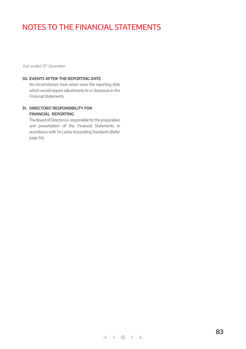Year ended 31st December

#### **30. EVENTS AFTER THE REPORTING DATE**

No circumstances have arisen since the reporting date which would require adjustments to or disclosure in the Financial Statements.

### **31. DIRECTORS' RESPONSIBILITY FOR FINANCIAL REPORTING**

The Board of Directors is responsible for the preparation and presentation of the Financial Statements in accordance with Sri Lanka Accounting Standards (Refer page 34).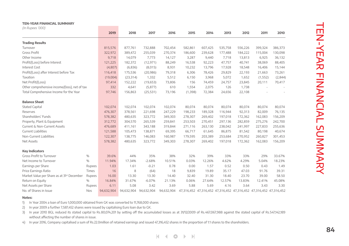#### **TEN-YEAR FINANCIAL SUMMARY**

(In Rupees '000)

|                                               |               | 2019       | 2018       | 2017       | 2016       | 2015     | 2014    | 2013    | 2012                                                              | 2011     | 2010    |
|-----------------------------------------------|---------------|------------|------------|------------|------------|----------|---------|---------|-------------------------------------------------------------------|----------|---------|
| <b>Trading Results</b>                        |               |            |            |            |            |          |         |         |                                                                   |          |         |
| Turnover                                      |               | 815,576    | 877,761    | 732,888    | 702,454    | 582,861  | 607,425 | 535,758 | 556,226                                                           | 399,324  | 386,373 |
| <b>Gross Profit</b>                           |               | 322,972    | 389,472    | 255,039    | 270,374    | 186,600  | 239,628 | 177,488 | 184,222                                                           | 115,004  | 130,098 |
| Other Income                                  |               | 9,718      | 14,079     | 7,773      | 14,127     | 3,287    | 9,440   | 7,718   | 13,813                                                            | 6,925    | 36,132  |
| Profit/(Loss) before Interest                 |               | 121,225    | 182,372    | (12, 971)  | 88,249     | 16,538   | 92,223  | 47,757  | 40,741                                                            | 38,069   | 88,405  |
| Interest Cost                                 |               | (4,807)    | (6,836)    | (8,015)    | 8,931      | 10,232   | 13,796  | 17,928  | 18,548                                                            | 16,406   | 15,144  |
| Profit/(Loss) after Interest before Tax       |               | 116,418    | 175,536    | (20, 986)  | 79,318     | 6,306    | 78,426  | 29,829  | 22,193                                                            | 21,663   | 73,261  |
| Taxation                                      |               | (19,004)   | (23, 314)  | 1,332      | 5,512      | 6,150    | 3,968   | 5,072   | 1,652                                                             | (1, 552) | (2,844) |
| Net Profit/(Loss)                             |               | 97,414     | 152,222    | (19, 653)  | 73,806     | 156      | 74,459  | 24,757  | 23,845                                                            | 20,111   | 70,417  |
| Other comprehensive income/(loss), net of tax |               | 332        | 4,641      | (5,877)    | 610        | 1,554    | 2,075   | 126     | 1,738                                                             |          |         |
| Total Comprehensive Income for the Year       |               | 97,746     | 156,863    | (25, 531)  | 73,196     | (1, 398) | 72,384  | 24,656  | 22,108                                                            |          |         |
| <b>Balance Sheet</b>                          |               |            |            |            |            |          |         |         |                                                                   |          |         |
| <b>Stated Capital</b>                         |               | 102,074    | 102,074    | 102,074    | 102,074    | 80,074   | 80,074  | 80,074  | 80,074                                                            | 80,074   | 80,074  |
| Reserves                                      |               | 476,307    | 378,561    | 221,698    | 247,229    | 198,233  | 189,328 | 116,944 | 92,313                                                            | 82,009   | 76,135  |
| Shareholders' Funds                           |               | 578,382    | 480,635    | 323,772    | 349,303    | 278,307  | 269,402 | 197,018 | 172,362                                                           | 162,083  | 156,209 |
| Property, Plant & Equipment                   |               | 312,772    | 304,570    | 265,539    | 259,841    | 253,503  | 270,451 | 297,136 | 282,859                                                           | 275,276  | 242,700 |
| Current & Non-Current Assets                  |               | 476,689    | 411,161    | 343,188    | 319,844    | 271,116  | 263,130 | 238,042 | 241,997                                                           | 227,833  | 255,636 |
| <b>Current Liabilities</b>                    |               | 121,588    | 105,473    | 138,871    | 69,395     | 66,717   | 61,645  | 86,875  | 81,542                                                            | 80,198   | 40,674  |
| Non-Current Liabilities                       |               | 122,307    | 138,775    | 146,083    | 160,987    | 179,595  | 203,389 | 253,684 | 270,952                                                           | 260,827  | 301,453 |
| Net Assets                                    |               | 578,382    | 480,635    | 323,772    | 349,303    | 278,307  | 269,402 | 197,018 | 172,362                                                           | 162,083  | 156,209 |
| <b>Key Indicators</b>                         |               |            |            |            |            |          |         |         |                                                                   |          |         |
| Gross Profit to Turnover                      | $\%$          | 39.6%      | 44%        | 35%        | 38%        | 32%      | 39%     | 33%     | 33%                                                               | 29%      | 33.67%  |
| Net Income to Turnover                        | $\frac{0}{0}$ | 11.94%     | 17.34%     | $-2.68%$   | 10.51%     | 0.03%    | 12.26%  | 4.62%   | 4.29%                                                             | 5.04%    | 18.23%  |
| Earnings per Share                            | Rupees        | 1.03       | 1.61       | $-0.21$    | 0.78       | 0.00     | 1.57    | 0.52    | 0.50                                                              | 0.43     | 1.49    |
| Price Earnings Ratio                          | Times         | 16         | 8          | (64)       | 18         | 9,839    | 19.89   | 35.17   | 47.03                                                             | 91.76    | 39.31   |
| Market Value per Share as at 31st December    | Rupees        | 16.00      | 13.30      | 13.30      | 14.40      | 32.40    | 31.30   | 18.40   | 23.70                                                             | 39.00    | 58.50   |
| Return on Equity                              | $\%$          | 16.84%     | 31.67%     | $-6.07%$   | 21.13%     | 0.06%    | 27.64%  | 12.57%  | 13.83%                                                            | 12.41%   | 45.08%  |
| Net Assets per Share                          | Rupees        | 6.11       | 5.08       | 3.42       | 3.69       | 5.88     | 5.69    | 4.16    | 3.64                                                              | 3.43     | 3.30    |
| No. of Shares in Issue                        | <b>Nos</b>    | 94,632,904 | 94,632,904 | 94,632,904 | 94,632,904 |          |         |         | 47,316,452 47,316,452 47,316,452 47,316,452 47,316,452 47,316,452 |          |         |

#### **Notes:**

1) In Year 2004 a loan of Euro 1,000,000 obtained from GK was converted to 11,768,000 shares

**Contract Contract** 

2) In year 2009 a further 7,587,452 shares were issued by capitalising Euro loan due to GK.

3) In year 2010 BGL reduced its stated capital to Rs.80,074,201 by setting off the accumulated losses as at 31/12/2009 of Rs.467,067,988 against the stated capital of Rs.547,142,189 without affecting the number of shares in issue.

4) In year 2016, Company capitalised a sum of Rs.22.0million of retained earnings and issued 47,316,452 shares in the proportion of 1:1 shares to the shareholders.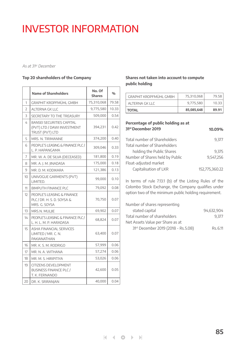# Investor information

As at 31st December

#### **Top 20 shareholders of the Company**

|                 | <b>Name of Shareholders</b>                                                        | No. Of<br><b>Shares</b> | $\frac{0}{0}$ |
|-----------------|------------------------------------------------------------------------------------|-------------------------|---------------|
| 1               | GRAPHIT KROPFMÜHL GMBH                                                             | 75,310,068              | 79.58         |
| $\overline{2}$  | <b>ALTERNA GK LLC</b>                                                              | 9,775,580               | 10.33         |
| 3               | SECRETARY TO THE TREASURY                                                          | 509,000                 | 0.54          |
| 4               | <b>BANSEI SECURITIES CAPITAL</b><br>(PVT) LTD / DAWI INVESTMENT<br>TRUST (PVT) LTD | 394,231                 | 0.42          |
| 5               | MRS. N. TIRIMANNE                                                                  | 374,200                 | 0.40          |
| 6               | PEOPLE'S LEASING & FINANCE PLC /<br>L. P. HAPANGAMA                                | 309,046                 | 0.33          |
| 7               | MR. W. A. DE SILVA (DECEASED)                                                      | 181,800                 | 0.19          |
| 8               | MR. A. J. M. JINADASA                                                              | 175.000                 | 0.18          |
| 9               | MR. D. M. KODIKARA                                                                 | 121,386                 | 0.13          |
| 10 <sup>1</sup> | UNIVOGUE GARMENTS (PVT)<br>LIMITED.                                                | 99,000                  | 0.10          |
| 11              | <b>BIMPUTH FINANCE PLC</b>                                                         | 79,092                  | 0.08          |
| 12              | PEOPLE'S LEASING & FINANCE<br>PLC / DR. H. S. D. SOYSA &<br>MRS. G. SOYSA          | 70,750                  | 0.07          |
| 13              | MRS.N. MULJIE                                                                      | 69,902                  | 0.07          |
| 14              | PEOPLE'S LEASING & FINANCE PLC /<br>L. H. L. M. P. HARADASA                        | 68,824                  | 0.07          |
| 15              | <b>ASHA FINANCIAL SERVICES</b><br>LIMITED / MR. C. N.<br>PAKIANATHAN               | 63,400                  | 0.07          |
| 16              | MR. K. S. M. RODRIGO                                                               | 57,999                  | 0.06          |
| 17              | MR. N. A. WITHANA                                                                  | 57,274                  | 0.06          |
| 18              | MR. M. S. HIRIPITIYA                                                               | 53,026                  | 0.06          |
| 19              | <b>CITIZENS DEVELOPMENT</b><br><b>BUSINESS FINANCE PLC /</b><br>T. K. FERNANDO     | 42,600                  | 0.05          |
| 20              | DR. K. SRIRANJAN                                                                   | 40,000                  | 0.04          |

#### **Shares not taken into account to compute public holding**

| GRAPHIT KROPFMÜHL GMBH | 75,310,068 | 79.58 |
|------------------------|------------|-------|
| ALTERNA GK LLC         | 9,775,580  | 10.33 |
| <b>TOTAL</b>           | 85,085,648 | 89.91 |

#### **Percentage of public holding as at 31st December 2019**

| Total number of Shareholders    | 9.377          |
|---------------------------------|----------------|
| Total number of Shareholders    |                |
| holding the Public Shares       | 9.375          |
| Number of Shares held by Public | 9.547.256      |
| Float-adjusted market           |                |
| Capitalisation of LKR           | 152,775,360.22 |
|                                 |                |

In terms of rule 7.13.1 (b) of the Listing Rules of the Colombo Stock Exchange, the Company qualifies under option two of the minimum public holding requirement.

| Number of shares representing        |            |
|--------------------------------------|------------|
| stated capital                       | 94.632.904 |
| Total number of shareholders         | 9.377      |
| Net Assets Value per Share as at     |            |
| 31st December 2019 (2018 - Rs. 5.08) | Rs. 6.11   |

**10.09%**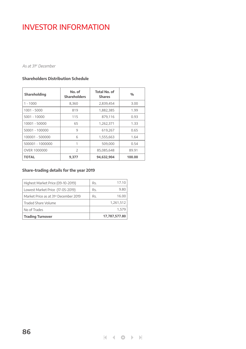### Investor information

#### As at 31st December

### **Shareholders Distribution Schedule**

| <b>Shareholding</b> | No. of<br><b>Shareholders</b> | Total No. of<br><b>Shares</b> | $\frac{0}{0}$ |
|---------------------|-------------------------------|-------------------------------|---------------|
| $1 - 1000$          | 8,360                         | 2,839,454                     | 3.00          |
| $1001 - 5000$       | 819                           | 1,882,385                     | 1.99          |
| 5001 - 10000        | 115                           | 879,116                       | 0.93          |
| 10001 - 50000       | 65                            | 1,262,371                     | 1.33          |
| 50001 - 100000      | 9                             | 619,267                       | 0.65          |
| 100001 - 500000     | 6                             | 1,555,663                     | 1.64          |
| 500001 - 1000000    |                               | 509,000                       | 0.54          |
| OVER 1000000        | $\mathcal{P}$                 | 85,085,648                    | 89.91         |
| <b>TOTAL</b>        | 9,377                         | 94,632,904                    | 100.00        |

#### **Share-trading details for the year 2019**

| Highest Market Price (09-10-2019)     | Rs. | 17.10         |
|---------------------------------------|-----|---------------|
| Lowest Market Price (17-05-2019)      | Rs. | 9.80          |
| Market Price as at 31st December 2019 | Rs. | 16.00         |
| Traded Share Volume                   |     | 1,261,512     |
| No of Trades                          |     | 1.579         |
| <b>Trading Turnover</b>               |     | 17,787,577.80 |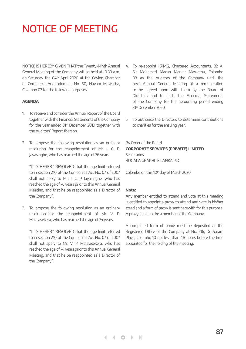# Notice of Meeting

NOTICE IS HEREBY GIVEN THAT the Twenty-Ninth Annual General Meeting of the Company will be held at 10.30 a.m. on Saturday the 04<sup>th</sup> April 2020 at the Ceylon Chamber of Commerce Auditorium at No. 50, Navam Mawatha, Colombo 02 for the following purposes:

#### **AGENDA**

- 1. To receive and consider the Annual Report of the Board together with the Financial Statements of the Company for the year ended 31st December 2019 together with the Auditors' Report thereon.
- 2. To propose the following resolution as an ordinary resolution for the reappointment of Mr. J. C. P. Jayasinghe, who has reached the age of 76 years.

"IT IS HEREBY RESOLVED that the age limit referred to in section 210 of the Companies Act No. 07 of 2007 shall not apply to Mr. J. C. P Jayasinghe, who has reached the age of 76 years prior to this Annual General Meeting, and that he be reappointed as a Director of the Company".

3. To propose the following resolution as an ordinary resolution for the reappointment of Mr. V. P. Malalasekera, who has reached the age of 74 years. 

"IT IS HEREBY RESOLVED that the age limit referred to in section 210 of the Companies Act No. 07 of 2007 shall not apply to Mr. V. P. Malalasekera, who has reached the age of 74 years prior to this Annual General Meeting, and that he be reappointed as a Director of the Company".

- 4. To re-appoint KPMG, Chartered Accountants, 32 A, Sir Mohamed Macan Markar Mawatha, Colombo 03 as the Auditors of the Company until the next Annual General Meeting at a remuneration to be agreed upon with them by the Board of Directors and to audit the Financial Statements of the Company for the accounting period ending 31st December 2020.
- 5. To authorise the Directors to determine contributions to charities for the ensuing year.

By Order of the Board **CORPORATE SERVICES (PRIVATE) LIMITED** Secretaries BOGALA GRAPHITE LANKA PLC

Colombo on this 10th day of March 2020

#### **Note:**

Any member entitled to attend and vote at this meeting is entitled to appoint a proxy to attend and vote in his/her stead and a form of proxy is sent herewith for this purpose. A proxy need not be a member of the Company.

A completed form of proxy must be deposited at the Registered Office of the Company at No. 216, De Saram Place, Colombo 10 not less than 48 hours before the time appointed for the holding of the meeting.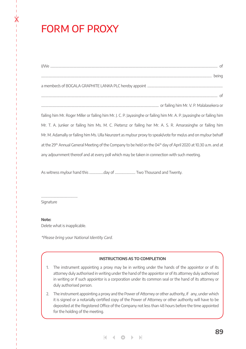# **FORM OF PROXY**

- 1  $\bar{1}$ 

| failing him Mr. Roger Miller or failing him Mr. J. C. P. Jayasinghe or failing him Mr. A. P. Jayasinghe or failing him |
|------------------------------------------------------------------------------------------------------------------------|
| Mr. T. A. Junker or failing him Ms. M. C. Pietersz or failing her Mr. A. S. R. Amarasinghe or failing him              |
| Mr. M. Adamally or failing him Ms. Ulla Neunzert as my/our proxy to speak/vote for me/us and on my/our behalf          |
| at the 29th Annual General Meeting of the Company to be held on the 04th day of April 2020 at 10.30 a.m. and at        |
| any adjournment thereof and at every poll which may be taken in connection with such meeting.                          |

As witness my/our hand this ...................day of .......................... Two Thousand and Twenty.

Signature

#### Note:

Delete what is inapplicable.

\*Please bring your National Identity Card.

#### **INSTRUCTIONS AS TO COMPLETION**

- 1. The instrument appointing a proxy may be in writing under the hands of the appointor or of its attorney duly authorised in writing under the hand of the appointor or of its attorney duly authorised in writing or if such appointor is a corporation under its common seal or the hand of its attorney or duly authorised person.
- 2. The instrument appointing a proxy and the Power of Attorney or other authority, if any, under which it is signed or a notarially certified copy of the Power of Attorney or other authority will have to be deposited at the Registered Office of the Company not less than 48 hours before the time appointed for the holding of the meeting.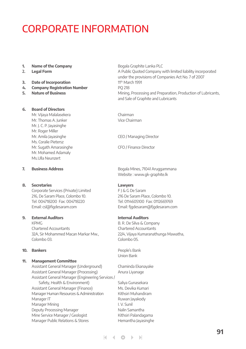# Corporate Information

- **1.** Name of the Company *Bogala Graphite Lanka PLC*
- 
- **3.** Date of Incorporation **11th March 1991**
- **4. Company Registration Number** PQ 218
- 

#### **6. Board of Directors**

Mr. Vijaya Malalasekera Chairman Mr. Thomas A. Junker Vice Chairman Mr. J. C. P. Jayasinghe Mr. Roger Miller Mr. Amila Jayasinghe CEO / Managing Director Ms. Coralie Pietersz Mr. Sugath Amarasinghe CFO / Finance Director Mr. Mohamed Adamaly Ms. Ulla Neunzert

#### **8. Secretaries Lawyers**

Corporate Services (Private) Limited F J & G De Saram 216, De Saram Place, Colombo 10. 216 De Saram Place, Colombo 10. Tel: 004718200 Fax: 004718220 Tel: 0114605100 Fax: 0112669769 Email: csl@figdesaram.com Email: fjgdesaram@fjgdesaram.com

### **9. External Auditors Internal Auditors**

KPMG B. R. De Silva & Company Chartered Accountants Chartered Accountants 32A, Sir Mohammed Macan Markar Mw., 22/4, Vijaya Kumaranathunga Mawatha, Colombo 03. Colombo 05.

#### **10. Bankers People's Bank**

#### **11. Management Committee**

Assistant General Manager (Underground) Chaminda Ekanayake Assistant General Manager (Processing) Anura Liyanage Assistant General Manager (Engineering Services / Safety, Health & Environment) Saliya Gunasekara Assistant General Manager (Finance) Ms. Devika Kumari Manager Human Resources & Administration Kithsiri Muhandiram Manager IT **Manager IT** Ruwan Jayakody Manager Mining **I. V. Sunil** Deputy Processing Manager Nalin Samantha Mine Service Manager / Geologist Kithsiri Palandagama Manager Public Relations & Stores Hemantha Jayasinghe

**2. <b>Legal Form A** Public Quoted Company with limited liability incorporated under the provisions of Companies Act No. 7 of 2007 **5. Nature of Business** Mining, Processing and Preparation, Production of Lubricants, and Sale of Graphite and Lubricants

**7. Business Address Bogala Mines, 71041 Aruggammana** Website : www.gk-graphite.lk

Union Bank

**K 4 0 1 1**